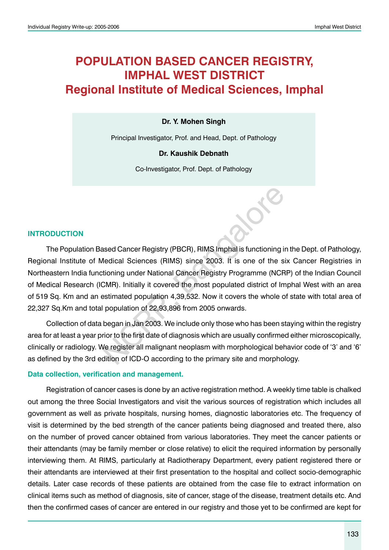# **POPULATION BASED CANCER REGISTRY, IMPHAL West district Regional Institute of Medical Sciences, Imphal**

#### **Dr. Y. Mohen Singh**

Principal Investigator, Prof. and Head, Dept. of Pathology

#### **Dr. Kaushik Debnath**

Co-Investigator, Prof. Dept. of Pathology

#### **INTRODUCTION**

The Population Based Cancer Registry (PBCR), RIMS Imphal is functioning in the Dept. of Pathology, Regional Institute of Medical Sciences (RIMS) since 2003. It is one of the six Cancer Registries in Northeastern India functioning under National Cancer Registry Programme (NCRP) of the Indian Council of Medical Research (ICMR). Initially it covered the most populated district of Imphal West with an area of 519 Sq. Km and an estimated population 4,39,532. Now it covers the whole of state with total area of 22,327 Sq.Km and total population of 22,93,896 from 2005 onwards. ased Cancer Registry (PBCR), RIMS Imphal is functioning in<br>
Medical Sciences (RIMS) since 2003. It is one of the sitioning under National Cancer Registry Programme (NCR<br>
CMR). Initially it covered the most populated distri

Collection of data began in Jan 2003. We include only those who has been staying within the registry area for at least a year prior to the first date of diagnosis which are usually confirmed either microscopically, clinically or radiology. We register all malignant neoplasm with morphological behavior code of '3' and '6' as defined by the 3rd edition of ICD-O according to the primary site and morphology.

#### **Data collection, verification and management.**

Registration of cancer cases is done by an active registration method. A weekly time table is chalked out among the three Social Investigators and visit the various sources of registration which includes all government as well as private hospitals, nursing homes, diagnostic laboratories etc. The frequency of visit is determined by the bed strength of the cancer patients being diagnosed and treated there, also on the number of proved cancer obtained from various laboratories. They meet the cancer patients or their attendants (may be family member or close relative) to elicit the required information by personally interviewing them. At RIMS, particularly at Radiotherapy Department, every patient registered there or their attendants are interviewed at their first presentation to the hospital and collect socio-demographic details. Later case records of these patients are obtained from the case file to extract information on clinical items such as method of diagnosis, site of cancer, stage of the disease, treatment details etc. And then the confirmed cases of cancer are entered in our registry and those yet to be confirmed are kept for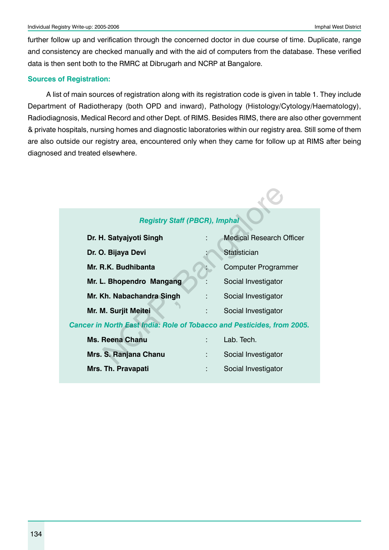further follow up and verification through the concerned doctor in due course of time. Duplicate, range and consistency are checked manually and with the aid of computers from the database. These verified data is then sent both to the RMRC at Dibrugarh and NCRP at Bangalore.

#### **Sources of Registration:**

A list of main sources of registration along with its registration code is given in table 1. They include Department of Radiotherapy (both OPD and inward), Pathology (Histology/Cytology/Haematology), Radiodiagnosis, Medical Record and other Dept. of RIMS. Besides RIMS, there are also other government & private hospitals, nursing homes and diagnostic laboratories within our registry area. Still some of them are also outside our registry area, encountered only when they came for follow up at RIMS after being diagnosed and treated elsewhere.

| <b>Registry Staff (PBCR), Imphal</b>                                   |   |                                 |
|------------------------------------------------------------------------|---|---------------------------------|
| Dr. H. Satyajyoti Singh                                                |   | <b>Medical Research Officer</b> |
| Dr. O. Bijaya Devi                                                     |   | <b>Statistician</b>             |
| Mr. R.K. Budhibanta                                                    |   | Computer Programmer             |
| Mr. L. Bhopendro Mangang                                               |   | Social Investigator             |
| Mr. Kh. Nabachandra Singh                                              |   | Social Investigator             |
| Mr. M. Surjit Meitei                                                   |   | Social Investigator             |
| Cancer in North East India: Role of Tobacco and Pesticides, from 2005. |   |                                 |
| <b>Ms. Reena Chanu</b>                                                 |   | Lab. Tech.                      |
| Mrs. S. Ranjana Chanu                                                  | ÷ | Social Investigator             |
| Mrs. Th. Pravapati                                                     |   | Social Investigator             |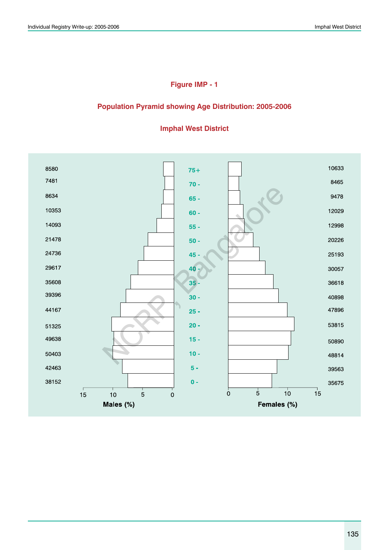# **Figure IMP - 1**

### **Population Pyramid showing Age Distribution: 2005-2006**



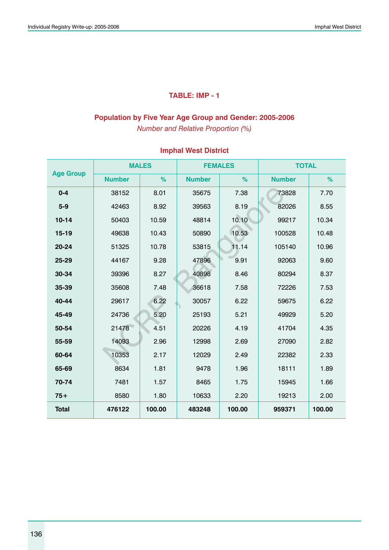### **TABLE: IMP - 1**

### **Population by Five Year Age Group and Gender: 2005-2006**

*Number and Relative Proportion (%)*

|                  |               | <b>MALES</b> | <b>FEMALES</b> |        | <b>TOTAL</b>  |        |
|------------------|---------------|--------------|----------------|--------|---------------|--------|
| <b>Age Group</b> | <b>Number</b> | %            | <b>Number</b>  | %      | <b>Number</b> | %      |
| $0 - 4$          | 38152         | 8.01         | 35675          | 7.38   | 73828         | 7.70   |
| $5-9$            | 42463         | 8.92         | 39563          | 8.19   | 82026         | 8.55   |
| $10 - 14$        | 50403         | 10.59        | 48814          | 10.10  | 99217         | 10.34  |
| $15-19$          | 49638         | 10.43        | 50890          | 10.53  | 100528        | 10.48  |
| $20 - 24$        | 51325         | 10.78        | 53815          | 11.14  | 105140        | 10.96  |
| $25 - 29$        | 44167         | 9.28         | 47896          | 9.91   | 92063         | 9.60   |
| 30-34            | 39396         | 8.27         | 40898          | 8.46   | 80294         | 8.37   |
| 35-39            | 35608         | 7.48         | 36618          | 7.58   | 72226         | 7.53   |
| 40-44            | 29617         | 6.22         | 30057          | 6.22   | 59675         | 6.22   |
| 45-49            | 24736         | 5.20         | 25193          | 5.21   | 49929         | 5.20   |
| 50-54            | 21478         | 4.51         | 20226          | 4.19   | 41704         | 4.35   |
| 55-59            | 14093         | 2.96         | 12998          | 2.69   | 27090         | 2.82   |
| 60-64            | 10353         | 2.17         | 12029          | 2.49   | 22382         | 2.33   |
| 65-69            | 8634          | 1.81         | 9478           | 1.96   | 18111         | 1.89   |
| 70-74            | 7481          | 1.57         | 8465           | 1.75   | 15945         | 1.66   |
| $75+$            | 8580          | 1.80         | 10633          | 2.20   | 19213         | 2.00   |
| <b>Total</b>     | 476122        | 100.00       | 483248         | 100.00 | 959371        | 100.00 |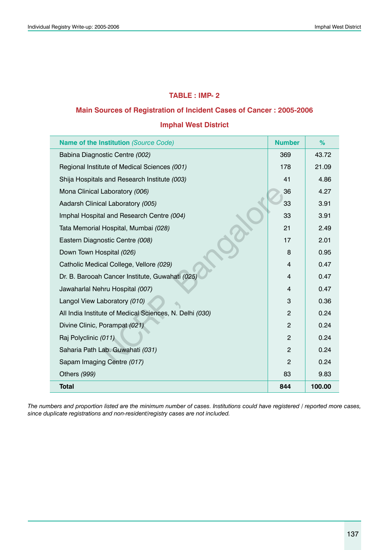### **TABLE : IMP- 2**

#### **Main Sources of Registration of Incident Cases of Cancer : 2005-2006**

#### **Imphal West District**

| <b>Name of the Institution (Source Code)</b>            | <b>Number</b>  | %      |
|---------------------------------------------------------|----------------|--------|
| Babina Diagnostic Centre (002)                          | 369            | 43.72  |
| Regional Institute of Medical Sciences (001)            | 178            | 21.09  |
| Shija Hospitals and Research Institute (003)            | 41             | 4.86   |
| Mona Clinical Laboratory (006)                          | 36             | 4.27   |
| Aadarsh Clinical Laboratory (005)                       | 33             | 3.91   |
| Imphal Hospital and Research Centre (004)               | 33             | 3.91   |
| Tata Memorial Hospital, Mumbai (028)                    | 21             | 2.49   |
| Eastern Diagnostic Centre (008)                         | 17             | 2.01   |
| Down Town Hospital (026)                                | 8              | 0.95   |
| Catholic Medical College, Vellore (029)                 | $\overline{4}$ | 0.47   |
| Dr. B. Barooah Cancer Institute, Guwahati (025)         | 4              | 0.47   |
| Jawaharlal Nehru Hospital (007)                         | 4              | 0.47   |
| Langol View Laboratory (010)                            | 3              | 0.36   |
| All India Institute of Medical Sciences, N. Delhi (030) | $\mathbf{2}$   | 0.24   |
| Divine Clinic, Porampat (021)                           | $\mathbf{2}$   | 0.24   |
| Raj Polyclinic (011)                                    | $\mathbf{2}$   | 0.24   |
| Saharia Path Lab. Guwahati (031)                        | $\overline{2}$ | 0.24   |
| Sapam Imaging Centre (017)                              | $\overline{2}$ | 0.24   |
| Others (999)                                            | 83             | 9.83   |
| <b>Total</b>                                            | 844            | 100.00 |

*The numbers and proportion listed are the minimum number of cases. Institutions could have registered / reported more cases, since duplicate registrations and non-resident/registry cases are not included.*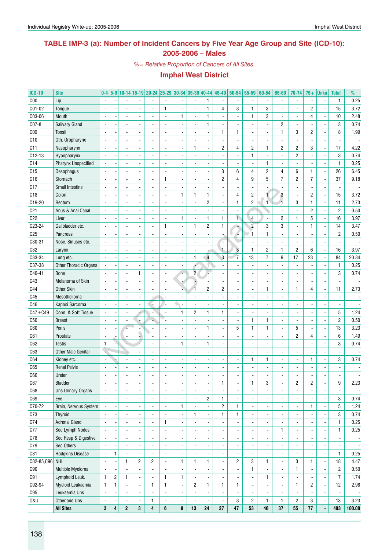# **TABLE IMP-3 (a): Number of Incident Cancers by Five Year Age Group and Site (ICD-10): 2005-2006 – Males**

*%= Relative Proportion of Cancers of All Sites.*

| <b>ICD-10</b>   | <b>Site</b>               | $0-4$                    |              |                          |                | 5-9 10-14 15-19 20-24 25-29 30-34 35-39 40-44 45-49 |                          |                          |                          |                          |                          | $50 - 54$                | 55-59                    | 60-64                    | 65-69          | 70-74                    | $75+$          | <b>Unkn</b>              | <b>Total</b>             | %              |
|-----------------|---------------------------|--------------------------|--------------|--------------------------|----------------|-----------------------------------------------------|--------------------------|--------------------------|--------------------------|--------------------------|--------------------------|--------------------------|--------------------------|--------------------------|----------------|--------------------------|----------------|--------------------------|--------------------------|----------------|
| C <sub>00</sub> | Lip                       |                          |              |                          |                |                                                     |                          |                          |                          | 1                        |                          |                          |                          |                          |                | $\overline{\phantom{a}}$ |                | $\overline{a}$           | $\mathbf{1}$             | 0.25           |
| C01-02          | Tongue                    |                          |              |                          |                |                                                     | $\mathbf{1}$             |                          |                          | $\mathbf{1}$             | 4                        | 3                        | $\mathbf{1}$             | 3                        |                |                          | $\overline{c}$ |                          | 15                       | 3.72           |
| C03-06          | Mouth                     |                          |              |                          |                |                                                     |                          | $\mathbf{1}$             |                          | $\mathbf{1}$             |                          |                          | $\mathbf{1}$             | 3                        |                |                          | 4              |                          | 10                       | 2.48           |
| C07-8           | Salivary Gland            |                          |              |                          |                |                                                     |                          |                          |                          | $\mathbf{1}$             |                          |                          |                          |                          | $\overline{2}$ |                          |                |                          | 3                        | 0.74           |
| CO <sub>9</sub> | <b>Tonsil</b>             |                          |              |                          |                |                                                     |                          |                          |                          | $\overline{a}$           | 1                        | 1                        | ä,                       |                          | $\mathbf{1}$   | 3                        | 2              |                          | 8                        | 1.99           |
| C10             | Oth. Oropharynx           |                          |              |                          |                |                                                     |                          |                          |                          | $\overline{a}$           |                          |                          | ä,                       |                          |                | $\overline{\phantom{a}}$ |                |                          |                          |                |
| C11             | Nasopharynx               |                          |              |                          |                |                                                     |                          |                          | 1                        | ÷,                       | $\overline{c}$           | 4                        | $\mathbf{2}$             | 1                        | $\overline{c}$ | $\overline{2}$           | 3              | $\overline{a}$           | 17                       | 4.22           |
| $C12-13$        | Hypopharynx               |                          |              |                          |                |                                                     |                          |                          |                          | $\overline{a}$           |                          |                          | $\mathbf{1}$             |                          |                | $\overline{c}$           |                |                          | 3                        | 0.74           |
| C14             | Pharynx Unspecified       |                          |              |                          |                |                                                     |                          |                          |                          |                          |                          |                          | ä,                       | 1                        |                | ä,                       |                |                          | $\mathbf{1}$             | 0.25           |
| C15             | Oesophagus                |                          |              |                          |                |                                                     |                          |                          |                          | ä,                       | 3                        | 6                        | 4                        | $\overline{c}$           | $\overline{4}$ | 6                        | 1              |                          | 26                       | 6.45           |
| C <sub>16</sub> | Stomach                   |                          |              |                          |                |                                                     | 1                        |                          |                          | ä,                       | 2                        | 4                        | 9                        | 5                        | $\overline{7}$ | $\overline{2}$           | $\overline{7}$ |                          | 37                       | 9.18           |
| C17             | Small Intestine           |                          |              |                          |                |                                                     |                          |                          |                          |                          |                          |                          | ä,                       |                          |                | $\overline{\phantom{a}}$ |                |                          |                          |                |
| C18             | Colon                     |                          |              |                          |                |                                                     |                          | $\mathbf{1}$             | 1                        | $\mathbf{1}$             |                          | 4                        | $\mathbf{2}$             | 1                        | 3              | $\frac{1}{2}$            | $\overline{c}$ | ÷,                       | 15                       | 3.72           |
|                 |                           |                          |              |                          |                |                                                     |                          |                          |                          |                          |                          |                          |                          |                          | $\overline{1}$ |                          |                |                          |                          |                |
| C19-20          | Rectum                    |                          |              |                          |                |                                                     |                          |                          |                          | $\overline{c}$           |                          | 1                        | $\sqrt{2}$<br>c          | $\mathbf{1}$             |                | 3                        | 1              | ÷,                       | 11                       | 2.73           |
| C <sub>21</sub> | Anus & Anal Canal         |                          |              |                          |                |                                                     |                          |                          |                          | $\overline{\phantom{a}}$ |                          |                          |                          |                          |                | $\frac{1}{2}$            | $\mathbf{2}$   |                          | $\overline{2}$           | 0.50           |
| C22             | Liver                     |                          |              |                          |                |                                                     |                          | $\mathbf{1}$             |                          | $\mathbf{1}$             | 1                        | $\mathbf{1}$             | $\overline{4}$           | $\overline{\phantom{a}}$ | $\overline{c}$ | $\mathbf{1}$             | 5              | $\overline{a}$           | 16                       | 3.97           |
| C23-24          | Gallbladder etc.          |                          |              |                          |                |                                                     | $\overline{1}$           |                          | 1                        | $\overline{c}$           | 1                        |                          | $\overline{c}$           | 3                        | 3              | $\overline{\phantom{a}}$ | 1              |                          | 14                       | 3.47           |
| C <sub>25</sub> | Pancreas                  |                          |              |                          |                |                                                     |                          |                          |                          | $\overline{\phantom{a}}$ |                          |                          | $\overline{1}$           | $\mathbf{1}$             |                |                          |                |                          | $\overline{2}$           | 0.50           |
| C30-31          | Nose, Sinuses etc.        |                          |              |                          |                |                                                     |                          |                          |                          | ÷,                       |                          |                          |                          |                          |                |                          |                |                          |                          |                |
| C32             | Larynx                    |                          |              |                          |                |                                                     |                          |                          |                          |                          | $\ddot{\mathbf{1}}$      | 3                        | $\mathbf{1}$             | $\overline{c}$           | 1              | $\overline{2}$           | 6              | $\overline{a}$           | 16                       | 3.97           |
| C33-34          | Lung etc.                 |                          |              |                          |                |                                                     |                          |                          | 1                        | $\overline{4}$           | $\mathbf{3}$             | $\overline{7}$           | 13                       | $\overline{7}$           | 9              | 17                       | 23             | $\overline{a}$           | 84                       | 20.84          |
| C37-38          | Other Thoracic Organs     |                          |              |                          |                |                                                     |                          |                          |                          | $\overline{1}$           |                          |                          | $\overline{a}$           |                          |                | ä,                       |                |                          | $\mathbf{1}$             | 0.25           |
| C40-41          | <b>Bone</b>               |                          |              |                          | 1              |                                                     |                          |                          | $\overline{2}$           | $\mathbf{r}$             |                          |                          |                          |                          |                |                          |                |                          | 3                        | 0.74           |
| C43             | Melanoma of Skin          |                          |              |                          |                |                                                     |                          |                          |                          | $\blacksquare$           |                          |                          | ÷,                       |                          |                |                          |                |                          | $\overline{\phantom{a}}$ |                |
| C44             | <b>Other Skin</b>         |                          |              |                          |                |                                                     |                          |                          | 1                        | $\overline{c}$           | $\overline{c}$           |                          | ÷,                       | 1                        |                | $\mathbf{1}$             | 4              |                          | 11                       | 2.73           |
| C45             | Mesothelioma              |                          |              |                          |                |                                                     |                          |                          |                          | $\overline{a}$           |                          |                          |                          |                          |                |                          |                |                          |                          |                |
| C46             | Kaposi Sarcoma            |                          |              |                          |                |                                                     |                          | $\overline{a}$           |                          | ÷,                       |                          |                          |                          |                          |                |                          |                |                          |                          |                |
| $C47 + C49$     | Conn. & Soft Tissue       |                          |              |                          |                |                                                     |                          | $\mathbf{1}$             | 2                        | $\mathbf{1}$             | 1                        |                          |                          |                          |                |                          |                |                          | 5                        | 1.24           |
| C50             | <b>Breast</b>             |                          |              |                          |                |                                                     |                          |                          |                          | ä,                       |                          |                          | $\mathbf{1}$             | 1                        |                |                          |                |                          | $\overline{2}$           | 0.50           |
| C60             | Penis                     |                          |              |                          |                |                                                     |                          |                          |                          | $\mathbf{1}$             |                          | 5                        | 1                        | 1                        |                | 5                        |                |                          | 13                       | 3.23           |
| C61             | Prostate                  |                          |              |                          |                |                                                     |                          |                          |                          | ÷,                       |                          |                          |                          |                          |                | $\overline{2}$           | 4              |                          | 6                        | 1.49           |
| C62             | <b>Testis</b>             | $\mathbf{1}$             |              |                          |                |                                                     |                          | $\mathbf{1}$             |                          | $\mathbf{1}$             |                          |                          |                          |                          |                |                          |                |                          | 3                        | 0.74           |
| C63             | <b>Other Male Genital</b> |                          |              |                          |                |                                                     |                          |                          |                          | ÷,                       |                          |                          |                          |                          |                |                          |                |                          | ÷,                       |                |
| C64             | Kidney etc.               |                          |              |                          |                |                                                     |                          |                          |                          |                          |                          |                          | 1                        | 1                        |                |                          | 1              |                          | 3                        | 0.74           |
| C65             | <b>Renal Pelvis</b>       |                          |              |                          |                |                                                     |                          |                          |                          |                          |                          |                          |                          |                          |                |                          |                |                          |                          |                |
|                 |                           |                          |              |                          |                |                                                     |                          |                          |                          |                          |                          |                          |                          |                          |                |                          |                |                          |                          |                |
| C66             | Ureter                    |                          |              |                          |                |                                                     |                          |                          |                          |                          |                          |                          |                          |                          |                |                          |                |                          |                          |                |
| C67             | Bladder                   | $\overline{\phantom{a}}$ |              | $\overline{\phantom{a}}$ | ٠              | $\overline{\phantom{a}}$                            | $\overline{\phantom{a}}$ | $\overline{\phantom{a}}$ |                          | $\overline{\phantom{a}}$ | 1                        | $\overline{\phantom{a}}$ | 1                        | 3                        | ٠              | 2                        | 2              |                          | 9                        | 2.23           |
| C68             | <b>Uns.Urinary Organs</b> |                          |              |                          | $\overline{a}$ | $\overline{a}$                                      | $\overline{a}$           | $\overline{\phantom{a}}$ | $\overline{a}$           | $\overline{\phantom{a}}$ | $\overline{\phantom{a}}$ | $\blacksquare$           | ä,                       | ä,                       | ä,             |                          |                | ä,                       |                          |                |
| C69             | Eye                       | $\overline{\phantom{a}}$ |              |                          |                | $\overline{a}$                                      | $\overline{\phantom{a}}$ | $\blacksquare$           | $\overline{a}$           | $\overline{\mathbf{c}}$  | 1                        | $\blacksquare$           | $\overline{\phantom{a}}$ | ä,                       | ä,             | $\overline{\phantom{a}}$ |                | Ĭ.                       | 3                        | 0.74           |
| C70-72          | Brain, Nervous System     |                          |              |                          |                | $\overline{a}$                                      | $\overline{a}$           | $\mathbf{1}$             |                          | $\blacksquare$           | $\overline{c}$           | 1                        | $\blacksquare$           | $\overline{a}$           | ä,             | $\blacksquare$           | 1              | Ĭ.                       | 5                        | 1.24           |
| C73             | Thyroid                   |                          |              |                          |                | $\overline{a}$                                      |                          | $\blacksquare$           | 1                        | $\overline{\phantom{a}}$ | 1                        | $\mathbf{1}$             | $\blacksquare$           | ä,                       | ä,             |                          |                | Ĭ.                       | 3                        | 0.74           |
| C74             | <b>Adrenal Gland</b>      |                          |              |                          |                | $\overline{a}$                                      | 1                        | $\blacksquare$           | $\overline{a}$           | $\blacksquare$           |                          | $\blacksquare$           | $\blacksquare$           | ä,                       | ä,             |                          |                | $\overline{\phantom{a}}$ | $\mathbf{1}$             | 0.25           |
| C77             | Sec Lymph Nodes           |                          |              |                          |                | $\overline{a}$                                      | $\overline{\phantom{a}}$ | $\blacksquare$           | $\overline{a}$           | $\blacksquare$           | ä,                       | $\blacksquare$           | ä,                       | ä,                       | 1              | $\overline{\phantom{a}}$ |                | $\overline{\phantom{a}}$ | $\mathbf{1}$             | 0.25           |
| C78             | Sec Resp & Digestive      |                          |              |                          |                | $\overline{a}$                                      | $\overline{a}$           | $\overline{\phantom{a}}$ | $\overline{a}$           | $\blacksquare$           | ä,                       | $\blacksquare$           | ä,                       | ä,                       | ä,             | $\overline{\phantom{a}}$ |                | $\overline{a}$           | $\overline{\phantom{a}}$ |                |
| C79             | Sec Others                |                          |              |                          |                | $\overline{a}$                                      | $\overline{a}$           | $\overline{\phantom{a}}$ | $\overline{a}$           | $\blacksquare$           | ä,                       | $\blacksquare$           | ä,                       | ä,                       | ä,             | $\overline{\phantom{a}}$ |                | $\overline{\phantom{a}}$ |                          | $\blacksquare$ |
| C81             | <b>Hodgkins Disease</b>   |                          | $\mathbf{1}$ |                          |                | $\overline{a}$                                      | $\overline{a}$           | $\overline{\phantom{a}}$ | $\overline{a}$           | $\frac{1}{2}$            | ä,                       | $\blacksquare$           | ä,                       | ä,                       | ä,             |                          |                | ÷,                       | $\mathbf{1}$             | 0.25           |
| C82-85, C96 NHL |                           | $\overline{a}$           |              | 1                        | $\overline{c}$ | $\overline{c}$                                      | $\overline{a}$           | $\mathbf{1}$             | 1                        | 1                        | $\overline{\phantom{a}}$ | $\overline{\mathbf{c}}$  | 3                        | 1                        | ä,             | 3                        | 1              | $\overline{a}$           | 18                       | 4.47           |
| C90             | Multiple Myeloma          |                          |              |                          |                | $\overline{a}$                                      | $\overline{a}$           | $\blacksquare$           | ä,                       | $\blacksquare$           | ä,                       | $\blacksquare$           | $\mathbf{1}$             | $\overline{\phantom{a}}$ | ä,             | $\mathbf{1}$             |                | Ĭ.                       | $\overline{2}$           | 0.50           |
| C91             | Lymphoid Leuk.            | $\mathbf{1}$             | $\sqrt{2}$   | 1                        | $\blacksquare$ | $\blacksquare$                                      | 1                        | $\mathbf{1}$             | $\overline{\phantom{a}}$ | $\blacksquare$           |                          | $\overline{\phantom{a}}$ | $\blacksquare$           | 1                        | ä,             | $\blacksquare$           |                | $\overline{\phantom{a}}$ | $\overline{7}$           | 1.74           |
| C92-94          | Myeloid Leukaemia         | $\mathbf{1}$             | $\mathbf{1}$ |                          |                | 1                                                   | 1                        | $\blacksquare$           | $\overline{c}$           | 1                        | 1                        | 1                        | $\overline{\phantom{a}}$ | ä,                       | ä,             | $\mathbf{1}$             | $\overline{c}$ | $\overline{a}$           | 12                       | 2.98           |
| C95             | Leukaemia Uns             |                          |              |                          |                |                                                     | $\overline{\phantom{a}}$ | $\blacksquare$           |                          | $\blacksquare$           | $\blacksquare$           | $\blacksquare$           | $\blacksquare$           | $\overline{\phantom{a}}$ | ä,             | $\blacksquare$           |                | $\overline{\phantom{a}}$ |                          |                |
| <b>0&amp;U</b>  | Other and Uns             | $\overline{\phantom{a}}$ |              |                          |                | 1                                                   | $\overline{\phantom{a}}$ | $\blacksquare$           | ٠                        | $\overline{\phantom{a}}$ | ä,                       | 3                        | $\overline{\mathbf{c}}$  | $\mathbf{1}$             | 1              | $\overline{2}$           | 3              | $\overline{\phantom{a}}$ | 13                       | 3.23           |
|                 | <b>All Sites</b>          | $\mathbf 3$              | 4            | $\mathbf{2}$             | $\mathbf{3}$   | 4                                                   | 6                        | 8                        | 13                       | 24                       | 27                       | 47                       | 53                       | 40                       | 37             | 55                       | $77\,$         | ÷,                       | 403                      | 100.00         |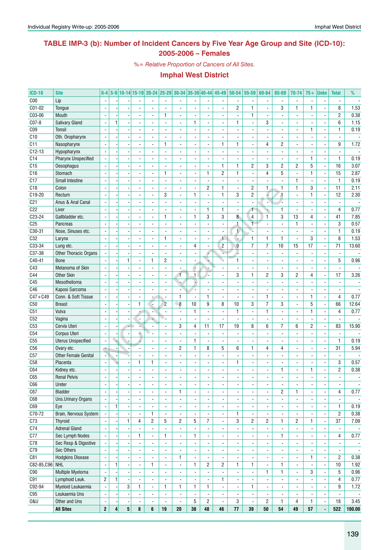# **TABLE IMP-3 (b): Number of Incident Cancers by Five Year Age Group and Site (ICD-10): 2005-2006 – Females**

*%= Relative Proportion of Cancers of All Sites.*

| <b>ICD-10</b>   | <b>Site</b>                  |                          |              |              |                                  |                          |                                                      |                          |                                            |                                                      | $0-4$ 5-9 10-14 15-19 20-24 25-29 30-34 35-39 40-44 45-49 50-54 |                                            | 55-59                                      | 60-64                          | 65-69                    | 70-74                    | $75+$                    | <b>Unkn</b>                                | <b>Total</b>                  | %                        |
|-----------------|------------------------------|--------------------------|--------------|--------------|----------------------------------|--------------------------|------------------------------------------------------|--------------------------|--------------------------------------------|------------------------------------------------------|-----------------------------------------------------------------|--------------------------------------------|--------------------------------------------|--------------------------------|--------------------------|--------------------------|--------------------------|--------------------------------------------|-------------------------------|--------------------------|
| C <sub>00</sub> | Lip                          |                          |              |              |                                  |                          |                                                      |                          |                                            |                                                      |                                                                 |                                            | $\blacksquare$                             |                                | $\overline{a}$           | $\overline{\phantom{a}}$ |                          |                                            |                               |                          |
| C01-02          | Tongue                       |                          |              |              |                                  |                          |                                                      |                          |                                            | ä,                                                   |                                                                 | $\overline{c}$                             | $\mathbf{1}$                               |                                | 3                        | $\mathbf{1}$             | 1                        | $\overline{a}$                             | 8                             | 1.53                     |
| C03-06          | Mouth                        |                          |              |              |                                  |                          | $\mathbf{1}$                                         | $\overline{\phantom{a}}$ |                                            | $\overline{\phantom{a}}$                             |                                                                 |                                            | $\mathbf{1}$                               |                                |                          | $\overline{\phantom{a}}$ |                          | $\overline{\phantom{a}}$                   | $\overline{2}$                | 0.38                     |
| $CO7-8$         | <b>Salivary Gland</b>        |                          | 1            |              |                                  | $\overline{\phantom{a}}$ | ÷.                                                   | $\overline{\phantom{a}}$ | 1                                          | $\overline{\phantom{a}}$                             | $\overline{a}$                                                  | $\mathbf{1}$                               | ÷,                                         | 3                              | $\overline{\phantom{0}}$ | $\overline{\phantom{a}}$ |                          | ä,                                         | 6                             | 1.15                     |
| C <sub>09</sub> | Tonsil                       | $\overline{\phantom{a}}$ |              |              |                                  | $\blacksquare$           | $\blacksquare$                                       | $\blacksquare$           | $\overline{a}$                             | $\Box$                                               | $\blacksquare$                                                  | $\overline{a}$                             | ÷,                                         | $\overline{\phantom{a}}$       | $\overline{a}$           | $\blacksquare$           | 1                        | ÷,                                         | $\mathbf{1}$                  | 0.19                     |
| C10             | Oth. Oropharynx              |                          |              |              |                                  |                          |                                                      | $\blacksquare$           | ۰                                          | $\overline{\phantom{a}}$                             | $\overline{\phantom{a}}$                                        |                                            | $\overline{\phantom{a}}$                   | $\overline{\phantom{a}}$       |                          | $\overline{\phantom{a}}$ |                          | $\qquad \qquad \blacksquare$               | $\overline{\phantom{a}}$      |                          |
| C11             | Nasopharynx                  | ÷,                       |              |              |                                  | ÷.                       | 1                                                    | $\blacksquare$           |                                            | $\blacksquare$                                       | $\mathbf{1}$                                                    | 1                                          | $\blacksquare$                             | 4                              | $\overline{c}$           | $\overline{a}$           |                          | ä,                                         | 9                             | 1.72                     |
| $C12-13$        | Hypopharynx                  |                          |              |              |                                  | $\overline{\phantom{a}}$ | $\blacksquare$                                       | $\blacksquare$           | ٠                                          | $\blacksquare$                                       | $\blacksquare$                                                  | $\blacksquare$                             | $\blacksquare$                             | $\overline{\phantom{a}}$       | $\overline{a}$           | $\overline{a}$           |                          | $\overline{a}$                             | $\blacksquare$                |                          |
| C14             | Pharynx Unspecified          |                          |              |              |                                  |                          |                                                      | ÷,                       |                                            | $\overline{\phantom{a}}$                             |                                                                 |                                            | $\overline{\phantom{a}}$                   |                                |                          | $\overline{\phantom{a}}$ | 1                        | $\overline{a}$                             | $\mathbf{1}$                  | 0.19                     |
| C15             | Oesophagus                   |                          |              |              |                                  |                          |                                                      | L.                       | $\overline{a}$                             | $\overline{\phantom{a}}$                             | $\mathbf{1}$                                                    | 1                                          | 2                                          | 3                              | $\overline{2}$           | $\overline{2}$           | 5                        | L                                          | 16                            | 3.07                     |
| C16             | Stomach                      |                          |              |              |                                  | $\overline{\phantom{a}}$ | $\mathbf{1}$                                         | $\overline{\phantom{a}}$ | $\overline{a}$                             | $\mathbf{1}$                                         | 2                                                               | $\mathbf{1}$                               | $\overline{\phantom{a}}$                   | 4                              | 5                        | $\blacksquare$           | $\mathbf{1}$             | ÷,                                         | 15                            | 2.87                     |
| C17             | Small Intestine              | ÷,                       |              |              |                                  | ÷.                       | $\overline{\phantom{a}}$                             | ä,                       | ä,                                         | $\blacksquare$                                       |                                                                 | $\blacksquare$                             | $\blacksquare$                             | $\overline{a}$                 |                          | $\mathbf{1}$             | $\overline{a}$           | ä,                                         | $\mathbf{1}$                  | 0.19                     |
| C18             | Colon                        |                          |              |              |                                  |                          |                                                      | $\overline{\phantom{a}}$ | ۰                                          | 2                                                    | 1                                                               |                                            | $\overline{\mathbf{c}}$                    | 1                              | 1                        | $\mathbf{1}$             | 3                        | $\overline{\phantom{a}}$                   | 11                            | 2.11                     |
| C19-20          | Rectum                       |                          |              |              |                                  | $\frac{1}{2}$            | 3                                                    | $\blacksquare$           | 1                                          | $\overline{a}$                                       | $\mathbf{1}$                                                    | 3                                          | $\overline{c}$                             | 4                              | 1                        | $\blacksquare$           | $\mathbf{1}$             | ä,                                         | 12                            | 2.30                     |
| C <sub>21</sub> | Anus & Anal Canal            |                          |              |              |                                  | ÷.                       | $\ddot{\phantom{a}}$                                 | ÷,                       | ÷,                                         | $\blacksquare$                                       |                                                                 |                                            | $\overline{\phantom{a}}$                   | $\overline{\phantom{a}}$       |                          | $\overline{a}$           |                          | ä,                                         | $\overline{a}$                |                          |
| C22             | Liver                        |                          |              |              |                                  |                          |                                                      | $\blacksquare$           |                                            | $\mathbf{1}$                                         | $\mathbf{1}$                                                    |                                            | $\ddot{\phantom{1}}$                       |                                | $\mathbf{1}$             | ä,                       |                          | $\overline{a}$                             | $\overline{4}$                | 0.77                     |
| C23-24          | Gallbladder etc.             | $\overline{a}$           |              |              |                                  | $\blacksquare$           | $\mathbf{1}$                                         | $\blacksquare$           | 1                                          | 3                                                    | 3                                                               | 8                                          | $\overline{4}$                             | $\mathbf{1}$                   | 3                        | 13                       | 4                        | ÷,                                         | 41                            | 7.85                     |
| C <sub>25</sub> | Pancreas                     | $\overline{a}$           |              |              |                                  | $\overline{a}$           | $\overline{\phantom{a}}$                             | $\blacksquare$           | ÷,                                         | $\blacksquare$                                       | $\overline{a}$                                                  | 1                                          | $\mathbf{1}$                               |                                | $\overline{a}$           | $\mathbf{1}$             |                          | ä,                                         | 3                             | 0.57                     |
| $C30-31$        | Nose, Sinuses etc.           |                          |              |              |                                  | $\frac{1}{2}$            |                                                      | $\blacksquare$           | ٠                                          | $\overline{\phantom{a}}$                             | $\blacksquare$                                                  | $\mathbf{1}$                               | Y.                                         |                                |                          | $\blacksquare$           |                          | $\blacksquare$                             | $\mathbf{1}$                  | 0.19                     |
| C32             | Larynx                       |                          |              |              |                                  |                          | 1                                                    | $\overline{a}$           |                                            | $\frac{1}{2}$                                        | $\ddagger$                                                      |                                            | $\mathbf{1}$                               | $\mathbf{1}$                   | $\mathbf{1}$             | ÷,                       | 3                        | ä,                                         | 8                             | 1.53                     |
| C33-34          | Lung etc.                    |                          |              |              |                                  | $\blacksquare$           | $\overline{\phantom{a}}$                             | $\blacksquare$           | $\overline{4}$                             | $\overline{a}$                                       | $\overline{c}$                                                  | 9                                          | $\overline{7}$                             | $\overline{7}$                 | 10                       | 15                       | 17                       | ÷,                                         | $\overline{71}$               | 13.60                    |
| C37-38          | Other Thoracic Organs        |                          |              |              |                                  |                          |                                                      | ÷,                       | ÷,                                         | é                                                    | v.                                                              |                                            | ÷,                                         |                                |                          | $\overline{a}$           |                          | ä,                                         |                               |                          |
| $C40-41$        | <b>Bone</b>                  |                          |              | $\mathbf{1}$ |                                  | 1                        | $\overline{c}$                                       | $\overline{\phantom{a}}$ |                                            | ÷                                                    |                                                                 | 1                                          | $\blacksquare$                             |                                |                          |                          |                          | ÷,                                         | 5                             | 0.96                     |
| C43             | Melanoma of Skin             |                          |              |              |                                  |                          |                                                      |                          | l,                                         | 'n,                                                  |                                                                 |                                            | ä,                                         |                                |                          |                          |                          | ä,                                         |                               |                          |
| C44             | <b>Other Skin</b>            |                          |              |              |                                  | $\overline{\phantom{a}}$ | $\blacksquare$                                       | $\overline{1}$           | $\mathbf{1}$                               | L.                                                   | $\overline{a}$                                                  | 3                                          | $\mathbf{1}$                               | 2                              | 3                        | $\overline{2}$           | 4                        | ä,                                         | 17                            | 3.26                     |
| C45             | Mesothelioma                 |                          |              |              |                                  |                          |                                                      | ÷.                       | ÷.                                         | $\overline{\phantom{a}}$                             |                                                                 |                                            | $\overline{\phantom{a}}$                   | ä,                             |                          | ä,                       |                          | $\overline{a}$                             | ä,                            | $\overline{\phantom{a}}$ |
| C46             | Kaposi Sarcoma               |                          |              |              |                                  |                          |                                                      | $\blacksquare$           |                                            |                                                      |                                                                 |                                            | $\overline{\phantom{a}}$                   |                                |                          | $\overline{\phantom{a}}$ |                          | $\overline{a}$                             |                               |                          |
| $C47 + C49$     | Conn. & Soft Tissue          |                          |              |              |                                  |                          |                                                      | 1                        | $\overline{\phantom{a}}$                   | $\mathbf{1}$                                         | $\overline{\phantom{a}}$                                        |                                            | $\blacksquare$                             | 1                              | ٠                        | $\overline{\phantom{a}}$ | 1                        | ä,                                         | $\overline{4}$                | 0.77                     |
| C50             | <b>Breast</b>                |                          |              |              | $\mathbf{1}$                     | ÷                        | $\overline{2}$                                       | $\bullet$ 8              | 10                                         | 9                                                    | 8                                                               | 10                                         | 3                                          | $\overline{7}$                 | 3                        | $\frac{1}{2}$            | 5                        | ä,                                         | 66                            | 12.64                    |
| C51             | Vulva                        |                          |              |              |                                  |                          |                                                      |                          | 1                                          | $\blacksquare$                                       |                                                                 | 1                                          | $\blacksquare$                             | $\mathbf{1}$                   |                          | ä,                       | $\mathbf{1}$             | $\overline{\phantom{a}}$                   | $\overline{4}$                | 0.77                     |
| C52             | Vagina                       |                          |              |              |                                  | ÷                        | ♦.                                                   | ÷,                       | $\overline{a}$                             | $\overline{a}$                                       |                                                                 | $\overline{a}$                             | $\overline{\phantom{a}}$                   | $\overline{a}$                 | $\overline{a}$           | $\overline{a}$           | $\overline{a}$           | $\overline{a}$                             | $\overline{a}$                | $\sim$                   |
| C <sub>53</sub> | Cervix Uteri                 | $\overline{a}$           |              |              |                                  | $\blacksquare$           | $\overline{\phantom{a}}$                             | 3                        | 4                                          | 11                                                   | 17                                                              | 19                                         | 8                                          | 6                              | $\overline{7}$           | 6                        | 2                        | ÷,                                         | 83                            | 15.90                    |
| C54             | Corpus Uteri                 | $\overline{a}$           |              | ÷,           | ۵                                | $\blacksquare$           | $\blacksquare$                                       | ä,                       | ÷,                                         | $\blacksquare$                                       | $\overline{\phantom{a}}$                                        | $\overline{a}$                             | ä,                                         | $\overline{a}$                 |                          | ä,                       |                          | $\overline{\phantom{a}}$                   | ÷,                            |                          |
| C55             | <b>Uterus Unspecified</b>    |                          |              |              |                                  | $\overline{\phantom{a}}$ |                                                      | $\blacksquare$           | 1                                          | $\overline{\phantom{a}}$                             |                                                                 |                                            | $\overline{\phantom{a}}$                   |                                |                          | $\overline{\phantom{a}}$ |                          | $\blacksquare$                             | $\mathbf{1}$                  | 0.19                     |
| C <sub>56</sub> | Ovary etc.                   |                          |              |              |                                  |                          |                                                      | $\overline{c}$           | 1                                          | 8                                                    | 5                                                               | 6                                          | $\mathbf{1}$                               | 4                              | 4                        |                          |                          | ä,                                         | 31                            | 5.94                     |
| C57             | <b>Other Female Genital</b>  |                          |              |              | $\blacksquare$                   | $\overline{a}$           | $\blacksquare$                                       | $\overline{\phantom{a}}$ |                                            | $\blacksquare$                                       | $\blacksquare$                                                  |                                            | $\blacksquare$                             | $\blacksquare$                 | ÷.                       | $\overline{a}$           |                          | $\blacksquare$                             | $\overline{\phantom{a}}$      |                          |
| C <sub>58</sub> | Placenta                     |                          |              |              | $\mathbf{1}$                     | 1                        |                                                      | $\blacksquare$           |                                            | $\overline{a}$                                       |                                                                 | 1                                          | $\blacksquare$                             |                                |                          | $\overline{\phantom{a}}$ |                          | ä,                                         | 3                             | 0.57                     |
| C64             | Kidney etc.                  |                          |              |              |                                  |                          |                                                      | ä,                       |                                            | $\overline{\phantom{a}}$                             |                                                                 |                                            | $\blacksquare$                             |                                | 1                        | $\blacksquare$           | 1                        | $\overline{\phantom{a}}$                   | $\overline{2}$                | 0.38                     |
| C65             | <b>Renal Pelvis</b>          |                          |              |              |                                  |                          |                                                      |                          |                                            | L,                                                   |                                                                 |                                            | ä,                                         |                                |                          |                          |                          |                                            |                               |                          |
|                 |                              |                          |              |              |                                  |                          |                                                      |                          |                                            |                                                      |                                                                 |                                            |                                            |                                |                          |                          |                          |                                            |                               |                          |
| C66<br>C67      | Ureter<br>Bladder            | $\overline{\phantom{a}}$ |              |              |                                  |                          | $\overline{\phantom{a}}$                             | $\overline{\phantom{a}}$ | ۰                                          | $\overline{\phantom{a}}$                             | $\overline{\phantom{a}}$                                        | $\overline{\phantom{a}}$                   | ٠                                          | $\overline{\phantom{a}}$       | ٠<br>$\overline{c}$      | ۰<br>$\mathbf{1}$        | $\overline{\phantom{a}}$ | $\overline{\phantom{a}}$                   | $\overline{\phantom{a}}$<br>4 | $\overline{\phantom{a}}$ |
| C68             | <b>Uns.Urinary Organs</b>    | $\overline{\phantom{a}}$ |              |              | $\overline{\phantom{a}}$         | $\overline{\phantom{a}}$ | $\overline{\phantom{a}}$<br>$\overline{\phantom{a}}$ | 1<br>÷,                  | $\overline{\phantom{a}}$<br>$\overline{a}$ | $\overline{\phantom{a}}$<br>$\overline{\phantom{a}}$ | $\overline{\phantom{a}}$<br>$\overline{a}$                      | $\overline{\phantom{a}}$<br>$\blacksquare$ | $\overline{\phantom{a}}$                   | $\overline{\phantom{a}}$<br>÷, | ÷,                       | $\frac{1}{2}$            | $\blacksquare$           | $\overline{\phantom{a}}$                   | $\blacksquare$                | 0.77<br>$\blacksquare$   |
| C69             |                              | $\blacksquare$           | $\mathbf{1}$ |              | $\blacksquare$<br>$\blacksquare$ | $\blacksquare$           |                                                      |                          | $\overline{\phantom{a}}$                   | $\blacksquare$                                       |                                                                 | $\overline{\phantom{a}}$                   | $\blacksquare$<br>$\overline{\phantom{a}}$ |                                | $\frac{1}{2}$            |                          | $\overline{\phantom{a}}$ | $\overline{a}$<br>$\overline{\phantom{a}}$ | $\mathbf{1}$                  | 0.19                     |
|                 | Eye<br>Brain, Nervous System |                          |              |              |                                  | $\overline{\phantom{a}}$ | $\overline{\phantom{a}}$                             | $\overline{\phantom{a}}$ |                                            |                                                      | $\overline{\phantom{a}}$                                        |                                            |                                            | $\overline{\phantom{a}}$       |                          | $\overline{\phantom{a}}$ |                          | ÷,                                         |                               |                          |
| C70-72          |                              | $\blacksquare$           |              |              |                                  | $\mathbf{1}$             | $\overline{\phantom{a}}$                             | $\blacksquare$           | ä,                                         | $\overline{\phantom{a}}$                             | $\blacksquare$                                                  | 1                                          | ÷,                                         |                                | ÷.                       | $\frac{1}{2}$            |                          |                                            | $\overline{2}$                | 0.38                     |
| C73             | <b>Thyroid</b>               |                          |              | $\mathbf{1}$ | 4                                | $\overline{c}$           | 5                                                    | $\overline{c}$           | 5                                          | $\overline{7}$                                       |                                                                 | 3                                          | $\overline{c}$                             | $\overline{2}$                 | 1                        | $\overline{2}$           | 1                        | $\overline{a}$                             | 37                            | 7.09                     |
| C74             | <b>Adrenal Gland</b>         | $\overline{a}$           |              |              |                                  | $\blacksquare$           | $\overline{a}$                                       | $\blacksquare$           |                                            | $\overline{\phantom{a}}$                             |                                                                 |                                            | $\blacksquare$                             |                                | ÷,                       | $\blacksquare$           |                          | $\overline{a}$                             | $\blacksquare$                | $\sim$                   |
| C77             | Sec Lymph Nodes              | $\blacksquare$           |              |              | $\mathbf{1}$                     | $\overline{\phantom{a}}$ | $\mathbf{1}$                                         | $\overline{\phantom{a}}$ | 1                                          | $\blacksquare$                                       | $\overline{\phantom{a}}$                                        | $\overline{\phantom{a}}$                   | $\blacksquare$                             | $\overline{\phantom{a}}$       | 1                        | $\overline{\phantom{a}}$ | $\blacksquare$           | $\overline{\phantom{a}}$                   | 4                             | 0.77                     |
| C78             | Sec Resp & Digestive         |                          |              |              | $\overline{\phantom{a}}$         | $\overline{\phantom{a}}$ | $\overline{\phantom{a}}$                             | $\overline{\phantom{a}}$ | ۰                                          | $\overline{\phantom{a}}$                             | $\overline{\phantom{a}}$                                        | $\overline{\phantom{a}}$                   | $\overline{\phantom{a}}$                   | $\overline{\phantom{a}}$       | ۰.                       | $\overline{\phantom{a}}$ |                          | $\qquad \qquad \blacksquare$               | $\overline{\phantom{a}}$      | $\overline{\phantom{a}}$ |
| C79             | Sec Others                   |                          |              |              | $\blacksquare$                   | $\overline{\phantom{a}}$ | $\overline{\phantom{a}}$                             | $\overline{\phantom{a}}$ | ۰                                          | $\overline{\phantom{a}}$                             | $\blacksquare$                                                  | $\overline{\phantom{a}}$                   | $\overline{\phantom{a}}$                   | $\overline{\phantom{a}}$       | $\frac{1}{2}$            | $\overline{\phantom{a}}$ |                          | $\overline{\phantom{a}}$                   | $\overline{\phantom{a}}$      | $\overline{\phantom{a}}$ |
| C81             | <b>Hodgkins Disease</b>      | $\overline{\phantom{a}}$ |              |              |                                  | $\overline{\phantom{a}}$ | $\blacksquare$                                       | $\mathbf{1}$             | $\overline{\phantom{a}}$                   | $\overline{\phantom{a}}$                             | $\blacksquare$                                                  | $\overline{\phantom{a}}$                   | $\overline{\phantom{a}}$                   | $\overline{\phantom{a}}$       | $\overline{\phantom{0}}$ | $\overline{\phantom{a}}$ | 1                        | $\overline{\phantom{a}}$                   | $\overline{2}$                | 0.38                     |
| C82-85,C96 NHL  |                              | $\overline{\phantom{a}}$ | $\mathbf{1}$ |              | $\overline{\phantom{a}}$         | $\mathbf{1}$             | $\overline{\phantom{a}}$                             | $\overline{\phantom{a}}$ | 1                                          | $\overline{2}$                                       | $\overline{2}$                                                  | $\mathbf{1}$                               | $\mathbf{1}$                               | $\overline{\phantom{a}}$       | $\mathbf{1}$             | $\blacksquare$           |                          | Ĭ,                                         | 10                            | 1.92                     |
| C90             | Multiple Myeloma             | $\overline{a}$           |              |              |                                  |                          | $\blacksquare$                                       |                          |                                            | $\blacksquare$                                       |                                                                 |                                            | $\blacksquare$                             | 1                              | $\mathbf{1}$             | $\overline{\phantom{a}}$ | 3                        | $\overline{\phantom{a}}$                   | $\overline{5}$                | 0.96                     |
| C91             | Lymphoid Leuk.               | $\overline{2}$           | 1            |              | $\overline{a}$                   | $\Box$                   | $\blacksquare$                                       | $\Box$                   | Ĭ.                                         | $\Box$                                               | $\mathbf{1}$                                                    | $\overline{\phantom{a}}$                   | $\overline{\phantom{a}}$                   | $\overline{a}$                 | $\overline{a}$           | $\blacksquare$           |                          | $\overline{a}$                             | 4                             | 0.77                     |
| C92-94          | Myeloid Leukaemia            | $\frac{1}{2}$            |              | 3            | $\mathbf{1}$                     | $\overline{\phantom{a}}$ | $\mathbf{1}$                                         | 1                        | 1                                          | $\mathbf{1}$                                         | $\overline{\phantom{a}}$                                        | $\overline{\phantom{a}}$                   | 1                                          | $\overline{\phantom{a}}$       | ۰.                       | $\overline{\phantom{a}}$ | $\blacksquare$           | $\blacksquare$                             | 9                             | 1.72                     |
| C95             | Leukaemia Uns                | $\blacksquare$           |              |              | ÷,                               | $\blacksquare$           | $\blacksquare$                                       | $\overline{\phantom{a}}$ | $\overline{\phantom{a}}$                   | $\blacksquare$                                       | $\overline{\phantom{a}}$                                        | $\overline{\phantom{a}}$                   | $\overline{\phantom{a}}$                   | $\overline{\phantom{a}}$       | $\overline{\phantom{0}}$ | $\overline{\phantom{a}}$ | $\blacksquare$           | $\blacksquare$                             | $\blacksquare$                | $\overline{\phantom{a}}$ |
| 0&U             | Other and Uns                | $\overline{\phantom{a}}$ |              |              | $\overline{\phantom{a}}$         |                          | $\overline{\phantom{a}}$                             | $\overline{\phantom{a}}$ | 5                                          | $\overline{\mathbf{c}}$                              | $\overline{\phantom{a}}$                                        | 3                                          | $\overline{\phantom{a}}$                   | $\overline{2}$                 | 1                        | 4                        | $\mathbf{1}$             | $\overline{\phantom{a}}$                   | 18                            | 3.45                     |
|                 | <b>All Sites</b>             | $\boldsymbol{2}$         | $\vert$      | 5            | 8                                | 6                        | 19                                                   | 20                       | 38                                         | 48                                                   | 46                                                              | 77                                         | 39                                         | 50                             | 54                       | 49                       | 57                       | ä,                                         | 522                           | 100.00                   |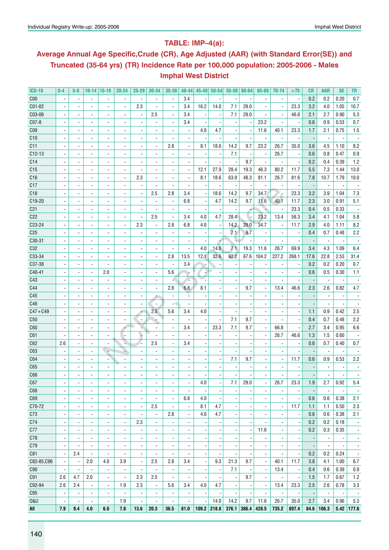# **Table: IMP–4(a):**

# **Average Annual Age Specific,Crude (CR), Age Adjusted (AAR) (with Standard Error(SE)) and Truncated (35-64 yrs) (TR) Incidence Rate per 100,000 population: 2005-2006 - Males Imphal West District**

| <b>ICD-10</b>   | $0-4$                           | $5-9$                                                | $10-14$   15-19                                      |                                            | $20 - 24$                       | $25 - 29$                                            | $30 - 34$                                            | 35-39                                                | $40 - 44$                                            | $45 - 49$                         | $50 - 54$                       | $55 - 59$                        | $60 - 64$                                  | 65-69                            | 70-74                            | >75                              | CR                              | AAR                             | <b>SE</b>                        | TR                              |
|-----------------|---------------------------------|------------------------------------------------------|------------------------------------------------------|--------------------------------------------|---------------------------------|------------------------------------------------------|------------------------------------------------------|------------------------------------------------------|------------------------------------------------------|-----------------------------------|---------------------------------|----------------------------------|--------------------------------------------|----------------------------------|----------------------------------|----------------------------------|---------------------------------|---------------------------------|----------------------------------|---------------------------------|
| C <sub>00</sub> |                                 | $\blacksquare$                                       | $\overline{\phantom{a}}$                             |                                            | $\overline{\phantom{a}}$        | $\overline{\phantom{a}}$                             |                                                      | $\blacksquare$                                       | 3.4                                                  |                                   |                                 |                                  |                                            |                                  |                                  | $\overline{a}$                   | 0.2                             | 0.2                             | 0.20                             | 0.7                             |
| C01-02          |                                 |                                                      | ÷,                                                   | $\frac{1}{2}$                              | $\overline{a}$                  | 2.3                                                  | $\overline{\phantom{a}}$                             | $\blacksquare$                                       | 3.4                                                  | 16.2                              | 14.0                            | 7.1                              | 29.0                                       |                                  | $\blacksquare$                   | 23.3                             | 3.2                             | 4.0                             | 1.05                             | 10.7                            |
| C03-06          |                                 | $\overline{\phantom{a}}$                             | $\overline{\phantom{a}}$                             | $\overline{\phantom{a}}$                   | $\blacksquare$                  | $\overline{\phantom{a}}$                             | 2.5                                                  | $\blacksquare$                                       | 3.4                                                  |                                   |                                 | 7.1                              | 29.0                                       | $\blacksquare$                   | $\blacksquare$                   | 46.6                             | 2.1                             | 2.7                             | 0.90                             | 5.3                             |
| C07-8           |                                 |                                                      | $\overline{\phantom{a}}$                             | $\overline{\phantom{a}}$                   | $\overline{\phantom{a}}$        |                                                      |                                                      | $\overline{a}$                                       | 3.4                                                  |                                   |                                 | $\overline{\phantom{a}}$         |                                            | 23.2                             | $\overline{\phantom{a}}$         | $\overline{\phantom{a}}$         | 0.6                             | 0.9                             | 0.53                             | 0.7                             |
| CO <sub>9</sub> |                                 |                                                      | $\overline{\phantom{a}}$                             | $\frac{1}{2}$                              | $\overline{a}$                  |                                                      | $\overline{\phantom{a}}$                             | $\overline{\phantom{a}}$                             |                                                      | 4.0                               | 4.7                             | $\blacksquare$                   |                                            | 11.6                             | 40.1                             | 23.3                             | 1.7                             | 2.1                             | 0.75                             | 1.5                             |
| C10             |                                 | $\blacksquare$                                       | $\overline{\phantom{a}}$                             | $\overline{\phantom{a}}$                   | $\overline{\phantom{a}}$        |                                                      | $\blacksquare$                                       | $\overline{\phantom{a}}$                             | $\overline{a}$                                       |                                   |                                 | $\overline{\phantom{a}}$         |                                            | $\overline{\phantom{a}}$         | $\overline{\phantom{a}}$         | $\overline{\phantom{a}}$         |                                 | $\overline{\phantom{a}}$        |                                  |                                 |
| C11             |                                 | $\blacksquare$                                       | $\overline{\phantom{a}}$                             | $\overline{\phantom{a}}$                   | $\overline{\phantom{a}}$        |                                                      | $\blacksquare$                                       | 2.8                                                  | $\blacksquare$                                       | 8.1                               | 18.6                            | 14.2                             | 9.7                                        | 23.2                             | 26.7                             | 35.0                             | 3.6                             | 4.5                             | 1.10                             | 8.2                             |
| $C12-13$        |                                 | $\blacksquare$                                       | $\overline{\phantom{a}}$                             | $\overline{\phantom{a}}$                   | $\overline{\phantom{a}}$        |                                                      | $\overline{\phantom{a}}$                             | $\overline{\phantom{a}}$                             |                                                      |                                   |                                 | 7.1                              |                                            | $\overline{\phantom{a}}$         | 26.7                             | $\overline{\phantom{a}}$         | 0.6                             | 0.8                             | 0.47                             | 0.9                             |
| C <sub>14</sub> | $\blacksquare$                  | $\blacksquare$                                       | $\overline{\phantom{a}}$                             | $\overline{\phantom{a}}$                   | $\overline{\phantom{a}}$        |                                                      | $\overline{\phantom{a}}$                             | $\overline{\phantom{a}}$                             |                                                      |                                   |                                 |                                  | 9.7                                        |                                  |                                  | $\overline{\phantom{a}}$         | 0.2                             | 0.4                             | 0.39                             | 1.2                             |
| C <sub>15</sub> |                                 | $\blacksquare$                                       | $\overline{\phantom{a}}$                             | $\overline{\phantom{a}}$                   | $\overline{\phantom{a}}$        |                                                      | $\blacksquare$                                       | $\overline{\phantom{a}}$                             | $\blacksquare$                                       | 12.1                              | 27.9                            | 28.4                             | 19.3                                       | 46.3                             | 80.2                             | 11.7                             | 5.5                             | 7.3                             | 1.44                             | 13.0                            |
| C <sub>16</sub> | $\overline{\phantom{a}}$        | $\blacksquare$                                       | $\blacksquare$                                       | $\blacksquare$                             | $\blacksquare$                  | 2.3                                                  | $\blacksquare$                                       | $\overline{\phantom{a}}$                             | $\overline{\phantom{a}}$                             | 8.1                               | 18.6                            | 63.9                             | 48.3                                       | 81.1                             | 26.7                             | 81.6                             | 7.8                             | 10.7                            | 1.79                             | 19.0                            |
| C17             | $\overline{\phantom{a}}$        | $\blacksquare$                                       | $\blacksquare$                                       | $\blacksquare$                             | $\overline{\phantom{a}}$        | $\overline{\phantom{a}}$                             | $\blacksquare$                                       | $\blacksquare$                                       | ÷,                                                   |                                   |                                 |                                  |                                            | $\overline{\phantom{a}}$         |                                  |                                  |                                 | $\overline{\phantom{a}}$        |                                  |                                 |
| C18             | $\overline{\phantom{a}}$        | $\blacksquare$                                       | $\blacksquare$                                       | $\blacksquare$                             | $\overline{\phantom{a}}$        | $\overline{\phantom{a}}$                             | 2.5                                                  | 2.8                                                  | 3.4                                                  | $\overline{\phantom{a}}$          | 18.6                            | 14.2                             | 9.7                                        | 34.7                             |                                  | 23.3                             | 3.2                             | 3.9                             | 1.04                             | 7.3                             |
| C19-20          |                                 | $\blacksquare$                                       | $\blacksquare$                                       | $\blacksquare$                             | $\overline{\phantom{a}}$        | $\overline{\phantom{a}}$                             | $\blacksquare$                                       | $\blacksquare$                                       | 6.8                                                  |                                   | 4.7                             | 14.2                             | 9.7                                        | 11.6                             | 40.1                             | 11.7                             | 2.3                             | 3.0                             | 0.91                             | 5.1                             |
| C <sub>21</sub> |                                 |                                                      | $\blacksquare$                                       | ٠                                          | $\blacksquare$                  | $\blacksquare$                                       | $\blacksquare$                                       | $\blacksquare$                                       |                                                      |                                   |                                 |                                  |                                            |                                  |                                  | 23.3                             | 0.4                             | 0.5                             | 0.33                             |                                 |
| C22             |                                 |                                                      | $\blacksquare$                                       | ٠                                          | $\blacksquare$                  | $\overline{a}$                                       | 2.5                                                  | $\blacksquare$                                       | 3.4                                                  | 4.0                               | 4.7                             | 28.4                             |                                            | 23.2                             | 13.4                             | 58.3                             | 3.4                             | 4.1                             | 1.04                             | 5.8                             |
| C23-24          |                                 |                                                      | $\blacksquare$                                       | ٠                                          | $\blacksquare$                  | 2.3                                                  | $\blacksquare$                                       | 2.8                                                  | 6.8                                                  | 4.0                               |                                 | 14.2                             | 29.0                                       | 34.7                             | $\blacksquare$                   | 11.7                             | 2.9                             | 4.0                             | 1.11                             | 8.2                             |
| C <sub>25</sub> |                                 |                                                      | $\overline{a}$                                       | ٠                                          |                                 |                                                      |                                                      | $\overline{a}$                                       |                                                      |                                   |                                 | 7.1                              | 9.7                                        | $\blacksquare$                   | ä,                               | ÷,                               | 0.4                             | 0.7                             | 0.48                             | 2.2                             |
| C30-31          |                                 |                                                      | $\overline{a}$                                       | $\overline{a}$                             |                                 |                                                      |                                                      |                                                      |                                                      |                                   |                                 |                                  |                                            | $\overline{\phantom{a}}$         | $\overline{a}$                   |                                  |                                 | $\overline{a}$                  |                                  |                                 |
| C32             | $\frac{1}{2}$                   |                                                      | ä,                                                   | $\overline{\phantom{0}}$                   | $\blacksquare$                  |                                                      | $\blacksquare$                                       | ÷,                                                   |                                                      | 4.0                               | 14.0                            | 7.1                              | 19.3                                       | 11.6                             | 26.7                             | 69.9                             | 3.4                             | 4.3                             | 1.09                             | 6.4                             |
| C33-34          | $\frac{1}{2}$                   |                                                      | ä,                                                   | $\overline{\phantom{0}}$                   | $\blacksquare$                  | ٠                                                    | $\overline{a}$                                       | 2.8                                                  | 13.5                                                 | 12.1                              | 32.6                            | 92.2                             | 67.6                                       | 104.2                            | 227.2                            | 268.1                            | 17.6                            | 22.8                            | 2.53                             | 31.4                            |
| C37-38          |                                 |                                                      | $\overline{a}$                                       | $\blacksquare$                             | $\blacksquare$                  |                                                      | $\blacksquare$                                       | $\overline{a}$                                       | 3.4                                                  |                                   |                                 |                                  |                                            | $\blacksquare$                   | $\blacksquare$                   |                                  | 0.2                             | 0.2                             | 0.20                             | 0.7                             |
| C40-41          |                                 |                                                      | ä,                                                   | 2.0                                        | $\blacksquare$                  |                                                      | $\blacksquare$                                       | 5.6                                                  |                                                      |                                   |                                 |                                  |                                            |                                  |                                  |                                  | 0.6                             | 0.5                             | 0.30                             | 1.1                             |
| C43             |                                 |                                                      | ä,                                                   | ä,                                         |                                 |                                                      | $\blacksquare$                                       |                                                      |                                                      |                                   |                                 |                                  |                                            |                                  |                                  |                                  |                                 | ä,                              |                                  |                                 |
| C44             |                                 |                                                      | $\blacksquare$                                       | ä,                                         |                                 |                                                      |                                                      | 2.8                                                  | 6.8                                                  | 8.1                               |                                 |                                  | 9.7                                        |                                  | 13.4                             | 46.6                             | 2.3                             | 2.6                             | 0.82                             | 4.7                             |
| C45             |                                 |                                                      | ÷,                                                   | ä,                                         |                                 |                                                      |                                                      |                                                      |                                                      |                                   |                                 |                                  |                                            |                                  |                                  |                                  |                                 |                                 |                                  |                                 |
| C46             |                                 |                                                      |                                                      | ä,                                         |                                 |                                                      | $\overline{\phantom{a}}$                             | - 1                                                  |                                                      |                                   |                                 |                                  |                                            |                                  |                                  |                                  |                                 |                                 |                                  |                                 |
| $C47 + C49$     |                                 |                                                      |                                                      | ä,                                         |                                 | ٠                                                    | 2.5                                                  | 5.6                                                  | 3.4                                                  | 4.0                               |                                 |                                  |                                            |                                  |                                  |                                  | 1.1                             | 0.9                             | 0.42                             | 2.5                             |
| C50             |                                 |                                                      |                                                      |                                            |                                 |                                                      |                                                      |                                                      |                                                      |                                   |                                 | 7.1                              | 9.7                                        |                                  |                                  |                                  | 0.4                             | 0.7                             | 0.48                             | 2.2                             |
| C60             |                                 |                                                      | $\overline{a}$                                       | ä,                                         | ς.                              |                                                      |                                                      | $\overline{a}$                                       | 3.4                                                  |                                   | 23.3                            | 7.1                              | 9.7                                        |                                  | 66.8                             |                                  | 2.7                             | 3.4                             | 0.95                             | 6.6                             |
| C61             |                                 |                                                      | $\overline{a}$                                       | ÷,                                         | ÷,                              |                                                      |                                                      | $\overline{a}$                                       |                                                      |                                   |                                 |                                  |                                            |                                  | 26.7                             | 46.6                             | 1.3                             | 1.5                             | 0.60                             |                                 |
| C62             | 2.6                             |                                                      | $\overline{a}$                                       | ÷,                                         |                                 |                                                      | 2.5                                                  | $\overline{a}$                                       | 3.4                                                  |                                   |                                 |                                  |                                            |                                  |                                  |                                  | 0.6                             | 0.7                             | 0.40                             | 0.7                             |
| C63             |                                 |                                                      | $\overline{a}$                                       |                                            |                                 |                                                      |                                                      |                                                      |                                                      |                                   |                                 |                                  |                                            |                                  |                                  |                                  |                                 |                                 |                                  |                                 |
| C64             |                                 |                                                      | $\overline{a}$                                       | $\qquad \qquad \blacksquare$               |                                 |                                                      |                                                      |                                                      |                                                      |                                   |                                 | 7.1                              | 9.7                                        |                                  |                                  | 11.7                             | 0.6                             | 0.9                             | 0.53                             | 2.2                             |
| C65             |                                 |                                                      | $\blacksquare$                                       | $\qquad \qquad \blacksquare$               |                                 |                                                      |                                                      |                                                      |                                                      |                                   |                                 |                                  |                                            |                                  |                                  |                                  |                                 |                                 |                                  |                                 |
| C66             |                                 |                                                      |                                                      |                                            |                                 |                                                      |                                                      |                                                      |                                                      |                                   |                                 |                                  |                                            |                                  |                                  |                                  |                                 |                                 |                                  |                                 |
| C67             | $\overline{\phantom{a}}$        | ٠                                                    | ٠                                                    | ٠                                          | ٠                               |                                                      | $\overline{\phantom{a}}$                             | $\overline{\phantom{a}}$                             | ۰                                                    | 4.0                               | -                               | 7.1                              | 29.0                                       | $\overline{\phantom{a}}$         | 26.7                             | 23.3                             | 1.9                             | 2.7                             | 0.92                             | 5.4                             |
| C68             | $\blacksquare$                  |                                                      | $\blacksquare$                                       | $\overline{\phantom{a}}$                   | $\overline{\phantom{a}}$        |                                                      | $\overline{\phantom{a}}$                             | $\blacksquare$                                       | $\overline{\phantom{a}}$                             |                                   |                                 | $\overline{\phantom{a}}$         |                                            |                                  | $\overline{\phantom{a}}$         | $\overline{\phantom{a}}$         | $\overline{\phantom{a}}$        | $\overline{\phantom{a}}$        | $\overline{\phantom{a}}$         | $\overline{\phantom{a}}$        |
| C69             | $\overline{\phantom{a}}$        | $\overline{\phantom{a}}$                             | $\overline{\phantom{a}}$                             | $\overline{\phantom{a}}$                   | $\overline{\phantom{a}}$        | -                                                    | $\blacksquare$                                       | $\overline{\phantom{a}}$                             | 6.8                                                  | 4.0                               | -                               | -                                |                                            |                                  | $\overline{\phantom{a}}$         | $\overline{\phantom{a}}$         | 0.6                             | 0.6                             | 0.38                             | 2.1                             |
| C70-72          | $\overline{\phantom{a}}$        | $\overline{\phantom{a}}$                             | $\overline{\phantom{a}}$                             | $\overline{\phantom{a}}$                   | $\overline{\phantom{a}}$        | $\overline{\phantom{a}}$                             | 2.5                                                  | $\overline{\phantom{a}}$                             | $\blacksquare$                                       | 8.1                               | 4.7                             | $\overline{\phantom{a}}$         |                                            | $\overline{\phantom{a}}$         | $\overline{\phantom{a}}$         | 11.7                             | 1.1                             | 1.1                             | 0.50                             | 2.3                             |
| C73             | $\overline{\phantom{a}}$        | $\overline{\phantom{a}}$                             | $\overline{\phantom{a}}$                             | -                                          | $\overline{\phantom{a}}$        | $\overline{\phantom{a}}$                             | $\overline{\phantom{a}}$                             | 2.8                                                  | $\blacksquare$                                       | 4.0                               | 4.7                             | $\overline{\phantom{a}}$         |                                            | $\overline{\phantom{a}}$         | $\overline{\phantom{a}}$         | $\overline{\phantom{a}}$         | 0.6                             | 0.6                             | 0.38                             | 2.1                             |
| C74             | $\overline{\phantom{a}}$        | $\overline{\phantom{a}}$                             | $\overline{\phantom{a}}$                             | -                                          | $\blacksquare$                  | 2.3                                                  | $\blacksquare$                                       | $\qquad \qquad \blacksquare$                         | $\overline{\phantom{a}}$                             | г.                                |                                 | $\overline{\phantom{0}}$         |                                            | ÷,                               | $\qquad \qquad \blacksquare$     | $\overline{\phantom{a}}$         | 0.2                             | 0.2                             | 0.18                             | $\overline{\phantom{a}}$        |
| C77             | $\overline{\phantom{a}}$        | $\overline{\phantom{a}}$                             | ٠                                                    | -                                          | $\overline{\phantom{a}}$        | $\overline{\phantom{a}}$                             | $\overline{\phantom{a}}$                             | $\qquad \qquad \blacksquare$                         | $\overline{\phantom{a}}$                             | ÷,                                | $\overline{\phantom{0}}$        | $\qquad \qquad \blacksquare$     |                                            | 11.6                             | $\qquad \qquad \blacksquare$     | $\overline{\phantom{a}}$         | 0.2                             | 0.3                             | 0.35                             | $\overline{\phantom{a}}$        |
| C78             | $\overline{\phantom{a}}$        | $\overline{\phantom{a}}$                             | $\overline{\phantom{a}}$                             | $\overline{\phantom{a}}$                   | $\overline{\phantom{a}}$        | $\frac{1}{2}$                                        | $\overline{\phantom{a}}$                             | $\overline{\phantom{a}}$                             | $\overline{\phantom{a}}$                             | ÷,                                | $\overline{\phantom{0}}$        | $\qquad \qquad \blacksquare$     | $\overline{\phantom{a}}$                   | $\overline{\phantom{a}}$         | $\qquad \qquad \blacksquare$     |                                  |                                 | $\overline{\phantom{a}}$        |                                  |                                 |
| C79             | $\overline{\phantom{a}}$        |                                                      |                                                      |                                            | $\overline{\phantom{a}}$        |                                                      |                                                      |                                                      |                                                      |                                   |                                 |                                  | $\overline{\phantom{a}}$                   | $\overline{\phantom{a}}$         |                                  | $\overline{\phantom{a}}$         | $\overline{\phantom{a}}$        | $\overline{\phantom{a}}$        | $\overline{\phantom{a}}$         | $\overline{\phantom{a}}$        |
| C81             |                                 | $\overline{\phantom{a}}$<br>2.4                      | $\overline{\phantom{a}}$<br>$\overline{\phantom{a}}$ | $\overline{\phantom{a}}$                   | $\overline{\phantom{a}}$        | $\overline{\phantom{a}}$                             | $\overline{\phantom{a}}$                             | $\overline{\phantom{a}}$<br>$\overline{\phantom{a}}$ | $\overline{\phantom{a}}$                             | $\overline{\phantom{a}}$          | $\qquad \qquad \blacksquare$    | $\qquad \qquad \blacksquare$     | $\overline{\phantom{a}}$                   | $\overline{\phantom{a}}$         | $\overline{\phantom{a}}$         | $\overline{\phantom{a}}$         | $\overline{\phantom{a}}$<br>0.2 | 0.2                             | $\overline{\phantom{a}}$<br>0.24 | $\overline{\phantom{a}}$        |
| C82-85, C96     | $\overline{\phantom{a}}$        |                                                      | 2.0                                                  | $\overline{\phantom{a}}$<br>4.0            | 3.9                             | $\overline{\phantom{a}}$                             | $\overline{\phantom{a}}$<br>2.5                      | 2.8                                                  | $\overline{\phantom{a}}$<br>3.4                      | $\overline{\phantom{a}}$          | $\overline{\phantom{a}}$<br>9.3 | $\overline{\phantom{a}}$<br>21.3 | 9.7                                        |                                  | $\overline{\phantom{a}}$<br>40.1 | $\overline{\phantom{a}}$<br>11.7 | 3.8                             | 4.1                             | 1.00                             | $\overline{\phantom{a}}$<br>6.7 |
| C90             | $\overline{\phantom{a}}$        | $\overline{\phantom{a}}$                             |                                                      |                                            |                                 | $\overline{\phantom{a}}$                             |                                                      |                                                      |                                                      | $\overline{\phantom{a}}$          |                                 | 7.1                              |                                            | $\overline{\phantom{a}}$         | 13.4                             |                                  | 0.4                             | 0.6                             | 0.39                             | 0.9                             |
| C91             | $\overline{\phantom{a}}$<br>2.6 | $\overline{\phantom{a}}$                             | $\overline{\phantom{a}}$<br>2.0                      | $\overline{\phantom{a}}$                   | $\overline{\phantom{a}}$        | $\overline{\phantom{a}}$<br>2.3                      | $\overline{\phantom{a}}$                             | $\overline{\phantom{a}}$                             | $\overline{\phantom{a}}$                             | $\overline{\phantom{a}}$          | $\overline{\phantom{a}}$        |                                  | 9.7                                        | $\overline{\phantom{a}}$         |                                  | $\overline{\phantom{a}}$         |                                 |                                 |                                  |                                 |
|                 |                                 | 4.7<br>2.4                                           |                                                      | $\overline{\phantom{a}}$                   | $\overline{\phantom{a}}$        | 2.3                                                  | 2.5                                                  | $\overline{\phantom{a}}$                             | $\blacksquare$                                       | $\overline{\phantom{a}}$          | $\blacksquare$                  | $\overline{\phantom{a}}$         |                                            | $\overline{\phantom{a}}$         | $\overline{\phantom{a}}$         | $\overline{\phantom{a}}$         | 1.5                             | 1.7<br>2.6                      | 0.67                             | 1.2                             |
| C92-94<br>C95   | 2.6                             |                                                      | $\overline{\phantom{a}}$                             | $\overline{\phantom{a}}$                   | 1.9                             |                                                      | $\overline{\phantom{a}}$                             | 5.6                                                  | 3.4                                                  | 4.0                               | 4.7                             | $\overline{\phantom{a}}$         | $\overline{\phantom{a}}$<br>$\blacksquare$ | $\overline{\phantom{a}}$         | 13.4                             | 23.3                             | 2.5                             |                                 | 0.78                             | 3.3                             |
| <b>0&amp;U</b>  | $\overline{\phantom{a}}$        | $\overline{\phantom{a}}$<br>$\overline{\phantom{a}}$ | $\overline{\phantom{a}}$<br>$\overline{\phantom{a}}$ | $\overline{\phantom{a}}$<br>$\blacksquare$ | $\overline{\phantom{a}}$<br>1.9 | $\overline{\phantom{a}}$<br>$\overline{\phantom{a}}$ | $\overline{\phantom{a}}$<br>$\overline{\phantom{a}}$ | $\overline{\phantom{a}}$<br>$\overline{\phantom{a}}$ | $\overline{\phantom{a}}$<br>$\overline{\phantom{a}}$ | $\overline{\phantom{a}}$          | $\blacksquare$<br>14.0          | $\overline{\phantom{a}}$<br>14.2 | 9.7                                        | $\overline{\phantom{a}}$<br>11.6 | $\overline{\phantom{a}}$<br>26.7 | $\overline{\phantom{a}}$<br>35.0 | $\overline{\phantom{a}}$<br>2.7 | $\overline{\phantom{a}}$<br>3.4 | $\overline{\phantom{a}}$<br>0.96 | $\sim$<br>5.3                   |
|                 | $\overline{\phantom{a}}$<br>7.9 | 9.4                                                  | 4.0                                                  | 6.0                                        | 7.8                             | 13.6                                                 | 20.3                                                 | 36.5                                                 | 81.0                                                 | $\overline{\phantom{a}}$<br>109.2 | 218.8                           |                                  | 376.1 386.4                                | 428.5                            | 735.2                            | 897.4                            |                                 | $84.6$ 106.3                    |                                  | $5.42$ 177.6                    |
| AII             |                                 |                                                      |                                                      |                                            |                                 |                                                      |                                                      |                                                      |                                                      |                                   |                                 |                                  |                                            |                                  |                                  |                                  |                                 |                                 |                                  |                                 |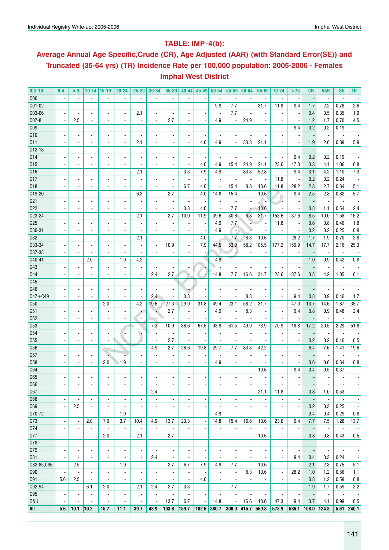# **Table: IMP–4(b):**

# **Average Annual Age Specific,Crude (CR), Age Adjusted (AAR) (with Standard Error(SE)) and Truncated (35-64 yrs) (TR) Incidence Rate per 100,000 population: 2005-2006 - Females Imphal West District**

| <b>ICD-10</b>   | $0-4$                    | $5-9$                    |                                            | $10-14$   15-19          | $20 - 24$                | $25 - 29$                | 30-34                    | $35 - 39$                | $40 - 44$                                  | $45 - 49$                | $50 - 54$                | $55 - 59$                | $60 - 64$                | 65-69                    | 70-74                        | >75                      | CR                       | <b>AAR</b>               | <b>SE</b>                | TR                       |
|-----------------|--------------------------|--------------------------|--------------------------------------------|--------------------------|--------------------------|--------------------------|--------------------------|--------------------------|--------------------------------------------|--------------------------|--------------------------|--------------------------|--------------------------|--------------------------|------------------------------|--------------------------|--------------------------|--------------------------|--------------------------|--------------------------|
| C <sub>00</sub> |                          |                          |                                            |                          |                          |                          |                          | $\blacksquare$           |                                            |                          |                          |                          |                          |                          |                              |                          |                          |                          |                          |                          |
| C01-02          |                          |                          | $\overline{a}$                             | $\blacksquare$           |                          |                          |                          | $\overline{a}$           | ä,                                         |                          | 9.9                      | 7.7                      |                          | 31.7                     | 11.8                         | 9.4                      | 1.7                      | 2.2                      | 0.78                     | 2.6                      |
| C03-06          |                          |                          | $\overline{\phantom{a}}$                   | $\overline{\phantom{a}}$ | $\blacksquare$           | 2.1                      | $\blacksquare$           | $\blacksquare$           | $\frac{1}{2}$                              |                          |                          | 7.7                      |                          |                          |                              |                          | 0.4                      | 0.5                      | 0.35                     | 1.0                      |
| C07-8           | $\blacksquare$           | 2.5                      | $\blacksquare$                             | $\blacksquare$           | $\blacksquare$           | ä,                       | $\blacksquare$           | 2.7                      | $\overline{\phantom{0}}$                   |                          | 4.9                      | $\blacksquare$           | 24.9                     | $\overline{a}$           | $\overline{\phantom{a}}$     | $\overline{\phantom{a}}$ | 1.2                      | 1.7                      | 0.70                     | 4.5                      |
| C <sub>09</sub> |                          | $\overline{\phantom{a}}$ | $\overline{\phantom{a}}$                   | $\overline{\phantom{a}}$ | $\blacksquare$           |                          | ÷,                       | $\blacksquare$           | $\frac{1}{2}$                              |                          |                          |                          |                          |                          | $\blacksquare$               | 9.4                      | 0.2                      | 0.2                      | 0.19                     |                          |
| C10             |                          |                          | $\blacksquare$                             | $\overline{\phantom{a}}$ |                          |                          |                          | $\blacksquare$           |                                            |                          |                          |                          |                          |                          |                              |                          |                          |                          |                          |                          |
| C11             |                          |                          | $\blacksquare$                             | $\blacksquare$           | $\blacksquare$           | 2.1                      |                          | $\blacksquare$           | $\overline{\phantom{0}}$                   | 4.0                      | 4.9                      |                          | 33.3                     | 21.1                     |                              | $\overline{\phantom{a}}$ | 1.9                      | 2.6                      | 0.89                     | 5.9                      |
| $C12-13$        |                          | $\overline{\phantom{a}}$ | $\blacksquare$                             | $\blacksquare$           | $\overline{a}$           | ÷,                       | ÷,                       | $\overline{a}$           | $\overline{a}$                             |                          |                          | $\overline{\phantom{a}}$ |                          | $\blacksquare$           | $\overline{a}$               | $\overline{\phantom{a}}$ |                          |                          |                          |                          |
| C14             |                          |                          | $\overline{\phantom{a}}$                   | $\overline{\phantom{a}}$ |                          |                          |                          | -                        |                                            |                          |                          |                          |                          | $\blacksquare$           |                              | 9.4                      | 0.2                      | 0.2                      | 0.19                     |                          |
| C15             |                          |                          | $\overline{a}$                             | $\blacksquare$           |                          |                          |                          | $\overline{a}$           | $\blacksquare$                             | 4.0                      | 4.9                      | 15.4                     | 24.9                     | 21.1                     | 23.6                         | 47.0                     | 3.3                      | 4.1                      | 1.06                     | 6.8                      |
| C16             | ٠                        | $\blacksquare$           | $\overline{\phantom{a}}$                   | $\overline{\phantom{a}}$ | $\blacksquare$           | 2.1                      | $\blacksquare$           | $\blacksquare$           | 3.3                                        | 7.9                      | 4.9                      | $\overline{\phantom{a}}$ | 33.3                     | 52.8                     | ä,                           | 9.4                      | 3.1                      | 4.2                      | 1.10                     | 7.3                      |
| C17             | $\blacksquare$           | $\blacksquare$           | $\overline{\phantom{a}}$                   | $\overline{\phantom{a}}$ | $\blacksquare$           | $\overline{a}$           | $\blacksquare$           | $\overline{\phantom{a}}$ | $\overline{\phantom{a}}$                   | $\overline{\phantom{a}}$ |                          | $\overline{\phantom{a}}$ | $\overline{\phantom{a}}$ | $\blacksquare$           | 11.8                         | $\overline{\phantom{a}}$ | 0.2                      | 0.2                      | 0.24                     | $\sim$                   |
| C18             | ٠                        | $\overline{\phantom{a}}$ | $\overline{\phantom{a}}$                   | $\overline{\phantom{a}}$ | $\overline{\phantom{a}}$ | ٠                        | $\overline{\phantom{a}}$ | $\blacksquare$           | 6.7                                        | 4.0                      |                          | 15.4                     | 8.3                      | 10.6                     | 11.8                         | 28.2                     | 2.3                      | 2.7                      | 0.84                     | 5.1                      |
| C19-20          |                          |                          | $\overline{a}$                             | $\overline{a}$           |                          | 6.3                      |                          | 2.7                      | $\blacksquare$                             | 4.0                      | 14.8                     | 15.4                     |                          | 10.6                     | đ                            | 9.4                      | 2.5                      | 2.8                      | 0.82                     | 5.7                      |
| C <sub>21</sub> | $\blacksquare$           |                          | $\blacksquare$                             | $\blacksquare$           | $\overline{\phantom{a}}$ | $\overline{a}$           | $\blacksquare$           | $\blacksquare$           | $\blacksquare$                             |                          |                          |                          |                          | ٠.                       | 44                           |                          |                          | $\blacksquare$           |                          |                          |
| C22             |                          | $\blacksquare$           | $\blacksquare$                             | $\overline{a}$           |                          |                          | $\overline{a}$           | $\overline{a}$           | 3.3                                        | 4.0                      |                          | 7.7                      |                          | 10.6                     |                              | $\overline{\phantom{a}}$ | 0.8                      | 1.1                      | 0.54                     | 2.4                      |
| C23-24          |                          | $\blacksquare$           | $\overline{\phantom{a}}$                   | $\overline{\phantom{a}}$ | $\blacksquare$           | 2.1                      | $\blacksquare$           | 2.7                      | 10.0                                       | 11.9                     | 39.6                     | 30.8                     | 8.3                      | 31.7                     | 153.6                        | 37.6                     | 8.5                      | 10.0                     | 1.58                     | 16.2                     |
| C <sub>25</sub> |                          |                          | $\overline{\phantom{a}}$                   | $\blacksquare$           |                          |                          |                          | $\blacksquare$           |                                            |                          | 4.9                      | 7.7                      |                          | $\overline{\phantom{a}}$ | 11.8                         | $\overline{\phantom{a}}$ | 0.6                      | 0.8                      | 0.46                     | 1.8                      |
| C30-31          | $\overline{\phantom{a}}$ | $\blacksquare$           | $\overline{\phantom{a}}$                   | $\overline{\phantom{a}}$ | $\blacksquare$           | ÷,                       | $\blacksquare$           | $\blacksquare$           | $\blacksquare$                             |                          | 4.9                      | $\overline{\phantom{a}}$ | ╰                        | $\overline{\phantom{a}}$ | $\overline{\phantom{a}}$     | $\overline{\phantom{a}}$ | 0.2                      | 0.2                      | 0.25                     | 0.8                      |
| C32             | $\blacksquare$           | $\blacksquare$           | $\overline{\phantom{a}}$                   | $\overline{\phantom{a}}$ | $\overline{a}$           | 2.1                      | ÷,                       | $\overline{a}$           | $\blacksquare$                             | 4.0                      |                          | 7.7                      | 8.3                      | 10.6                     | ÷,                           | 28.2                     | 1.7                      | 1.9                      | 0.70                     | 2.8                      |
| C33-34          |                          |                          |                                            |                          |                          |                          | $\blacksquare$           | 10.9                     |                                            | 7.9                      | 44.5                     | 53.9                     | 58.2                     | 105.5                    | 177.2                        | 159.9                    | 14.7                     | 17.7                     | 2.16                     | 25.3                     |
| C37-38          |                          | $\overline{\phantom{a}}$ | $\overline{\phantom{a}}$<br>$\overline{a}$ | $\overline{\phantom{a}}$ | $\overline{\phantom{a}}$ | $\overline{\phantom{a}}$ |                          | $\overline{a}$           | $\overline{\phantom{a}}$<br>$\blacksquare$ |                          |                          |                          |                          |                          |                              |                          |                          | $\blacksquare$           |                          |                          |
| C40-41          | $\overline{\phantom{a}}$ | $\blacksquare$           | 2.0                                        | $\overline{\phantom{a}}$ | 1.9                      | 4.2                      | $\blacksquare$           | $\overline{a}$           | $\overline{\phantom{0}}$                   |                          | 4.9                      |                          |                          | $\overline{a}$           | ä,                           |                          | 1.0                      | 0.9                      | 0.42                     | 0.8                      |
| C43             |                          |                          |                                            |                          |                          |                          |                          |                          | $\overline{\phantom{0}}$                   |                          |                          |                          |                          |                          |                              | $\overline{\phantom{a}}$ |                          |                          |                          |                          |
|                 |                          |                          | $\overline{\phantom{a}}$                   |                          |                          |                          |                          | 2.7                      |                                            |                          | 14.8                     | 7.7                      | 16.6                     | 31.7                     |                              | 37.6                     | 3.5                      | 4.2                      | 1.05                     |                          |
| C44             |                          |                          | $\overline{\phantom{a}}$                   | $\overline{\phantom{a}}$ |                          | $\overline{\phantom{a}}$ | 2.4                      |                          | ÷.                                         |                          |                          |                          |                          |                          | 23.6                         |                          |                          |                          |                          | 6.1                      |
| C45             | $\overline{a}$           | ä,                       | $\overline{\phantom{a}}$                   | $\overline{\phantom{a}}$ |                          | ä,                       |                          | $\overline{\phantom{a}}$ | Ξ.                                         |                          |                          |                          |                          |                          |                              |                          |                          | $\blacksquare$           |                          |                          |
| C46             | $\overline{\phantom{a}}$ | $\blacksquare$           | $\blacksquare$                             | $\blacksquare$           | $\overline{\phantom{a}}$ | $\blacksquare$           | $\overline{\phantom{a}}$ | $\overline{\phantom{a}}$ | ÷.                                         |                          |                          | $\overline{\phantom{a}}$ |                          | $\blacksquare$           | $\overline{\phantom{a}}$     |                          |                          | $\blacksquare$           | $\overline{\phantom{a}}$ |                          |
| $C47 + C49$     |                          | $\overline{\phantom{a}}$ | $\blacksquare$                             | $\blacksquare$           | $\blacksquare$           | $\overline{a}$           | $2.4\,$                  | $\blacksquare$           | $3.\overline{3}$                           |                          |                          | $\overline{\phantom{a}}$ | 8.3                      | $\overline{a}$           | $\blacksquare$               | 9.4                      | 0.8                      | 0.9                      | 0.46                     | 1.7                      |
| C50             |                          |                          | $\blacksquare$                             | 2.0                      | $\blacksquare$           | 4.2                      | 19.6                     | 27.3                     | 29.9                                       | 31.8                     | 49.4                     | 23.1                     | 58.2                     | 31.7                     | $\overline{\phantom{a}}$     | 47.0                     | 13.7                     | 14.6                     | 1.87                     | 35.7                     |
| C51             |                          |                          | $\blacksquare$                             | $\blacksquare$           | $\blacksquare$           | ÷.                       |                          | 2.7                      | $\overline{\phantom{a}}$                   |                          | 4.9                      |                          | 8.3                      | $\blacksquare$           | $\overline{\phantom{a}}$     | 9.4                      | 0.8                      | 0.9                      | 0.48                     | 2.4                      |
| C52             | $\overline{\phantom{a}}$ | $\blacksquare$           | $\blacksquare$                             | $\overline{a}$           | $\blacksquare$           | $\overline{\phantom{a}}$ |                          |                          |                                            |                          |                          |                          |                          |                          | ä,                           |                          |                          | $\overline{a}$           |                          |                          |
| C53             |                          |                          | $\blacksquare$                             | $\overline{\phantom{a}}$ | н.                       |                          | 7.3                      | 10.9                     | 36.6                                       | 67.5                     | 93.9                     | 61.5                     | 49.9                     | 73.9                     | 70.9                         | 18.8                     | 17.2                     | 20.5                     | 2.29                     | 51.8                     |
| C54             |                          |                          | $\blacksquare$                             | $\blacksquare$           | $\overline{\phantom{0}}$ | ÷                        |                          |                          |                                            |                          |                          |                          |                          |                          |                              |                          |                          |                          |                          |                          |
| C55             | $\overline{a}$           | ä,                       | $\overline{\phantom{a}}$                   | $\overline{\phantom{a}}$ | ٠                        | ٠.                       | $\overline{a}$           | 2.7                      | ä,                                         |                          |                          |                          |                          | $\overline{a}$           |                              |                          | 0.2                      | 0.2                      | 0.16                     | $0.5\,$                  |
| C <sub>56</sub> | $\overline{\phantom{a}}$ | $\blacksquare$           | $\overline{\phantom{a}}$                   | ۰.                       |                          | $\overline{\phantom{a}}$ | 4.9                      | 2.7                      | 26.6                                       | 19.8                     | 29.7                     | 7.7                      | 33.3                     | 42.2                     | ٠                            | $\overline{\phantom{a}}$ | 6.4                      | 7.6                      | 1.41                     | 19.6                     |
| C57             | $\overline{\phantom{a}}$ | $\overline{\phantom{a}}$ | $\overline{\phantom{a}}$                   | ٠                        |                          | ٠                        | $\overline{\phantom{a}}$ | $\overline{\phantom{a}}$ | $\overline{\phantom{a}}$                   |                          |                          |                          |                          |                          | $\overline{\phantom{a}}$     | $\overline{\phantom{a}}$ |                          | $\overline{\phantom{a}}$ | $\overline{\phantom{a}}$ |                          |
| C58             |                          |                          | $\blacksquare$                             | 2.0                      | 1.9                      |                          |                          | $\overline{\phantom{a}}$ |                                            |                          | 4.9                      |                          |                          |                          |                              |                          | 0.6                      | 0.6                      | 0.34                     | 0.8                      |
| C64             |                          |                          |                                            |                          |                          |                          |                          | $\blacksquare$           |                                            |                          |                          |                          |                          | 10.6                     |                              | 9.4                      | 0.4                      | 0.5                      | 0.37                     |                          |
| C65             |                          |                          |                                            |                          |                          |                          |                          |                          |                                            |                          |                          |                          |                          |                          |                              | $\overline{\phantom{a}}$ | $\blacksquare$           | ÷,                       |                          |                          |
| C66             | $\overline{\phantom{a}}$ |                          | $\overline{\phantom{a}}$                   | $\overline{\phantom{a}}$ | $\overline{\phantom{a}}$ | $\overline{\phantom{a}}$ | $\overline{\phantom{a}}$ | $\blacksquare$           | $\overline{\phantom{m}}$                   | $\overline{\phantom{a}}$ |                          | $\overline{\phantom{a}}$ |                          | $\overline{\phantom{a}}$ | $\qquad \qquad \blacksquare$ | $\overline{\phantom{a}}$ | $\overline{\phantom{a}}$ | $\overline{\phantom{a}}$ |                          | $\overline{\phantom{a}}$ |
| C67             | $\blacksquare$           | $\blacksquare$           | $\blacksquare$                             | $\blacksquare$           | $\overline{\phantom{a}}$ | $\overline{a}$           | 2.4                      | $\blacksquare$           | ÷,                                         |                          |                          | $\overline{\phantom{a}}$ |                          | 21.1                     | 11.8                         | $\overline{\phantom{a}}$ | 0.8                      | 1.0                      | 0.53                     | $\overline{\phantom{a}}$ |
| C68             | $\overline{\phantom{a}}$ | $\overline{\phantom{a}}$ | $\overline{\phantom{a}}$                   | $\overline{\phantom{a}}$ | $\overline{\phantom{a}}$ | $\overline{\phantom{a}}$ | $\overline{\phantom{a}}$ | $\overline{\phantom{a}}$ | ۰.                                         | $\overline{a}$           |                          | $\overline{\phantom{a}}$ |                          | $\blacksquare$           | $\overline{\phantom{a}}$     | $\overline{\phantom{a}}$ | $\overline{\phantom{a}}$ | $\overline{\phantom{a}}$ | $\overline{\phantom{a}}$ | $\overline{\phantom{a}}$ |
| C69             | $\overline{\phantom{a}}$ | 2.5                      | $\blacksquare$                             | $\blacksquare$           | $\blacksquare$           | $\blacksquare$           | $\overline{\phantom{a}}$ | $\overline{\phantom{a}}$ | $\blacksquare$                             | $\overline{\phantom{a}}$ | $\overline{\phantom{a}}$ | $\blacksquare$           | $\blacksquare$           | $\overline{\phantom{a}}$ | $\overline{\phantom{a}}$     | $\overline{\phantom{a}}$ | 0.2                      | 0.3                      | 0.25                     | $\overline{\phantom{a}}$ |
| C70-72          | $\overline{\phantom{a}}$ | $\overline{\phantom{a}}$ | $\overline{\phantom{a}}$                   | $\overline{\phantom{a}}$ | 1.9                      | $\overline{\phantom{a}}$ | $\overline{\phantom{a}}$ | $\overline{\phantom{a}}$ | $\overline{\phantom{a}}$                   | $\overline{\phantom{a}}$ | 4.9                      | $\overline{a}$           |                          | $\overline{\phantom{a}}$ | $\qquad \qquad \blacksquare$ | $\overline{\phantom{a}}$ | 0.4                      | 0.4                      | 0.29                     | 0.8                      |
| C73             | $\blacksquare$           | $\overline{\phantom{a}}$ | 2.0                                        | 7.9                      | 3.7                      | 10.4                     | 4.9                      | 13.7                     | 23.3                                       | $\overline{\phantom{a}}$ | 14.8                     | 15.4                     | 16.6                     | 10.6                     | 23.6                         | 9.4                      | 7.7                      | 7.5                      | 1.28                     | 13.7                     |
| C74             | $\overline{\phantom{a}}$ | $\blacksquare$           | $\overline{\phantom{a}}$                   | $\blacksquare$           | $\overline{\phantom{a}}$ | $\overline{\phantom{a}}$ | $\overline{\phantom{a}}$ | $\overline{\phantom{a}}$ | $\overline{\phantom{a}}$                   | $\overline{\phantom{a}}$ |                          | $\overline{\phantom{a}}$ |                          | $\blacksquare$           | $\overline{\phantom{a}}$     | $\overline{\phantom{a}}$ |                          | $\blacksquare$           | $\blacksquare$           | $\overline{\phantom{a}}$ |
| C77             | $\overline{\phantom{a}}$ | $\overline{\phantom{a}}$ | $\overline{\phantom{a}}$                   | 2.0                      | $\overline{\phantom{a}}$ | 2.1                      | $\overline{\phantom{a}}$ | 2.7                      | $\overline{\phantom{a}}$                   | $\overline{\phantom{a}}$ |                          | $\blacksquare$           |                          | 10.6                     | $\overline{\phantom{a}}$     | $\overline{\phantom{a}}$ | 0.8                      | 0.8                      | 0.43                     | 0.5                      |
| C78             | $\overline{\phantom{a}}$ | ٠                        | $\overline{\phantom{a}}$                   | $\overline{\phantom{a}}$ | $\overline{\phantom{a}}$ | $\overline{\phantom{a}}$ | $\overline{\phantom{a}}$ | $\overline{\phantom{a}}$ | -                                          |                          |                          | $\overline{a}$           |                          |                          | $\qquad \qquad \blacksquare$ | ÷                        |                          | ٠                        |                          | $\overline{\phantom{a}}$ |
| C79             | $\overline{\phantom{a}}$ | $\overline{\phantom{a}}$ | $\overline{\phantom{a}}$                   | $\overline{\phantom{a}}$ | $\overline{\phantom{a}}$ | $\overline{\phantom{a}}$ | $\overline{\phantom{a}}$ | $\overline{\phantom{a}}$ | $\overline{\phantom{a}}$                   |                          |                          |                          |                          | $\overline{\phantom{a}}$ | $\overline{\phantom{a}}$     | $\overline{\phantom{a}}$ | $\overline{\phantom{a}}$ | $\blacksquare$           | $\overline{\phantom{a}}$ | $\overline{\phantom{a}}$ |
| C81             | $\overline{\phantom{a}}$ | $\overline{\phantom{a}}$ | $\overline{\phantom{a}}$                   | $\overline{\phantom{a}}$ | $\overline{\phantom{a}}$ | $\overline{\phantom{a}}$ | 2.4                      | $\blacksquare$           | $\overline{\phantom{a}}$                   | $\overline{\phantom{a}}$ | ٠                        | $\overline{\phantom{a}}$ | $\overline{\phantom{a}}$ | $\blacksquare$           | $\overline{\phantom{a}}$     | 9.4                      | 0.4                      | 0.3                      | 0.24                     | $\overline{\phantom{a}}$ |
| C82-85, C96     | $\overline{\phantom{a}}$ | 2.5                      | $\overline{\phantom{a}}$                   | $\overline{\phantom{a}}$ | 1.9                      | $\overline{\phantom{a}}$ | $\overline{\phantom{a}}$ | 2.7                      | 6.7                                        | 7.9                      | 4.9                      | 7.7                      | $\overline{\phantom{a}}$ | 10.6                     | $\overline{\phantom{a}}$     | $\overline{\phantom{a}}$ | 2.1                      | 2.3                      | 0.75                     | 5.1                      |
| C90             | $\overline{\phantom{a}}$ | $\overline{\phantom{a}}$ | $\overline{\phantom{a}}$                   | $\overline{\phantom{a}}$ | $\overline{\phantom{a}}$ | $\overline{\phantom{a}}$ | $\blacksquare$           | $\overline{\phantom{a}}$ | $\overline{\phantom{a}}$                   |                          |                          | $\overline{\phantom{a}}$ | 8.3                      | 10.6                     | $\overline{\phantom{a}}$     | 28.2                     | 1.0                      | 1.2                      | 0.56                     | 1.1                      |
| C91             | 5.6                      | 2.5                      | $\blacksquare$                             | $\overline{\phantom{a}}$ | $\blacksquare$           | $\overline{\phantom{a}}$ | $\blacksquare$           | $\overline{\phantom{a}}$ | $\overline{\phantom{a}}$                   | 4.0                      | $\overline{\phantom{a}}$ |                          |                          | $\blacksquare$           | $\overline{\phantom{a}}$     | $\overline{\phantom{a}}$ | 0.8                      | 1.2                      | 0.59                     | $0.8\,$                  |
| C92-94          | $\overline{\phantom{a}}$ | $\overline{\phantom{a}}$ | 6.1                                        | 2.0                      | $\overline{\phantom{a}}$ | 2.1                      | 2.4                      | 2.7                      | 3.3                                        | $\overline{\phantom{a}}$ | $\overline{\phantom{a}}$ | 7.7                      | $\blacksquare$           | $\overline{\phantom{a}}$ | $\overline{\phantom{a}}$     | $\overline{\phantom{a}}$ | 1.9                      | 1.7                      | 0.59                     | 2.2                      |
| C95             | $\overline{\phantom{a}}$ | $\overline{\phantom{a}}$ | $\overline{\phantom{a}}$                   | $\overline{\phantom{a}}$ | $\overline{\phantom{a}}$ | $\overline{\phantom{a}}$ | $\overline{\phantom{a}}$ | $\overline{\phantom{a}}$ | $\overline{\phantom{a}}$                   |                          |                          |                          |                          | $\overline{\phantom{a}}$ | $\blacksquare$               | $\overline{\phantom{a}}$ |                          | $\overline{\phantom{a}}$ | $\overline{\phantom{a}}$ |                          |
| <b>0&amp;U</b>  | $\overline{\phantom{a}}$ | $\blacksquare$           | $\blacksquare$                             | $\blacksquare$           | $\overline{a}$           | ä,                       | $\overline{a}$           | 13.7                     | 6.7                                        | $\overline{a}$           | 14.8                     | $\blacksquare$           | 16.6                     | 10.6                     | 47.3                         | 9.4                      | 3.7                      | 4.1                      | 0.99                     | 8.5                      |
| All             | 5.6                      | 10.1                     | 10.2                                       | 15.7                     | 11.1                     | 39.7                     | 48.9                     | 103.8                    | 159.7                                      | 182.6                    | 380.7                    | 300.0                    | 415.7                    | 569.8                    | 578.9                        | 536.1                    | 108.0                    | 124.8                    |                          | $5.61$ 240.1             |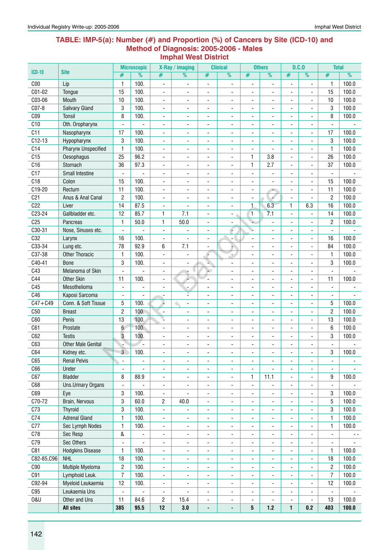#### **Table: IMP-5(a): Number (#) and Proportion (%) of Cancers by Site (ICD-10) and Method of Diagnosis: 2005-2006 - Males Imphal West District**

|                       |                            |                              | <b>Microscopic</b>       |                          | X-Ray / imaging          |                          | <b>Clinical</b>              |                                            | <b>Others</b>            | D.C.0                    |                              | <b>Total</b>                               |               |
|-----------------------|----------------------------|------------------------------|--------------------------|--------------------------|--------------------------|--------------------------|------------------------------|--------------------------------------------|--------------------------|--------------------------|------------------------------|--------------------------------------------|---------------|
| <b>ICD-10</b>         | <b>Site</b>                | #                            | %                        | #                        | $\overline{\frac{9}{0}}$ | $\#$                     | $\overline{\frac{9}{0}}$     | $\overline{\#}$                            | $\overline{\frac{9}{0}}$ | $\overline{\#}$          | $\frac{9}{6}$                | $\overline{\#}$                            | $\frac{9}{6}$ |
| C <sub>00</sub>       | Lip                        | $\mathbf{1}$                 | 100.                     | $\blacksquare$           | ÷,                       | $\overline{\phantom{a}}$ | $\blacksquare$               | $\qquad \qquad \blacksquare$               | $\overline{\phantom{a}}$ |                          | $\blacksquare$               | $\mathbf{1}$                               | 100.0         |
| C01-02                | Tongue                     | 15                           | 100.                     | $\blacksquare$           | $\overline{\phantom{a}}$ | $\blacksquare$           | $\blacksquare$               | $\blacksquare$                             | $\overline{\phantom{a}}$ | $\overline{a}$           | $\frac{1}{2}$                | 15                                         | 100.0         |
| C03-06                | Mouth                      | 10                           | 100.                     | $\blacksquare$           | $\blacksquare$           | $\blacksquare$           | $\blacksquare$               | $\blacksquare$                             | $\blacksquare$           | L.                       | ÷,                           | 10                                         | 100.0         |
| C07-8                 | <b>Salivary Gland</b>      | 3                            | 100.                     | $\blacksquare$           | $\blacksquare$           | $\blacksquare$           | $\blacksquare$               | $\overline{\phantom{a}}$                   | $\overline{a}$           | ä,                       | $\overline{\phantom{a}}$     | 3                                          | 100.0         |
| C <sub>09</sub>       | <b>Tonsil</b>              | 8                            | 100.                     | $\blacksquare$           | $\overline{a}$           | $\blacksquare$           | ÷.                           | $\overline{\phantom{a}}$                   | $\blacksquare$           | $\overline{a}$           | $\overline{a}$               | 8                                          | 100.0         |
| C10                   | Oth. Oropharynx            |                              | ÷,                       | ÷,                       |                          |                          |                              |                                            |                          |                          |                              | $\overline{a}$                             |               |
| C11                   | Nasopharynx                | 17                           | 100.                     | $\blacksquare$           |                          | ä,                       | ä,                           | ٠                                          |                          |                          |                              | 17                                         | 100.0         |
| $C12-13$              | Hypopharynx                | 3                            | 100.                     | $\overline{\phantom{a}}$ |                          | $\overline{a}$           | ٠                            | ٠                                          |                          |                          | ٠                            | 3                                          | 100.0         |
| C <sub>14</sub>       | <b>Pharynx Unspecified</b> | 1                            | 100.                     | $\overline{\phantom{a}}$ | $\overline{\phantom{a}}$ | $\overline{\phantom{m}}$ | $\qquad \qquad \blacksquare$ | ٠                                          |                          |                          |                              | $\mathbf{1}$                               | 100.0         |
| C15                   | <b>Oesophagus</b>          | 25                           | 96.2                     | $\overline{\phantom{a}}$ | $\overline{\phantom{a}}$ | $\overline{\phantom{m}}$ | $\overline{\phantom{a}}$     | 1                                          | 3.8                      | ٠                        | $\blacksquare$               | 26                                         | 100.0         |
| C16                   | Stomach                    | 36                           | 97.3                     | $\overline{\phantom{a}}$ | $\overline{\phantom{a}}$ | $\overline{\phantom{a}}$ | ÷                            | $\mathbf{1}$                               | 2.7                      | ٠                        | $\blacksquare$               | 37                                         | 100.0         |
| C17                   | Small Intestine            | L,                           | ÷,                       | $\blacksquare$           | $\blacksquare$           | $\blacksquare$           | ÷,                           | $\blacksquare$                             | $\blacksquare$           | ä,                       | $\blacksquare$               | $\overline{\phantom{a}}$                   |               |
| C18                   | Colon                      | 15                           | 100.                     | $\blacksquare$           |                          | ä,                       | ä,                           | $\overline{\phantom{a}}$                   |                          |                          | ä,                           | 15                                         | 100.0         |
| C19-20                | Rectum                     | 11                           | 100.                     | $\overline{\phantom{a}}$ | $\overline{\phantom{a}}$ | $\blacksquare$           | $\blacksquare$               | $\qquad \qquad \blacksquare$               |                          |                          | ÷                            | 11                                         | 100.0         |
| C <sub>21</sub>       | Anus & Anal Canal          | $\overline{c}$               | 100.                     | $\overline{\phantom{a}}$ | $\blacksquare$           | $\blacksquare$           | $\overline{\phantom{a}}$     | $\blacksquare$                             |                          |                          | $\overline{a}$               | $\overline{c}$                             | 100.0         |
| C22                   | Liver                      | 14                           | 87.5                     | $\blacksquare$           |                          | $\blacksquare$           | $\blacksquare$               | $\mathbf{1}$                               | 6.3                      | 1                        | 6.3                          | 16                                         | 100.0         |
| C23-24                | Gallbladder etc.           | 12                           | 85.7                     | 1                        | 7.1                      | $\blacksquare$           | ٠                            | 1                                          | 7.1                      | ä,                       | $\blacksquare$               | 14                                         | 100.0         |
| C <sub>25</sub>       | Pancreas                   | $\mathbf{1}$                 | 50.0                     | $\mathbf{1}$             | 50.0                     | $\blacksquare$           | ä,                           | ٠                                          | $\overline{a}$           | $\overline{a}$           | ÷,                           | $\overline{c}$                             | 100.0         |
| C30-31                | Nose, Sinuses etc.         | L.                           |                          | $\blacksquare$           |                          | L.                       | ¢                            | ù.                                         | $\overline{a}$           | $\overline{a}$           | ä,                           | $\overline{a}$                             |               |
| C32                   | Larynx                     | 16                           | 100.                     | $\blacksquare$           |                          |                          | Ĭ.                           |                                            |                          |                          |                              | 16                                         | 100.0         |
| C33-34                | Lung etc.                  | 78                           | 92.9                     | 6                        | 7.1                      | ٠                        | ۳                            | ٠                                          |                          | ٠                        |                              | 84                                         | 100.0         |
| C37-38                | <b>Other Thoracic</b>      | 1                            | 100.                     | $\overline{\phantom{a}}$ | $\overline{\phantom{a}}$ | F                        | ÷.                           | $\overline{\phantom{a}}$                   |                          |                          |                              | $\mathbf{1}$                               | 100.0         |
| C40-41<br>C43         | <b>Bone</b>                | 3                            | 100.                     | $\overline{\phantom{a}}$ | $\overline{a}$           | ¥.                       | $\overline{\phantom{a}}$     | $\overline{\phantom{a}}$                   | $\overline{\phantom{a}}$ | ٠                        | $\overline{\phantom{a}}$     | 3                                          | 100.0         |
|                       | Melanoma of Skin           | ÷,                           |                          | $\overline{\phantom{a}}$ |                          | $\rightarrow$            | $\qquad \qquad \blacksquare$ | $\qquad \qquad \blacksquare$               | $\blacksquare$           | $\overline{\phantom{0}}$ | $\overline{\phantom{a}}$     | $\blacksquare$                             |               |
| C44<br>C45            | Other Skin<br>Mesothelioma | 11                           | 100.                     | $\overline{\phantom{a}}$ |                          | ÷,                       | ÷,                           | $\blacksquare$                             | $\blacksquare$           | ä,                       | $\blacksquare$               | 11                                         | 100.0         |
| C46                   | Kaposi Sarcoma             | ä,<br>ä,                     | $\overline{\phantom{a}}$ | $\overline{\phantom{a}}$ |                          | ÷,<br>ä,                 | ÷,<br>ä,                     | $\blacksquare$<br>$\overline{\phantom{a}}$ |                          |                          | ä,<br>ä,                     | $\overline{\phantom{a}}$<br>$\blacksquare$ |               |
| $\overline{C}$ 47+C49 | Conn. & Soft Tissue        | 5                            | 100.                     | Ļ                        | $\overline{\phantom{a}}$ | $\overline{\phantom{a}}$ | $\blacksquare$               | $\blacksquare$                             | $\blacksquare$           | ä,                       | $\blacksquare$               | 5                                          | 100.0         |
| C50                   | <b>Breast</b>              | $\overline{c}$               | 100.                     | $\overline{\phantom{a}}$ | $\overline{\phantom{a}}$ | $\blacksquare$           | $\qquad \qquad \blacksquare$ | $\blacksquare$                             | $\overline{\phantom{a}}$ | ÷,                       | $\overline{a}$               | $\mathbf{2}$                               | 100.0         |
| C60                   | Penis                      | 13                           | 100.                     |                          | $\blacksquare$           | $\blacksquare$           | $\blacksquare$               | $\blacksquare$                             | $\blacksquare$           | ä,                       | $\overline{\phantom{a}}$     | 13                                         | 100.0         |
| C61                   | Prostate                   | 6                            | 100.                     | $\overline{\phantom{a}}$ | $\overline{a}$           | $\overline{\phantom{a}}$ | ä,                           | ٠                                          | $\overline{a}$           | ٠                        | ÷,                           | 6                                          | 100.0         |
| C62                   | <b>Testis</b>              | $\overline{3}$               | 100.                     | ÷,                       |                          | ÷,                       |                              |                                            |                          |                          |                              | 3                                          | 100.0         |
| C63                   | <b>Other Male Genital</b>  |                              | $\blacksquare$           | $\blacksquare$           |                          |                          | ä,                           | ٠                                          |                          |                          |                              |                                            |               |
| C64                   | Kidney etc.                | 3                            | 100.                     |                          |                          | $\blacksquare$           | ٠                            | ٠                                          |                          | ٠                        | ÷,                           | 3                                          | 100.0         |
| C65                   | <b>Renal Pelvis</b>        | $\qquad \qquad \blacksquare$ | $\overline{\phantom{a}}$ | ٠                        | $\overline{\phantom{a}}$ | $\overline{\phantom{a}}$ | $\overline{\phantom{a}}$     | $\qquad \qquad \blacksquare$               | $\overline{\phantom{a}}$ | -                        | $\qquad \qquad \blacksquare$ | $\overline{\phantom{a}}$                   | ٠             |
| C66                   | Ureter                     | $\qquad \qquad \blacksquare$ | $\overline{\phantom{a}}$ | $\overline{\phantom{a}}$ | $\overline{\phantom{a}}$ | $\overline{\phantom{a}}$ | -                            | ۰                                          | $\overline{\phantom{a}}$ | -                        | $\qquad \qquad \blacksquare$ | $\blacksquare$                             |               |
| C67                   | <b>Bladder</b>             | 8                            | 88.9                     | $\blacksquare$           | $\overline{\phantom{a}}$ | $\overline{\phantom{a}}$ | ٠                            | $\mathbf{1}$                               | 11.1                     | ÷,                       | $\blacksquare$               | 9                                          | 100.0         |
| C68                   | <b>Uns.Urinary Organs</b>  | $\frac{1}{2}$                | $\blacksquare$           | $\overline{\phantom{a}}$ | $\overline{\phantom{a}}$ | $\overline{\phantom{a}}$ | ۰                            | $\overline{\phantom{a}}$                   | $\blacksquare$           | ÷,                       | $\blacksquare$               | ä,                                         |               |
| C69                   | Eye                        | 3                            | 100.                     | $\overline{\phantom{a}}$ | $\overline{\phantom{a}}$ | ٠                        | -                            | ۰                                          | $\overline{\phantom{a}}$ | -                        | $\qquad \qquad \blacksquare$ | 3                                          | 100.0         |
| C70-72                | Brain, Nervous             | 3                            | 60.0                     | $\overline{c}$           | 40.0                     | $\blacksquare$           | $\blacksquare$               | $\blacksquare$                             | $\overline{\phantom{a}}$ | ٠                        | $\frac{1}{2}$                | 5                                          | 100.0         |
| C73                   | <b>Thyroid</b>             | 3                            | 100.                     | $\overline{\phantom{a}}$ | $\overline{\phantom{a}}$ | $\overline{\phantom{a}}$ | $\overline{\phantom{a}}$     | $\overline{\phantom{a}}$                   | $\blacksquare$           | $\overline{\phantom{0}}$ | $\blacksquare$               | 3                                          | 100.0         |
| C74                   | <b>Adrenal Gland</b>       | $\mathbf{1}$                 | 100.                     | $\overline{\phantom{a}}$ | $\blacksquare$           | $\overline{\phantom{a}}$ | $\overline{\phantom{0}}$     | $\blacksquare$                             | $\blacksquare$           | $\overline{\phantom{0}}$ | $\overline{\phantom{a}}$     | $\mathbf{1}$                               | 100.0         |
| C77                   | Sec Lymph Nodes            | $\mathbf{1}$                 | 100.                     | $\overline{\phantom{a}}$ | $\overline{\phantom{a}}$ | $\blacksquare$           | ÷,                           | $\blacksquare$                             | $\blacksquare$           | $\overline{\phantom{0}}$ | ä,                           | $\mathbf{1}$                               | 100.0         |
| C78                   | Sec Resp                   | &                            | $\blacksquare$           | $\overline{\phantom{a}}$ | $\overline{\phantom{a}}$ | $\overline{\phantom{a}}$ | ÷,                           | $\qquad \qquad \blacksquare$               | $\overline{\phantom{a}}$ | ä,                       | ÷,                           | $\overline{\phantom{a}}$                   | $\sim$ $-$    |
| C79                   | Sec Others                 |                              |                          | $\overline{\phantom{a}}$ |                          | $\overline{\phantom{a}}$ | -                            | ۰                                          | $\overline{\phantom{a}}$ | -                        | -                            | $\overline{\phantom{a}}$                   |               |
| C81                   | <b>Hodgkins Disease</b>    | 1                            | 100.                     | ٠                        | $\overline{\phantom{a}}$ | $\overline{\phantom{a}}$ | $\overline{\phantom{a}}$     | ۰                                          | $\overline{\phantom{a}}$ | -                        | $\qquad \qquad \blacksquare$ | $\mathbf{1}$                               | 100.0         |
| C82-85,C96            | <b>NHL</b>                 | 18                           | 100.                     | ٠                        | $\overline{\phantom{a}}$ | $\overline{\phantom{a}}$ | $\overline{\phantom{a}}$     | $\overline{\phantom{a}}$                   | $\overline{\phantom{a}}$ | ÷,                       | $\qquad \qquad \blacksquare$ | 18                                         | 100.0         |
| C90                   | Multiple Myeloma           | $\overline{c}$               | 100.                     | $\overline{\phantom{a}}$ | $\overline{\phantom{a}}$ | $\overline{\phantom{a}}$ | ٠                            | $\qquad \qquad \blacksquare$               | $\overline{\phantom{a}}$ | ٠                        | $\blacksquare$               | $\overline{c}$                             | 100.0         |
| C91                   | Lymphoid Leuk.             | $\overline{7}$               | 100.                     | $\blacksquare$           | $\overline{\phantom{a}}$ | $\overline{\phantom{a}}$ | ÷,                           | $\blacksquare$                             | $\overline{\phantom{a}}$ |                          | $\blacksquare$               | $\overline{7}$                             | 100.0         |
| C92-94                | Myeloid Leukaemia          | 12                           | 100.                     | $\blacksquare$           | $\overline{\phantom{a}}$ | $\overline{\phantom{a}}$ | $\overline{\phantom{0}}$     | $\overline{\phantom{a}}$                   | $\overline{\phantom{a}}$ | ÷,                       | $\overline{\phantom{a}}$     | 12                                         | 100.0         |
| C95                   | Leukaemia Uns              | $\overline{\phantom{a}}$     |                          | $\overline{\phantom{a}}$ | $\overline{\phantom{a}}$ | $\overline{\phantom{a}}$ | $\overline{\phantom{a}}$     | $\overline{\phantom{a}}$                   | $\overline{\phantom{a}}$ | ٠                        | $\blacksquare$               | $\blacksquare$                             |               |
| 0&U                   | Other and Uns              | 11                           | 84.6                     | $\overline{\mathbf{c}}$  | 15.4                     | $\overline{\phantom{a}}$ | $\overline{\phantom{a}}$     | $\overline{\phantom{a}}$                   |                          | ä,                       | $\frac{1}{2}$                | 13                                         | 100.0         |
|                       | <b>All sites</b>           | 385                          | 95.5                     | 12                       | 3.0                      | $\blacksquare$           | ۰                            | $\bf 5$                                    | $1.2$                    | $\mathbf{1}$             | 0.2                          | 403                                        | 100.0         |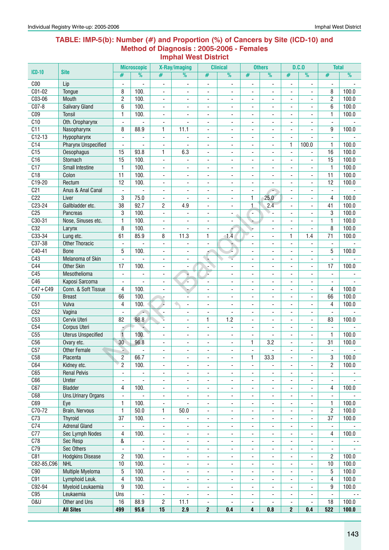### **Table: IMP-5(b): Number (#) and Proportion (%) of Cancers by Site (ICD-10) and Method of Diagnosis : 2005-2006 - Females Imphal West District**

|                             |                            |                          | <b>Microscopic</b>       |                                                      | <b>X-Ray/imaging</b>             |                                  | <b>Clinical</b>          |                                                      | <b>Others</b>                  |                                            | D.C.0                           | <b>Total</b>                  |                |
|-----------------------------|----------------------------|--------------------------|--------------------------|------------------------------------------------------|----------------------------------|----------------------------------|--------------------------|------------------------------------------------------|--------------------------------|--------------------------------------------|---------------------------------|-------------------------------|----------------|
| $ICD-10$                    | <b>Site</b>                | #                        | $\overline{\frac{9}{6}}$ | #                                                    | $\overline{\frac{9}{0}}$         | #                                | %                        | #                                                    | $\overline{\frac{9}{0}}$       | #                                          | $\overline{\frac{9}{0}}$        | #                             | $\frac{9}{6}$  |
| C <sub>00</sub>             | Lip                        | ÷,                       |                          | ۰                                                    | ä,                               | ÷,                               | ٠                        |                                                      | ÷,                             | ä,                                         |                                 | ۰                             |                |
| $C01-02$                    | Tongue                     | 8                        | 100.                     | $\overline{\phantom{a}}$                             | $\overline{\phantom{a}}$         | $\overline{\phantom{a}}$         | ٠                        | $\overline{\phantom{a}}$                             | ٠                              | $\blacksquare$                             | $\overline{\phantom{a}}$        | 8                             | 100.0          |
| C03-06                      | Mouth                      | $\mathbf{2}$             | 100.                     | $\overline{\phantom{a}}$                             | $\blacksquare$                   | $\blacksquare$                   | $\blacksquare$           | $\blacksquare$                                       | $\overline{\phantom{0}}$       | ä,                                         | $\blacksquare$                  | 2                             | 100.0          |
| $C07-8$                     | <b>Salivary Gland</b>      | 6                        | 100.                     | $\blacksquare$                                       | $\blacksquare$                   | $\blacksquare$                   | ٠                        | $\blacksquare$                                       | ٠                              | $\blacksquare$                             | ä,                              | 6                             | 100.0          |
| C <sub>09</sub>             | Tonsil                     | $\mathbf{1}$             | 100.                     | ۰                                                    | $\overline{a}$                   | $\overline{\phantom{a}}$         | ٠                        | $\overline{\phantom{a}}$                             | ٠                              | $\blacksquare$                             | $\overline{\phantom{a}}$        | 1                             | 100.0          |
| C10                         | Oth. Oropharynx            | $\blacksquare$           |                          | -                                                    |                                  | $\qquad \qquad \blacksquare$     | ٠                        | $\overline{\phantom{a}}$                             | ٠                              |                                            |                                 | $\overline{\phantom{a}}$      |                |
| C11                         | Nasopharynx                | 8                        | 88.9                     | 1                                                    | 11.1                             | ä,                               | ٠                        | $\overline{a}$                                       | ä,                             |                                            |                                 | 9                             | 100.0          |
| $C12-13$                    | Hypopharynx                | $\blacksquare$           | $\blacksquare$           | $\blacksquare$                                       | $\overline{a}$                   | $\blacksquare$                   |                          | $\overline{\phantom{a}}$                             | $\overline{\phantom{0}}$       | $\overline{a}$                             |                                 | $\overline{\phantom{0}}$      |                |
| C <sub>14</sub>             | <b>Pharynx Unspecified</b> | $\overline{\phantom{a}}$ | $\overline{\phantom{a}}$ | $\overline{\phantom{a}}$                             |                                  | $\blacksquare$                   | ٠                        | $\blacksquare$                                       | $\blacksquare$                 | $\mathbf{1}$                               | 100.0                           | 1                             | 100.0          |
| C15                         | Oesophagus                 | 15                       | 93.8                     | 1                                                    | 6.3                              | $\blacksquare$                   | ٠                        | $\blacksquare$                                       | ÷.                             | $\blacksquare$                             | $\blacksquare$                  | 16                            | 100.0          |
| $\overline{C16}$            | Stomach                    | 15                       | 100.                     | $\blacksquare$                                       | $\blacksquare$                   | $\blacksquare$                   | $\blacksquare$           | $\overline{\phantom{a}}$                             | ä,                             |                                            | ä,                              | 15                            | 100.0          |
| $\overline{C17}$            | Small Intestine            | $\mathbf{1}$             | 100.                     | $\overline{\phantom{a}}$                             | $\blacksquare$                   | $\blacksquare$                   | $\blacksquare$           | $\blacksquare$                                       | $\overline{\phantom{0}}$       | ä,                                         | $\blacksquare$                  | $\mathbf{1}$                  | 100.0          |
| $\overline{C18}$            | Colon                      | $\overline{11}$          | 100.                     | $\overline{\phantom{a}}$                             | $\overline{\phantom{a}}$         | $\overline{\phantom{a}}$         | $\overline{\phantom{a}}$ | $\overline{\phantom{a}}$                             | $\overline{\phantom{0}}$       | $\blacksquare$                             | $\overline{\phantom{a}}$        | $\overline{11}$               | 100.0          |
| $C19-20$                    | Rectum                     | 12                       | 100.                     | $\overline{\phantom{a}}$                             | $\overline{a}$                   | $\overline{\phantom{a}}$         | ٠                        | $\overline{\phantom{a}}$                             |                                |                                            | $\overline{\phantom{a}}$        | 12                            | 100.0          |
| C <sub>21</sub>             | Anus & Anal Canal          | $\overline{a}$           |                          | $\blacksquare$                                       | $\overline{\phantom{a}}$         | $\overline{\phantom{a}}$         | $\blacksquare$           | $\overline{\phantom{a}}$                             | Ξ                              | ÷,                                         | $\blacksquare$                  | $\frac{1}{2}$                 |                |
| C <sub>22</sub>             | Liver                      | 3                        | 75.0                     | ÷,                                                   | $\overline{a}$                   | $\blacksquare$                   | $\blacksquare$           | 1                                                    | 25.0                           | $\mathbf{r}$                               | $\blacksquare$                  | 4                             | 100.0          |
| $C23-24$<br>C <sub>25</sub> | Gallbladder etc.           | 38                       | 92.7                     | 2                                                    | 4.9                              | $\overline{\phantom{a}}$         |                          | 1                                                    | 2.4<br>÷,                      | ä,                                         | $\blacksquare$                  | 41                            | 100.0<br>100.0 |
| $C30-31$                    | Pancreas                   | 3                        | 100.<br>100.             | $\overline{\phantom{a}}$                             | $\blacksquare$                   | $\overline{\phantom{a}}$         | $\overline{\phantom{a}}$ | ٠.<br>$\overline{\phantom{a}}$                       |                                | $\blacksquare$<br>$\overline{\phantom{a}}$ | $\blacksquare$                  | 3                             | 100.0          |
| C <sub>32</sub>             | Nose, Sinuses etc.         | $\mathbf{1}$<br>8        | 100.                     | $\blacksquare$                                       | $\blacksquare$<br>$\blacksquare$ | $\blacksquare$<br>$\blacksquare$ | $\overline{a}$           |                                                      | L.<br>$\overline{\phantom{a}}$ | $\blacksquare$                             | $\blacksquare$                  | 1<br>8                        | 100.0          |
| $C33-34$                    | Larynx<br>Lung etc.        | 61                       | 85.9                     | $\overline{\phantom{a}}$<br>8                        | 11.3                             | 1                                | 1.4                      | ۰,<br>$\blacksquare$                                 | $\overline{\phantom{0}}$       | 1                                          | $\blacksquare$<br>1.4           | $\overline{71}$               | 100.0          |
| C37-38                      | <b>Other Thoracic</b>      | $\overline{\phantom{a}}$ |                          |                                                      |                                  | -                                |                          |                                                      |                                | ٠                                          |                                 |                               |                |
| $C40-41$                    | <b>Bone</b>                | 5                        | 100.                     | $\overline{\phantom{a}}$<br>$\overline{\phantom{a}}$ | $\overline{a}$                   |                                  | ٠<br>z                   | $\overline{\phantom{a}}$<br>$\overline{\phantom{a}}$ | -<br>۰                         |                                            | $\overline{\phantom{a}}$        | $\overline{\phantom{a}}$<br>5 | 100.0          |
| C43                         | Melanoma of Skin           | $\overline{\phantom{a}}$ | $\overline{a}$           | $\overline{\phantom{a}}$                             | $\blacksquare$                   | ۰.                               | ਵ                        | $\blacksquare$                                       | ä,                             | L.                                         | $\overline{\phantom{a}}$        | $\overline{a}$                |                |
| C44                         | Other Skin                 | 17                       | 100.                     | $\blacksquare$                                       | $\overline{a}$                   | ÷                                |                          | $\overline{\phantom{a}}$                             | ä,                             | $\overline{a}$                             | ä,                              | 17                            | 100.0          |
| C45                         | Mesothelioma               | $\blacksquare$           | $\blacksquare$           | $\overline{\phantom{a}}$                             | ÷                                | Ŀ                                |                          | $\blacksquare$                                       | ٠                              | $\blacksquare$                             | ٠                               | ٠                             |                |
| C46                         | Kaposi Sarcoma             | $\blacksquare$           |                          | $\overline{\phantom{a}}$                             | z                                | $\blacksquare$                   | ٠                        | $\overline{\phantom{a}}$                             | $\overline{\phantom{0}}$       | $\blacksquare$                             | $\blacksquare$                  | $\blacksquare$                |                |
| $C47 + C49$                 | Conn. & Soft Tissue        | 4                        | 100.                     | $\overline{\phantom{a}}$                             |                                  | $\blacksquare$                   | $\blacksquare$           | $\blacksquare$                                       | ä,                             | $\overline{\phantom{a}}$                   | ÷,                              | 4                             | 100.0          |
| C50                         | <b>Breast</b>              | 66                       | 100.                     | ÷                                                    | $\blacksquare$                   | $\blacksquare$                   | $\blacksquare$           | $\overline{\phantom{a}}$                             | $\overline{\phantom{0}}$       | $\overline{a}$                             | $\blacksquare$                  | 66                            | 100.0          |
| C51                         | Vulva                      | $\overline{4}$           | 100.                     | ۷                                                    | ۰<br>$\overline{\phantom{a}}$    | $\overline{\phantom{a}}$         | ٠                        | $\overline{\phantom{a}}$                             | $\overline{\phantom{0}}$       | $\blacksquare$                             | $\overline{\phantom{a}}$        | 4                             | 100.0          |
| C52                         | Vagina                     |                          | ÷.                       | ÷,                                                   | $\overline{a}$                   | $\overline{\phantom{m}}$         |                          | $\overline{\phantom{a}}$                             | ۰                              |                                            |                                 |                               |                |
| C53                         | Cervix Uteri               | 82                       | 98.8                     | ₹                                                    | $\overline{\phantom{a}}$         | 1                                | 1.2                      | $\overline{\phantom{a}}$                             | $\overline{\phantom{a}}$       |                                            | $\overline{\phantom{a}}$        | 83                            | 100.0          |
| C54                         | Corpus Uteri               |                          | ÷                        | ÷.                                                   | $\blacksquare$                   | $\blacksquare$                   | $\blacksquare$           | $\blacksquare$                                       | ä,                             | $\overline{\phantom{0}}$                   | ۰.                              | $\overline{\phantom{a}}$      |                |
| C55                         | <b>Uterus Unspecified</b>  | $\mathbf{1}$             | 100.                     | $\overline{\phantom{a}}$                             | $\blacksquare$                   | $\overline{\phantom{a}}$         | ٠                        | $\blacksquare$                                       | $\overline{\phantom{0}}$       | $\blacksquare$                             | $\blacksquare$                  | 1                             | 100.0          |
| C56                         | Ovary etc.                 | 30                       | 96.8                     | $\overline{\phantom{a}}$                             | $\blacksquare$                   | $\overline{\phantom{a}}$         | ٠                        | 1                                                    | 3.2                            | $\blacksquare$                             | $\blacksquare$                  | 31                            | 100.0          |
| C57                         | <b>Other Female</b>        | v.                       | $\overline{\phantom{a}}$ | ÷,                                                   | $\blacksquare$                   | $\blacksquare$                   | $\blacksquare$           | $\blacksquare$                                       | ÷,                             | ÷,                                         | $\blacksquare$                  | $\blacksquare$                | $\blacksquare$ |
| C58                         | Placenta                   | 2                        | 66.7                     | ۰                                                    | ۰                                | ٠                                | ٠                        | 1                                                    | 33.3                           | -                                          | $\blacksquare$                  | 3                             | 100.0          |
| C64                         | Kidney etc.                | $\overline{2}$           | 100.                     | $\overline{\phantom{a}}$                             | $\overline{\phantom{a}}$         | $\overline{\phantom{a}}$         | $\overline{\phantom{a}}$ | $\overline{\phantom{a}}$                             |                                | ÷                                          | $\overline{\phantom{a}}$        | $\overline{2}$                | 100.0          |
| C65                         | <b>Renal Pelvis</b>        | $\overline{\phantom{a}}$ | $\overline{\phantom{a}}$ | $\overline{\phantom{a}}$                             | $\overline{\phantom{a}}$         | $\overline{\phantom{a}}$         | $\overline{\phantom{a}}$ | $\overline{\phantom{a}}$                             | ٠                              | ÷                                          | $\overline{\phantom{a}}$        | $\overline{\phantom{a}}$      |                |
| C66                         | Ureter                     | $\blacksquare$           |                          | $\overline{\phantom{a}}$                             | $\overline{\phantom{a}}$         | $\blacksquare$                   | $\blacksquare$           | $\overline{\phantom{a}}$                             | $\overline{\phantom{0}}$       | ä,                                         | $\overline{\phantom{a}}$        | ÷,                            |                |
| C67                         | <b>Bladder</b>             | 4                        | 100.                     | $\overline{\phantom{a}}$                             | $\overline{\phantom{a}}$         | $\overline{\phantom{a}}$         | $\overline{\phantom{a}}$ | $\overline{\phantom{a}}$                             | $\blacksquare$                 | $\overline{\phantom{a}}$                   | $\overline{\phantom{a}}$        | 4                             | 100.0          |
| C68                         | <b>Uns.Urinary Organs</b>  | $\overline{\phantom{a}}$ | $\overline{\phantom{a}}$ | $\overline{\phantom{a}}$                             | ÷                                | $\overline{\phantom{a}}$         | ٠                        | $\overline{\phantom{a}}$                             | ÷,                             | ÷                                          | $\overline{\phantom{a}}$        | $\overline{\phantom{a}}$      |                |
| C69                         | Eye                        | $\mathbf{1}$             | 100.                     | $\overline{\phantom{a}}$                             | ÷                                | $\overline{\phantom{a}}$         | $\overline{\phantom{a}}$ | $\overline{\phantom{a}}$                             | $\overline{\phantom{0}}$       | $\overline{\phantom{a}}$                   | $\blacksquare$                  | 1                             | 100.0          |
| C70-72                      | Brain, Nervous             | $\mathbf{1}$             | 50.0                     | 1                                                    | 50.0                             | $\blacksquare$                   | $\blacksquare$           | $\overline{\phantom{a}}$                             | ÷,                             | $\blacksquare$                             | $\blacksquare$                  | $\overline{c}$                | 100.0          |
| C <sub>73</sub>             | <b>Thyroid</b>             | 37                       | 100.                     | $\overline{\phantom{a}}$                             | $\blacksquare$                   | $\blacksquare$                   | $\blacksquare$           | $\blacksquare$                                       | $\overline{\phantom{a}}$       | $\blacksquare$                             | $\blacksquare$                  | $\overline{37}$               | 100.0          |
| C <sub>74</sub>             | <b>Adrenal Gland</b>       | $\overline{\phantom{a}}$ |                          | $\overline{\phantom{a}}$                             | $\overline{\phantom{a}}$         | $\overline{\phantom{a}}$         | $\overline{\phantom{a}}$ | $\blacksquare$                                       | ٠                              | $\overline{\phantom{0}}$                   | ٠                               | $\overline{\phantom{a}}$      |                |
| C <sub>77</sub>             | Sec Lymph Nodes            | 4                        | 100.                     | $\overline{\phantom{a}}$                             | $\overline{\phantom{a}}$         | $\overline{\phantom{a}}$         | ٠                        | $\overline{\phantom{a}}$                             | ۰                              | $\overline{\phantom{a}}$                   | ٠                               | 4                             | 100.0          |
| C78                         | Sec Resp                   | &                        | $\overline{\phantom{a}}$ | ٠                                                    | $\overline{\phantom{a}}$         | $\overline{\phantom{a}}$         | ٠                        | $\overline{\phantom{a}}$                             | $\overline{\phantom{0}}$       | $\overline{\phantom{a}}$                   | ۰                               | $\blacksquare$                |                |
| C79                         | Sec Others                 | $\blacksquare$           | ÷.                       | $\blacksquare$                                       | $\overline{\phantom{a}}$         | $\overline{\phantom{a}}$         | $\overline{\phantom{a}}$ | $\overline{\phantom{a}}$                             | ÷,                             | $\blacksquare$                             | $\overline{\phantom{a}}$        | $\overline{\phantom{a}}$      |                |
| C81                         | <b>Hodgkins Disease</b>    | $\overline{c}$           | 100.                     | $\blacksquare$                                       | $\overline{\phantom{a}}$         | $\overline{\phantom{a}}$         | $\overline{\phantom{a}}$ | $\blacksquare$                                       | ÷,                             | $\overline{\phantom{a}}$                   | $\blacksquare$                  | $\overline{c}$                | 100.0          |
| C82-85, C96                 | <b>NHL</b>                 | 10                       | 100.                     | $\overline{\phantom{a}}$                             | $\overline{\phantom{a}}$         | $\overline{\phantom{a}}$         | $\overline{\phantom{a}}$ | $\overline{\phantom{a}}$                             | $\overline{\phantom{0}}$       | $\overline{\phantom{a}}$                   | $\overline{\phantom{a}}$        | 10                            | 100.0          |
| C90                         | Multiple Myeloma           | 5                        | 100.                     | $\overline{\phantom{a}}$                             | $\blacksquare$                   | $\overline{\phantom{a}}$         | $\overline{\phantom{a}}$ | $\overline{\phantom{a}}$                             | ۰                              | $\overline{\phantom{a}}$                   | $\overline{\phantom{a}}$        | 5                             | 100.0          |
| C91                         | Lymphoid Leuk.             | 4                        | 100.                     | $\overline{\phantom{a}}$                             | $\overline{\phantom{a}}$         | $\overline{\phantom{a}}$         | $\overline{\phantom{a}}$ | $\overline{\phantom{a}}$                             | $\overline{\phantom{0}}$       | $\overline{\phantom{a}}$                   | $\overline{\phantom{a}}$        | 4                             | 100.0          |
| C92-94                      | Myeloid Leukaemia          | 9                        | 100.                     | $\overline{\phantom{a}}$                             | $\overline{\phantom{a}}$         | $\overline{\phantom{a}}$         | $\blacksquare$           | $\overline{\phantom{a}}$                             | ٠                              | ä,                                         | ٠                               | 9                             | 100.0          |
| C95<br><b>0&amp;U</b>       | Leukaemia<br>Other and Uns | Uns                      | 88.9                     | $\overline{\phantom{a}}$                             | $\overline{\phantom{a}}$         | $\overline{\phantom{a}}$         | $\overline{\phantom{a}}$ | $\overline{\phantom{a}}$                             | $\overline{\phantom{0}}$       | $\overline{\phantom{a}}$                   | $\overline{\phantom{a}}$        | $\blacksquare$                |                |
|                             |                            | 16                       |                          | 2<br>15                                              | 11.1                             | $\overline{\phantom{a}}$         | ٠                        | ٠                                                    | ٠                              | $\blacksquare$<br>$\mathbf{2}$             | $\overline{\phantom{a}}$<br>0.4 | 18                            | 100.0          |
|                             | <b>All Sites</b>           | 499                      | 95.6                     |                                                      | 2.9                              | $\mathbf 2$                      | 0.4                      | 4                                                    | 0.8                            |                                            |                                 | 522                           | 100.0          |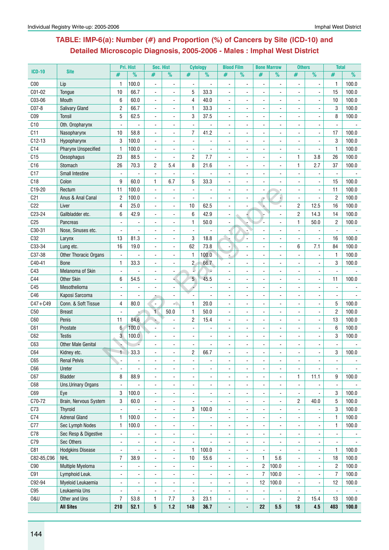# **Table: IMP-6(a): Number (#) and Proportion (%) of Cancers by Site (ICD-10) and Detailed Microscopic Diagnosis, 2005-2006 - Males : Imphal West District**

|                 |                              |                          | Pri. Hist      | Sec. Hist                |                |                     | <b>Cytology</b> | <b>Blood Film</b>            |                | <b>Bone Marrow</b>       |                          | <b>Others</b>            |                 | <b>Total</b>   |                |
|-----------------|------------------------------|--------------------------|----------------|--------------------------|----------------|---------------------|-----------------|------------------------------|----------------|--------------------------|--------------------------|--------------------------|-----------------|----------------|----------------|
| <b>ICD-10</b>   | <b>Site</b>                  | #                        | $\frac{9}{6}$  | #                        | $\frac{9}{6}$  | #                   | $\frac{9}{6}$   | #                            | $\frac{9}{6}$  | #                        | %                        | #                        | $\overline{\%}$ | #              | %              |
| C <sub>00</sub> | Lip                          | 1                        | 100.0          | $\blacksquare$           |                | $\overline{a}$      |                 |                              |                |                          |                          |                          |                 | 1              | 100.0          |
| C01-02          | Tongue                       | 10                       | 66.7           | $\blacksquare$           |                | 5                   | 33.3            | $\overline{\phantom{a}}$     |                |                          | $\blacksquare$           |                          |                 | 15             | 100.0          |
| C03-06          | Mouth                        | 6                        | 60.0           | $\overline{a}$           | $\blacksquare$ | 4                   | 40.0            | ä,                           |                | ä,                       | $\blacksquare$           | $\blacksquare$           | $\overline{a}$  | 10             | 100.0          |
| C07-8           | <b>Salivary Gland</b>        | $\overline{c}$           | 66.7           | $\sim$                   | $\blacksquare$ | 1                   | 33.3            | $\blacksquare$               | $\blacksquare$ | $\blacksquare$           | $\blacksquare$           | $\blacksquare$           | $\blacksquare$  | 3              | 100.0          |
| C <sub>09</sub> | Tonsil                       | 5                        | 62.5           | $\blacksquare$           |                | 3                   | 37.5            | ä,                           |                |                          |                          |                          | $\blacksquare$  | 8              | 100.0          |
| C10             | Oth. Oropharynx              |                          |                |                          |                |                     |                 |                              |                |                          |                          |                          |                 |                |                |
| C11             | Nasopharynx                  | 10                       | 58.8           |                          |                | 7                   | 41.2            |                              |                |                          |                          |                          |                 | 17             | 100.0          |
| $C12-13$        | Hypopharynx                  | 3                        | 100.0          | L.                       | $\overline{a}$ |                     |                 | $\blacksquare$               |                |                          |                          |                          |                 | 3              | 100.0          |
| C <sub>14</sub> | Pharynx Unspecified          | $\mathbf{1}$             | 100.0          | $\blacksquare$           |                |                     |                 | ä,                           |                |                          | $\blacksquare$           |                          |                 | $\mathbf{1}$   | 100.0          |
| C15             | Oesophagus                   | 23                       | 88.5           | $\blacksquare$           | $\blacksquare$ | 2                   | 7.7             | $\blacksquare$               | $\blacksquare$ | ä,                       | $\ddot{\phantom{a}}$     | $\mathbf{1}$             | 3.8             | 26             | 100.0          |
| C16             | Stomach                      | 26                       | 70.3           | $\overline{c}$           | 5.4            | 8                   | 21.6            | ÷                            |                | ä,                       | $\overline{a}$           | $\mathbf{1}$             | 2.7             | 37             | 100.0          |
| C17             | <b>Small Intestine</b>       | $\blacksquare$           |                | $\sim$                   |                | $\overline{a}$      |                 | $\blacksquare$               |                |                          |                          |                          | L.              | $\blacksquare$ |                |
| C18             | Colon                        | 9                        | 60.0           | $\mathbf{1}$             | 6.7            | 5                   | 33.3            |                              |                |                          |                          |                          | L,              | 15             | 100.0          |
| C19-20          | Rectum                       | 11                       | 100.0          |                          |                |                     |                 |                              |                |                          |                          |                          |                 | 11             | 100.0          |
| C <sub>21</sub> | Anus & Anal Canal            | $\overline{2}$           | 100.0          | $\blacksquare$           | $\blacksquare$ | $\overline{a}$      |                 |                              |                |                          |                          |                          |                 | $\overline{c}$ | 100.0          |
| C22             | Liver                        | 4                        | 25.0           | L.                       | $\blacksquare$ | 10                  | 62.5            | $\blacksquare$               |                | ÷                        |                          | $\overline{c}$           | 12.5            | 16             | 100.0          |
| C23-24          | Gallbladder etc.             | 6                        | 42.9           | $\blacksquare$           | $\blacksquare$ | 6                   | 42.9            | ٠                            |                |                          | $\blacksquare$           | $\overline{c}$           | 14.3            | 14             | 100.0          |
| C <sub>25</sub> | Pancreas                     | $\overline{a}$           | ÷.             | $\overline{a}$           | $\overline{a}$ | 1                   | 50.0            | ÷                            |                |                          | $\overline{a}$           | $\mathbf{1}$             | 50.0            | $\overline{2}$ | 100.0          |
|                 |                              |                          |                |                          |                | L.                  |                 |                              |                |                          |                          |                          |                 |                |                |
| C30-31<br>C32   | Nose, Sinuses etc.           |                          |                |                          |                | 3                   |                 |                              |                |                          |                          |                          |                 | 16             |                |
| C33-34          | Larynx                       | 13                       | 81.3           |                          |                | 62                  | 18.8            |                              |                |                          |                          |                          | $\overline{a}$  |                | 100.0          |
|                 | Lung etc.                    | 16                       | 19.0           | $\overline{a}$           | $\blacksquare$ |                     | 73.8            | $\blacksquare$               |                |                          | $\blacksquare$           | 6                        | 7.1             | 84             | 100.0          |
| C37-38          | <b>Other Thoracic Organs</b> | $\blacksquare$           |                |                          |                | $\mathbf{1}$        | 100.0           |                              |                |                          | $\blacksquare$           |                          |                 | $\mathbf{1}$   | 100.0          |
| C40-41          | <b>Bone</b>                  | 1                        | 33.3           |                          |                | $\overline{c}$<br>L | 66.7            |                              |                | ä,                       |                          |                          |                 | 3              | 100.0          |
| C43             | Melanoma of Skin             | $\blacksquare$           |                | ÷                        |                |                     | ₽               | $\blacksquare$               |                | $\blacksquare$           |                          | $\sim$                   | $\overline{a}$  |                |                |
| C44             | <b>Other Skin</b>            | 6                        | 54.5           |                          |                | 5 <sup>5</sup>      | 45.5            |                              |                |                          |                          |                          | $\overline{a}$  | 11             | 100.0          |
| C45             | Mesothelioma                 |                          |                |                          |                |                     |                 |                              |                |                          |                          |                          |                 |                |                |
| C46             | Kaposi Sarcoma               | $\blacksquare$           |                |                          |                |                     |                 |                              |                |                          |                          |                          |                 |                |                |
| $C47 + C49$     | Conn. & Soft Tissue          | 4                        | 80.0           | $\blacksquare$           | -0             | $\mathbf{1}$        | 20.0            |                              |                |                          |                          |                          |                 | 5              | 100.0          |
| C50             | <b>Breast</b>                | $\blacksquare$           |                | $\overline{1}$           | 50.0           | $\mathbf{1}$        | 50.0            | ä,                           |                |                          | ä,                       |                          | $\overline{a}$  | $\overline{2}$ | 100.0          |
| C60             | Penis                        | 11                       | 84.6           |                          | $\blacksquare$ | 2                   | 15.4            | ٠                            | $\blacksquare$ |                          | $\blacksquare$           | $\blacksquare$           | $\blacksquare$  | 13             | 100.0          |
| C61             | Prostate                     | 6                        | 100.0          | $\blacksquare$           | $\overline{a}$ | $\overline{a}$      |                 | $\blacksquare$               | $\blacksquare$ | ä,                       | $\overline{a}$           | $\sim$                   | $\blacksquare$  | 6              | 100.0          |
| C62             | <b>Testis</b>                | 3                        | 100.0          | $\blacksquare$           |                |                     |                 |                              |                |                          |                          |                          | L.              | 3              | 100.0          |
| C63             | <b>Other Male Genital</b>    |                          |                |                          |                |                     |                 |                              |                |                          |                          |                          |                 |                |                |
| C64             | Kidney etc.                  |                          | 33.3           |                          |                | 2                   | 66.7            |                              |                |                          |                          |                          | $\overline{a}$  | 3              | 100.0          |
| C65             | <b>Renal Pelvis</b>          | $\blacksquare$           | $\blacksquare$ | $\blacksquare$           | $\blacksquare$ |                     |                 | $\blacksquare$               | $\blacksquare$ | $\overline{\phantom{0}}$ | $\blacksquare$           |                          |                 |                | $\blacksquare$ |
| C66             | Ureter                       | $\blacksquare$           |                |                          | $\blacksquare$ |                     |                 | ٠                            |                | ä,                       |                          |                          |                 |                |                |
| C67             | <b>Bladder</b>               | 8                        | 88.9           | $\blacksquare$           | $\blacksquare$ | $\blacksquare$      | $\blacksquare$  | $\blacksquare$               | $\blacksquare$ | ä,                       | $\blacksquare$           | $\mathbf{1}$             | 11.1            | 9              | 100.0          |
| C68             | <b>Uns.Urinary Organs</b>    | $\blacksquare$           |                |                          |                |                     |                 |                              |                | $\overline{\phantom{a}}$ |                          | $\blacksquare$           |                 |                |                |
| C69             | Eye                          | 3                        | 100.0          |                          |                |                     |                 |                              |                |                          |                          |                          |                 | 3              | 100.0          |
| C70-72          | Brain, Nervous System        | 3                        | 60.0           | $\blacksquare$           |                |                     |                 |                              |                |                          |                          | $\overline{c}$           | 40.0            | 5              | 100.0          |
| C73             | <b>Thyroid</b>               | $\overline{\phantom{a}}$ |                | $\blacksquare$           | $\blacksquare$ | 3                   | 100.0           | $\overline{\phantom{a}}$     |                | -                        | $\overline{\phantom{0}}$ | $\overline{\phantom{a}}$ |                 | 3              | 100.0          |
| C74             | <b>Adrenal Gland</b>         | 1                        | 100.0          | $\blacksquare$           | $\blacksquare$ | $\blacksquare$      |                 | $\blacksquare$               | $\blacksquare$ | $\overline{\phantom{0}}$ | $\blacksquare$           | $\blacksquare$           |                 | $\mathbf{1}$   | 100.0          |
| C77             | Sec Lymph Nodes              | $\mathbf{1}$             | 100.0          | $\blacksquare$           | $\blacksquare$ | $\blacksquare$      | $\blacksquare$  | $\frac{1}{2}$                | $\blacksquare$ | $\overline{\phantom{a}}$ | $\overline{a}$           | $\blacksquare$           | $\blacksquare$  | $\mathbf{1}$   | 100.0          |
| C78             | Sec Resp & Digestive         | $\blacksquare$           |                | $\overline{\phantom{a}}$ | $\blacksquare$ | $\blacksquare$      | $\overline{a}$  | ۰                            | $\blacksquare$ | ٠                        | $\overline{a}$           | $\blacksquare$           | $\blacksquare$  | $\blacksquare$ |                |
| C79             | Sec Others                   | $\blacksquare$           |                |                          |                |                     |                 | ٠                            |                |                          |                          |                          |                 | $\blacksquare$ |                |
| C81             | <b>Hodgkins Disease</b>      | $\blacksquare$           |                |                          |                | $\mathbf{1}$        | 100.0           |                              |                |                          |                          |                          | ä,              | $\mathbf{1}$   | 100.0          |
| C82-85, C96     | <b>NHL</b>                   | 7                        | 38.9           | $\blacksquare$           | $\blacksquare$ | 10                  | 55.6            | $\qquad \qquad \blacksquare$ |                | 1                        | 5.6                      | $\blacksquare$           |                 | 18             | 100.0          |
| C90             | Multiple Myeloma             | $\blacksquare$           |                | $\blacksquare$           | $\blacksquare$ | $\blacksquare$      |                 | $\qquad \qquad \blacksquare$ | $\blacksquare$ | $\overline{c}$           | 100.0                    | $\blacksquare$           |                 | $\overline{c}$ | 100.0          |
| C91             | Lymphoid Leuk.               | $\overline{\phantom{a}}$ | ÷,             | $\overline{a}$           | $\blacksquare$ | $\blacksquare$      | $\blacksquare$  | ٠                            | $\blacksquare$ | $\overline{7}$           | 100.0                    | $\blacksquare$           | $\overline{a}$  | $\overline{7}$ | 100.0          |
| C92-94          | Myeloid Leukaemia            | $\overline{\phantom{a}}$ | $\blacksquare$ | $\overline{a}$           | $\blacksquare$ | $\blacksquare$      | $\blacksquare$  | ۰                            | $\blacksquare$ | 12                       | 100.0                    | $\blacksquare$           | $\blacksquare$  | 12             | 100.0          |
| C95             | Leukaemia Uns                | $\blacksquare$           |                | $\blacksquare$           |                | $\blacksquare$      |                 | $\blacksquare$               | L.             | $\blacksquare$           |                          | $\blacksquare$           | $\blacksquare$  | $\blacksquare$ |                |
| <b>0&amp;U</b>  | Other and Uns                | $\overline{7}$           | 53.8           | 1                        | 7.7            | 3                   | 23.1            |                              |                |                          |                          | $\overline{c}$           | 15.4            | 13             | 100.0          |
|                 | <b>All Sites</b>             | 210                      | 52.1           | 5                        | $1.2$          | 148                 | 36.7            | $\overline{\phantom{0}}$     | $\overline{a}$ | 22                       | 5.5                      | 18                       | 4.5             | 403            | 100.0          |
|                 |                              |                          |                |                          |                |                     |                 |                              |                |                          |                          |                          |                 |                |                |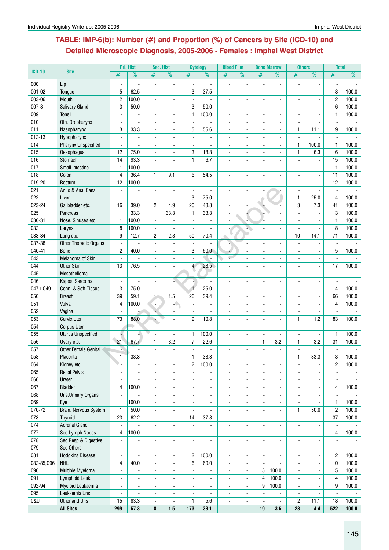# **Table: IMP-6(b): Number (#) and Proportion (%) of Cancers by Site (ICD-10) and Detailed Microscopic Diagnosis, 2005-2006 - Females : Imphal West District**

|                 |                             |                          | Pri. Hist      | Sec. Hist             |                          | <b>Cytology</b>          |                      | <b>Blood Film</b> |                          | <b>Bone Marrow</b>       |                | <b>Others</b>  |                     | <b>Total</b>   |       |
|-----------------|-----------------------------|--------------------------|----------------|-----------------------|--------------------------|--------------------------|----------------------|-------------------|--------------------------|--------------------------|----------------|----------------|---------------------|----------------|-------|
| $ICD-10$        | <b>Site</b>                 | #                        | %              | #                     | %                        | #                        | $\frac{9}{6}$        | #                 | $\frac{9}{6}$            | #                        | $\frac{9}{6}$  | #              | $\frac{9}{6}$       | #              | %     |
| C <sub>00</sub> | Lip                         |                          |                |                       |                          |                          |                      |                   |                          |                          |                |                |                     |                |       |
| C01-02          | Tongue                      | 5                        | 62.5           | ÷,                    |                          | 3                        | 37.5                 |                   |                          |                          |                |                |                     | 8              | 100.0 |
| C03-06          | Mouth                       | $\overline{c}$           | 100.0          | $\blacksquare$        | $\blacksquare$           | $\blacksquare$           | $\ddot{\phantom{a}}$ |                   |                          |                          |                |                |                     | $\overline{2}$ | 100.0 |
| C07-8           | Salivary Gland              | 3                        | 50.0           | $\sim$                | $\overline{a}$           | 3                        | 50.0                 | ä,                |                          | ÷                        | $\overline{a}$ | $\overline{a}$ |                     | 6              | 100.0 |
| CO <sub>9</sub> | Tonsil                      | $\mathbf{r}$             |                |                       |                          | $\mathbf{1}$             | 100.0                |                   |                          |                          |                |                |                     | $\mathbf{1}$   | 100.0 |
| C10             | Oth. Oropharynx             |                          |                |                       |                          | $\blacksquare$           |                      |                   |                          | $\blacksquare$           |                |                |                     |                |       |
| C11             | Nasopharynx                 | 3                        | 33.3           |                       |                          | 5                        | 55.6                 |                   |                          |                          |                | $\mathbf{1}$   | 11.1                | 9              | 100.0 |
| $C12-13$        | Hypopharynx                 | $\blacksquare$           |                | $\blacksquare$        | $\overline{a}$           |                          |                      | ÷.                | $\blacksquare$           | ä,                       | $\sim$         |                |                     |                |       |
| C14             | <b>Pharynx Unspecified</b>  | $\blacksquare$           |                |                       |                          |                          |                      |                   |                          |                          |                | $\mathbf{1}$   | 100.0               | $\mathbf{1}$   | 100.0 |
| C <sub>15</sub> | Oesophagus                  | 12                       | 75.0           |                       |                          | 3                        | 18.8                 |                   |                          |                          |                | $\mathbf{1}$   | 6.3                 | 16             | 100.0 |
| C16             | Stomach                     | 14                       | 93.3           | $\blacksquare$        | $\blacksquare$           | $\mathbf{1}$             | 6.7                  | ä,                |                          |                          | $\blacksquare$ |                | ä,                  | 15             | 100.0 |
| C17             | Small Intestine             | $\mathbf{1}$             | 100.0          | $\blacksquare$        | $\overline{a}$           | $\mathbf{r}$             |                      | ÷.                | ÷                        | ÷                        | ÷              | $\mathbf{r}$   | $\bar{\phantom{a}}$ | $\mathbf{1}$   | 100.0 |
| C18             | Colon                       | 4                        | 36.4           | $\mathbf{1}$          | 9.1                      | 6                        | 54.5                 | ÷.                | L.                       | ä,                       | $\blacksquare$ | $\sim$         | $\blacksquare$      | 11             | 100.0 |
| C19-20          | Rectum                      | 12                       | 100.0          | $\blacksquare$        | $\blacksquare$           |                          |                      | ۰                 |                          |                          |                |                |                     | 12             | 100.0 |
| C <sub>21</sub> | Anus & Anal Canal           |                          |                |                       |                          |                          |                      |                   |                          |                          | ÷              |                | $\overline{a}$      | $\overline{a}$ |       |
| C22             | Liver                       | ÷,                       |                | $\blacksquare$        | $\blacksquare$           | 3                        | 75.0                 | $\blacksquare$    | $\blacksquare$           | ۰                        | ¥              | $\mathbf{1}$   | 25.0                | $\overline{4}$ | 100.0 |
| C23-24          | Gallbladder etc.            | 16                       | 39.0           | $\overline{c}$        | 4.9                      | 20                       | 48.8                 |                   |                          |                          |                | 3              | 7.3                 | 41             | 100.0 |
| C <sub>25</sub> | Pancreas                    | $\mathbf{1}$             | 33.3           | $\mathbf{1}$          | 33.3                     | $\mathbf{1}$             | 33.3                 |                   |                          |                          |                |                |                     | 3              | 100.0 |
| C30-31          | Nose, Sinuses etc.          | $\mathbf{1}$             | 100.0          | $\blacksquare$        | $\overline{a}$           | $\mathbf{r}$             | ÷                    | ÷.                |                          |                          | $\overline{a}$ | $\mathbf{r}$   | $\overline{a}$      | $\mathbf{1}$   | 100.0 |
| C <sub>32</sub> | Larynx                      | 8                        | 100.0          | $\tilde{\phantom{a}}$ | ÷                        | ÷,                       |                      |                   |                          |                          | $\overline{a}$ |                | $\overline{a}$      | 8              | 100.0 |
| C33-34          | Lung etc.                   | 9                        | 12.7           | $\overline{c}$        | 2.8                      | 50                       | 70.4                 | ÷                 | ä,                       |                          | L.             | 10             | 14.1                | 71             | 100.0 |
| C37-38          | Other Thoracic Organs       | $\blacksquare$           |                |                       |                          |                          |                      | ÷.                |                          |                          |                |                |                     |                |       |
| C40-41          | <b>Bone</b>                 | $\overline{c}$           | 40.0           | $\blacksquare$        | $\overline{a}$           | 3                        | 60.0                 |                   |                          |                          | $\blacksquare$ |                |                     | 5              | 100.0 |
| C43             | Melanoma of Skin            | ä,                       |                | $\blacksquare$        |                          |                          |                      | ۰                 |                          |                          |                |                |                     |                |       |
| C44             | <b>Other Skin</b>           | 13                       | 76.5           |                       |                          | $\overline{4}$           | 23.5                 |                   |                          |                          |                |                |                     | 17             | 100.0 |
| C45             | Mesothelioma                | $\overline{\phantom{a}}$ |                | $\blacksquare$        |                          | ù,                       | Ľ                    | ۰                 |                          |                          |                |                |                     |                |       |
| C46             | Kaposi Sarcoma              | $\mathbf{r}$             | $\overline{a}$ | $\blacksquare$        |                          |                          |                      | ÷.                | ÷                        | ÷                        | $\blacksquare$ | $\mathbf{r}$   | $\mathbf{r}$        | $\mathbf{r}$   |       |
| $C47 + C49$     | Conn. & Soft Tissue         | 3                        | 75.0           | $\blacksquare$        | $\blacksquare$           | $\mathbf{1}$             | 25.0                 | ÷.                | L.                       | ä,                       | L.             | $\sim$         | $\blacksquare$      | 4              | 100.0 |
| C50             | <b>Breast</b>               | 39                       | 59.1           | 1                     | 1.5                      | 26                       | 39.4                 | ٠                 |                          | $\blacksquare$           | $\blacksquare$ |                | $\blacksquare$      | 66             | 100.0 |
| C51             | Vulva                       | 4                        | 100.0          | $\blacksquare$        | -0                       |                          |                      | $\frac{1}{2}$     |                          | $\blacksquare$           | $\blacksquare$ |                |                     | 4              | 100.0 |
| C52             | Vagina                      | $\blacksquare$           |                |                       | $\overline{a}$           | ÷.                       |                      | $\blacksquare$    |                          |                          | $\blacksquare$ |                | $\overline{a}$      | $\blacksquare$ |       |
| C53             | Cervix Uteri                | 73                       | 88.0           |                       |                          | 9                        | 10.8                 |                   |                          |                          |                | $\mathbf{1}$   | 1.2                 | 83             | 100.0 |
| C54             | Corpus Uteri                |                          |                |                       |                          |                          |                      |                   |                          |                          |                |                |                     |                |       |
| C55             | <b>Uterus Unspecified</b>   | Ļ.                       | S.             | $\overline{a}$        | $\blacksquare$           | $\mathbf{1}$             | 100.0                |                   |                          | $\overline{\phantom{a}}$ | $\blacksquare$ |                | $\overline{a}$      | $\mathbf{1}$   | 100.0 |
| C <sub>56</sub> | Ovary etc.                  | 21                       | 67.7           | $\mathbf{1}$          | 3.2                      | $\overline{7}$           | 22.6                 | $\overline{a}$    |                          | $\mathbf{1}$             | 3.2            | $\mathbf{1}$   | 3.2                 | 31             | 100.0 |
| C57             | <b>Other Female Genital</b> | ¥.                       | $\blacksquare$ | $\blacksquare$        | $\blacksquare$           | $\mathbf{r}$             | $\blacksquare$       | ÷.                |                          | $\blacksquare$           | $\sim$         | $\blacksquare$ | $\blacksquare$      | $\blacksquare$ |       |
| C58             | Placenta                    | $\mathbf{1}$             | 33.3           |                       |                          | 1                        | 33.3                 |                   |                          | ۰                        |                | 1              | 33.3                | 3              | 100.0 |
| C64             | Kidney etc.                 |                          |                |                       |                          | 2                        | 100.0                | ä,                |                          |                          |                |                |                     | $\overline{c}$ | 100.0 |
| C65             | <b>Renal Pelvis</b>         | $\blacksquare$           |                | $\blacksquare$        | $\blacksquare$           | $\overline{\phantom{a}}$ |                      | L,                | ä,                       | $\blacksquare$           | ÷,             |                |                     |                |       |
| C66             | Ureter                      | $\blacksquare$           |                | $\ddot{\phantom{a}}$  |                          | ÷                        | ä,                   | L.                |                          |                          |                |                |                     |                |       |
| C67             | Bladder                     | 4                        | 100.0          | $\blacksquare$        |                          |                          |                      | $\frac{1}{2}$     |                          |                          |                |                |                     | 4              | 100.0 |
| C68             | <b>Uns.Urinary Organs</b>   | $\blacksquare$           |                | $\sim$                | ÷                        | $\blacksquare$           | $\blacksquare$       | ä,                | $\blacksquare$           | $\blacksquare$           | $\blacksquare$ | $\blacksquare$ | $\blacksquare$      | $\blacksquare$ |       |
| C69             | Eye                         | 1                        | 100.0          | $\blacksquare$        | $\blacksquare$           | $\blacksquare$           | $\blacksquare$       | ä,                | ä,                       | ä,                       | $\blacksquare$ | $\blacksquare$ | $\blacksquare$      | $\mathbf{1}$   | 100.0 |
| C70-72          | Brain, Nervous System       | $\mathbf{1}$             | $50.0$         | $\blacksquare$        | $\blacksquare$           | $\blacksquare$           | ä,                   | ۰                 | $\overline{a}$           | $\overline{\phantom{a}}$ | $\blacksquare$ | $\mathbf{1}$   | 50.0                | $\overline{2}$ | 100.0 |
| C73             | Thyroid                     | 23                       | 62.2           | $\blacksquare$        | $\blacksquare$           | 14                       | 37.8                 | ۰                 | $\overline{\phantom{0}}$ | ٠                        | $\blacksquare$ | $\blacksquare$ |                     | 37             | 100.0 |
| C74             | <b>Adrenal Gland</b>        | $\blacksquare$           |                | $\blacksquare$        | $\blacksquare$           | $\blacksquare$           | $\blacksquare$       | $\blacksquare$    | $\blacksquare$           | $\overline{\phantom{a}}$ | $\blacksquare$ | $\blacksquare$ | $\blacksquare$      | $\blacksquare$ |       |
| C77             | Sec Lymph Nodes             | 4                        | 100.0          | $\blacksquare$        | $\blacksquare$           |                          |                      | $\blacksquare$    |                          | $\overline{\phantom{a}}$ | L.             |                | $\blacksquare$      | 4              | 100.0 |
| C78             | Sec Resp & Digestive        | $\blacksquare$           |                |                       | $\blacksquare$           |                          |                      |                   |                          |                          |                |                |                     |                |       |
| C79             | Sec Others                  | $\blacksquare$           |                | $\blacksquare$        |                          | $\blacksquare$           |                      | $\frac{1}{2}$     |                          | $\overline{\phantom{a}}$ |                | $\blacksquare$ |                     |                |       |
| C81             | <b>Hodgkins Disease</b>     | $\blacksquare$           |                | $\sim$                | $\blacksquare$           | $\overline{c}$           | 100.0                | ÷.                | $\blacksquare$           | $\blacksquare$           | $\blacksquare$ | $\blacksquare$ | $\blacksquare$      | $\overline{2}$ | 100.0 |
| C82-85,C96      | <b>NHL</b>                  | 4                        | 40.0           | $\blacksquare$        | $\blacksquare$           | 6                        | 60.0                 | ä,                | $\blacksquare$           | $\blacksquare$           |                | $\mathbf{r}$   | $\blacksquare$      | 10             | 100.0 |
| C90             | Multiple Myeloma            | $\blacksquare$           |                |                       | $\blacksquare$           |                          |                      | ٠                 | $\blacksquare$           | 5                        | 100.0          | $\blacksquare$ |                     | 5              | 100.0 |
| C91             | Lymphoid Leuk.              | $\blacksquare$           |                |                       |                          |                          |                      | ۰                 | $\blacksquare$           | 4                        | 100.0          | $\blacksquare$ |                     | 4              | 100.0 |
| C92-94          | Myeloid Leukaemia           | $\blacksquare$           | ÷,             | $\blacksquare$        | $\overline{\phantom{a}}$ | ä,                       | ä,                   | L,                | $\blacksquare$           | 9                        | 100.0          | ä,             |                     | 9              | 100.0 |
| C95             | Leukaemia Uns               | $\blacksquare$           |                | $\blacksquare$        |                          |                          |                      |                   |                          | $\blacksquare$           |                |                |                     | $\blacksquare$ |       |
| <b>0&amp;U</b>  | Other and Uns               | 15                       | 83.3           | $\blacksquare$        |                          | $\mathbf{1}$             | 5.6                  | $\frac{1}{2}$     |                          | $\blacksquare$           |                | $\overline{c}$ | 11.1                | 18             | 100.0 |
|                 | <b>All Sites</b>            | 299                      | 57.3           | 8                     | 1.5                      | 173                      | 33.1                 | ۰                 | $\overline{\phantom{0}}$ | 19                       | 3.6            | 23             | 4.4                 | 522            | 100.0 |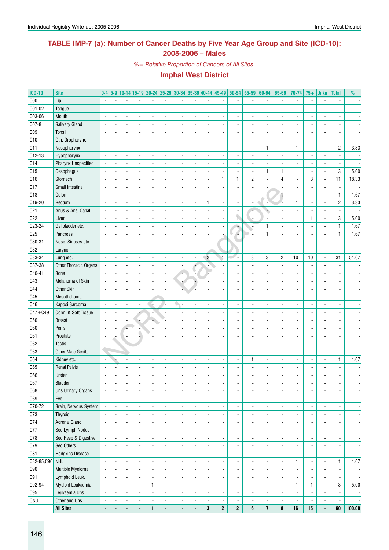# **TABLE IMP-7 (a): Number of Cancer Deaths by Five Year Age Group and Site (ICD-10): 2005-2006 – Males**

*%= Relative Proportion of Cancers of All Sites.*

| <b>ICD-10</b>   | <b>Site</b>               |                          |                          |                          |                              |                          |                          |                             |                          |                          |                          | $0-4$ 5-9 10-14 15-19 20-24 25-29 30-34 35-39 40-44 45-49 50-54 | 55-59                    | 60-64                    | 65-69                        | 70-74                    | $75+$                    | <b>Unkn</b>                  | <b>Total</b>             | %                        |
|-----------------|---------------------------|--------------------------|--------------------------|--------------------------|------------------------------|--------------------------|--------------------------|-----------------------------|--------------------------|--------------------------|--------------------------|-----------------------------------------------------------------|--------------------------|--------------------------|------------------------------|--------------------------|--------------------------|------------------------------|--------------------------|--------------------------|
| C <sub>00</sub> | Lip                       |                          |                          |                          |                              |                          |                          |                             |                          |                          |                          |                                                                 |                          |                          |                              |                          |                          |                              |                          |                          |
| C01-02          | Tongue                    |                          |                          |                          |                              |                          |                          |                             |                          |                          |                          |                                                                 |                          |                          |                              |                          |                          |                              |                          |                          |
| C03-06          | Mouth                     |                          |                          |                          |                              |                          |                          |                             |                          |                          |                          |                                                                 |                          |                          |                              |                          |                          |                              |                          |                          |
| C07-8           | Salivary Gland            |                          |                          |                          |                              |                          |                          |                             |                          |                          |                          |                                                                 |                          |                          |                              |                          |                          |                              |                          |                          |
| CO <sub>9</sub> | Tonsil                    |                          |                          |                          |                              |                          |                          |                             |                          | $\overline{a}$           |                          |                                                                 |                          |                          |                              |                          |                          |                              |                          |                          |
| C10             | Oth. Oropharynx           |                          |                          |                          |                              |                          |                          |                             |                          | $\overline{a}$           |                          |                                                                 | ÷,                       |                          |                              |                          |                          |                              |                          |                          |
| C11             | Nasopharynx               |                          |                          |                          |                              |                          |                          |                             |                          | ÷,                       |                          |                                                                 | ÷,                       | 1                        |                              | $\mathbf{1}$             |                          | $\overline{a}$               | $\overline{2}$           | 3.33                     |
| $C12-13$        | Hypopharynx               |                          |                          |                          |                              |                          |                          |                             |                          | ÷,                       |                          |                                                                 | ÷,                       |                          |                              | $\overline{a}$           |                          |                              | $\overline{a}$           |                          |
| C14             | Pharynx Unspecified       |                          |                          |                          |                              |                          |                          |                             |                          | $\overline{a}$           |                          |                                                                 | $\overline{a}$           |                          |                              |                          |                          |                              |                          |                          |
| C15             | Oesophagus                |                          |                          |                          |                              |                          |                          |                             |                          | $\overline{a}$           |                          |                                                                 | ä,                       | 1                        | 1                            | $\mathbf{1}$             |                          | $\overline{a}$               | 3                        | 5.00                     |
| C16             | Stomach                   |                          |                          |                          |                              |                          |                          |                             |                          | ÷,                       | 1                        | 1                                                               | $\overline{c}$           |                          | $\overline{4}$               | $\overline{a}$           | 3                        | $\overline{a}$               | 11                       | 18.33                    |
| C17             | Small Intestine           |                          |                          |                          |                              |                          |                          |                             |                          | $\overline{a}$           |                          |                                                                 | $\overline{\phantom{a}}$ |                          |                              |                          |                          |                              | $\overline{\phantom{a}}$ |                          |
| C18             | Colon                     |                          |                          |                          |                              |                          |                          |                             |                          |                          |                          |                                                                 |                          |                          |                              |                          |                          |                              |                          |                          |
|                 |                           |                          |                          |                          |                              |                          |                          |                             |                          | ä,                       |                          |                                                                 | ä,                       |                          |                              |                          |                          |                              | $\mathbf{1}$             | 1.67                     |
| C19-20          | Rectum                    |                          |                          |                          |                              |                          |                          |                             |                          | $\mathbf{1}$             |                          |                                                                 | $\overline{\phantom{a}}$ |                          |                              | $\mathbf{1}$             |                          |                              | $\overline{2}$           | 3.33                     |
| C <sub>21</sub> | Anus & Anal Canal         |                          |                          |                          |                              |                          |                          |                             |                          | ÷,                       |                          |                                                                 | c                        |                          |                              | $\overline{a}$           |                          |                              | $\blacksquare$           |                          |
| C22             | Liver                     |                          |                          |                          |                              |                          |                          |                             |                          | ÷,                       |                          | $\overline{1}$                                                  |                          |                          |                              | $\mathbf{1}$             | 1                        | $\overline{a}$               | 3                        | 5.00                     |
| C23-24          | Gallbladder etc.          |                          |                          |                          |                              |                          |                          |                             |                          | ÷,                       |                          |                                                                 |                          | 1                        |                              | $\overline{a}$           |                          | $\overline{a}$               | $\mathbf{1}$             | 1.67                     |
| C <sub>25</sub> | Pancreas                  |                          |                          |                          |                              |                          |                          |                             |                          | ÷,                       |                          |                                                                 | $\sim$                   | $\mathbf{1}$             |                              |                          |                          |                              | $\mathbf{1}$             | 1.67                     |
| C30-31          | Nose, Sinuses etc.        |                          |                          |                          |                              |                          |                          |                             |                          | ÷,                       |                          |                                                                 |                          |                          |                              |                          |                          |                              |                          |                          |
| C32             | Larynx                    |                          |                          |                          |                              |                          |                          |                             |                          | Þ                        |                          |                                                                 |                          |                          |                              |                          |                          |                              |                          |                          |
| C33-34          | Lung etc.                 |                          |                          |                          |                              |                          |                          |                             |                          | $\overline{c}$           | 1                        |                                                                 | 3                        | 3                        | $\overline{c}$               | 10                       | 10                       | $\overline{a}$               | 31                       | 51.67                    |
| C37-38          | Other Thoracic Organs     |                          |                          |                          |                              |                          |                          |                             |                          | ÷,                       |                          |                                                                 | $\overline{a}$           |                          |                              | $\overline{\phantom{a}}$ |                          |                              |                          |                          |
| C40-41          | <b>Bone</b>               |                          |                          |                          |                              |                          |                          |                             |                          |                          |                          |                                                                 |                          |                          |                              |                          |                          |                              |                          |                          |
| C43             | Melanoma of Skin          |                          |                          |                          |                              |                          |                          |                             |                          |                          |                          |                                                                 |                          |                          |                              |                          |                          |                              |                          |                          |
| C44             | <b>Other Skin</b>         |                          |                          |                          |                              |                          |                          |                             |                          | ÷,                       |                          |                                                                 |                          |                          |                              |                          |                          |                              |                          |                          |
| C45             | Mesothelioma              |                          |                          |                          |                              |                          |                          | $\overline{a}$              |                          | ÷,                       |                          |                                                                 |                          |                          |                              |                          |                          |                              |                          |                          |
| C46             | Kaposi Sarcoma            |                          |                          |                          |                              |                          |                          | $\bullet$<br>$\overline{a}$ |                          | ÷,                       |                          |                                                                 |                          |                          |                              |                          |                          |                              |                          |                          |
| $C47 + C49$     | Conn. & Soft Tissue       |                          |                          |                          |                              |                          |                          |                             |                          | ÷,                       |                          |                                                                 |                          |                          |                              |                          |                          |                              |                          |                          |
| C50             | <b>Breast</b>             |                          |                          |                          |                              |                          |                          |                             |                          | ä,                       |                          |                                                                 |                          |                          |                              |                          |                          |                              |                          |                          |
| C60             | Penis                     |                          |                          |                          |                              |                          |                          |                             |                          | ä,                       |                          |                                                                 |                          |                          |                              |                          |                          |                              |                          |                          |
| C61             | Prostate                  |                          |                          |                          |                              |                          |                          |                             |                          | ä,                       |                          |                                                                 |                          |                          |                              |                          |                          |                              |                          |                          |
| C62             | <b>Testis</b>             |                          |                          |                          |                              |                          |                          |                             |                          | $\overline{\phantom{a}}$ |                          |                                                                 |                          |                          |                              |                          |                          |                              |                          |                          |
| C63             | <b>Other Male Genital</b> |                          |                          |                          |                              |                          |                          |                             |                          | $\overline{\phantom{a}}$ |                          |                                                                 | ÷,                       |                          |                              |                          |                          | ٠                            |                          |                          |
| C64             | Kidney etc.               |                          |                          |                          |                              |                          |                          |                             |                          | $\overline{\phantom{a}}$ |                          |                                                                 | 1                        |                          |                              |                          |                          | ٠                            | $\mathbf{1}$             | 1.67                     |
| C65             | <b>Renal Pelvis</b>       |                          |                          |                          |                              |                          |                          |                             |                          | $\overline{\phantom{a}}$ |                          |                                                                 |                          |                          |                              |                          |                          |                              |                          |                          |
| C66             |                           |                          |                          |                          |                              |                          |                          |                             |                          |                          |                          |                                                                 |                          |                          |                              |                          |                          |                              |                          |                          |
|                 | Ureter                    |                          |                          |                          |                              |                          |                          |                             |                          |                          |                          |                                                                 |                          |                          |                              |                          |                          |                              |                          |                          |
| C67             | Bladder                   | $\overline{\phantom{a}}$ | $\overline{\phantom{a}}$ | ٠                        |                              | $\overline{\phantom{a}}$ | $\overline{\phantom{a}}$ | $\overline{\phantom{a}}$    |                          | $\overline{\phantom{a}}$ | ۰                        | -                                                               | $\overline{\phantom{a}}$ | $\overline{\phantom{a}}$ | -                            |                          | -                        | -                            | -                        | $\overline{\phantom{a}}$ |
| C68             | Uns.Urinary Organs        |                          |                          | $\overline{\phantom{a}}$ | $\overline{\phantom{a}}$     | $\overline{\phantom{a}}$ | $\blacksquare$           | $\overline{\phantom{a}}$    | $\overline{\phantom{a}}$ | $\overline{\phantom{a}}$ | $\blacksquare$           | $\overline{\phantom{a}}$                                        | $\overline{\phantom{a}}$ | $\overline{\phantom{a}}$ | $\qquad \qquad \blacksquare$ | $\overline{\phantom{a}}$ |                          | $\qquad \qquad \blacksquare$ | $\overline{\phantom{a}}$ | $\overline{\phantom{a}}$ |
| C69             | Eye                       |                          |                          | $\overline{\phantom{a}}$ | $\overline{\phantom{a}}$     | $\overline{\phantom{a}}$ | $\overline{\phantom{a}}$ | $\overline{\phantom{a}}$    | ۰                        | $\overline{\phantom{a}}$ | $\overline{\phantom{a}}$ | ٠                                                               | $\overline{\phantom{a}}$ | $\overline{\phantom{a}}$ | $\qquad \qquad \blacksquare$ | $\overline{\phantom{a}}$ |                          | $\overline{\phantom{m}}$     | $\overline{\phantom{a}}$ | $\overline{\phantom{a}}$ |
| C70-72          | Brain, Nervous System     |                          |                          |                          | $\overline{\phantom{a}}$     | $\overline{\phantom{a}}$ | $\overline{\phantom{a}}$ | $\overline{\phantom{a}}$    | ۰                        | $\overline{\phantom{a}}$ | $\overline{\phantom{a}}$ | ٠                                                               | $\overline{\phantom{a}}$ | $\overline{\phantom{a}}$ | ٠                            | $\overline{\phantom{a}}$ |                          | $\overline{\phantom{m}}$     | $\overline{\phantom{a}}$ | $\overline{\phantom{a}}$ |
| C73             | <b>Thyroid</b>            |                          |                          | $\overline{\phantom{a}}$ | $\overline{\phantom{a}}$     | $\overline{\phantom{a}}$ | $\overline{\phantom{a}}$ | $\overline{\phantom{a}}$    | ۰                        | $\overline{\phantom{a}}$ | $\overline{\phantom{a}}$ | ٠                                                               | $\overline{\phantom{a}}$ | $\overline{\phantom{a}}$ | ٠                            | $\overline{\phantom{a}}$ |                          | $\overline{\phantom{m}}$     | $\overline{\phantom{a}}$ | $\overline{\phantom{a}}$ |
| C74             | <b>Adrenal Gland</b>      |                          |                          |                          | $\overline{\phantom{a}}$     | $\overline{\phantom{a}}$ | $\overline{\phantom{a}}$ | $\overline{\phantom{a}}$    | ۰                        | $\overline{\phantom{a}}$ | $\overline{\phantom{a}}$ | ٠                                                               | $\overline{\phantom{a}}$ | $\overline{\phantom{a}}$ | ٠                            | $\overline{\phantom{a}}$ |                          | $\overline{\phantom{m}}$     | $\overline{\phantom{a}}$ | $\overline{\phantom{a}}$ |
| C77             | Sec Lymph Nodes           |                          |                          |                          | $\overline{\phantom{a}}$     | $\overline{\phantom{a}}$ | $\overline{\phantom{a}}$ | $\overline{\phantom{a}}$    | ٠                        | $\overline{\phantom{a}}$ | $\overline{\phantom{a}}$ | ٠                                                               | $\overline{\phantom{a}}$ | $\overline{\phantom{a}}$ | ٠                            | $\overline{\phantom{a}}$ |                          | $\overline{\phantom{m}}$     | $\overline{\phantom{a}}$ | $\overline{\phantom{a}}$ |
| C78             | Sec Resp & Digestive      |                          |                          | $\overline{\phantom{a}}$ | $\overline{\phantom{a}}$     | $\overline{\phantom{a}}$ | $\overline{\phantom{a}}$ | $\overline{\phantom{a}}$    | ٠                        | $\overline{\phantom{a}}$ | $\overline{\phantom{a}}$ | ٠                                                               | $\overline{\phantom{a}}$ | $\overline{\phantom{a}}$ | $\qquad \qquad \blacksquare$ | $\overline{\phantom{a}}$ |                          | $\overline{\phantom{m}}$     | $\overline{\phantom{a}}$ | $\overline{\phantom{a}}$ |
| C79             | Sec Others                |                          |                          | $\overline{\phantom{a}}$ | $\overline{\phantom{a}}$     | $\overline{\phantom{a}}$ | $\overline{\phantom{a}}$ | $\overline{\phantom{a}}$    | $\overline{\phantom{a}}$ | $\overline{\phantom{a}}$ | $\overline{\phantom{a}}$ | ٠                                                               | $\overline{\phantom{a}}$ | $\overline{\phantom{a}}$ | $\qquad \qquad \blacksquare$ | $\overline{\phantom{a}}$ |                          | $\overline{\phantom{m}}$     | $\overline{\phantom{a}}$ | $\overline{\phantom{a}}$ |
| C81             | <b>Hodgkins Disease</b>   |                          |                          | $\overline{\phantom{a}}$ | $\overline{\phantom{a}}$     | $\overline{\phantom{a}}$ | $\overline{\phantom{a}}$ | $\overline{\phantom{a}}$    | $\overline{\phantom{a}}$ | $\overline{\phantom{a}}$ | $\blacksquare$           | $\overline{\phantom{a}}$                                        | $\overline{\phantom{a}}$ | $\overline{\phantom{a}}$ | $\qquad \qquad \blacksquare$ | $\overline{\phantom{a}}$ |                          | $\overline{\phantom{a}}$     | $\overline{\phantom{a}}$ | $\overline{\phantom{a}}$ |
| C82-85, C96 NHL |                           | $\overline{a}$           |                          | $\overline{\phantom{a}}$ | $\overline{\phantom{a}}$     | $\blacksquare$           | $\overline{\phantom{a}}$ | $\overline{\phantom{a}}$    | $\overline{\phantom{a}}$ | $\overline{\phantom{a}}$ | $\blacksquare$           | $\overline{\phantom{a}}$                                        | $\overline{\phantom{a}}$ | $\overline{\phantom{a}}$ | ۰                            | $\mathbf{1}$             | $\overline{\phantom{a}}$ | $\overline{\phantom{a}}$     | 1                        | 1.67                     |
| C90             | Multiple Myeloma          |                          |                          | $\overline{\phantom{a}}$ | $\overline{\phantom{a}}$     | $\overline{\phantom{a}}$ | $\overline{\phantom{a}}$ | $\overline{\phantom{a}}$    | $\overline{\phantom{a}}$ | $\overline{\phantom{a}}$ | $\blacksquare$           | $\overline{\phantom{a}}$                                        | $\overline{\phantom{a}}$ | $\overline{\phantom{a}}$ | $\qquad \qquad \blacksquare$ | $\overline{\phantom{a}}$ |                          | $\overline{\phantom{m}}$     | $\overline{\phantom{a}}$ |                          |
| C91             | Lymphoid Leuk.            |                          |                          | $\overline{\phantom{a}}$ | $\overline{\phantom{a}}$     | $\overline{\phantom{a}}$ | $\overline{\phantom{a}}$ | $\overline{\phantom{a}}$    | $\overline{\phantom{a}}$ | $\overline{\phantom{a}}$ | $\blacksquare$           | ٠                                                               | $\overline{\phantom{a}}$ | $\overline{\phantom{a}}$ | ۰                            | $\overline{\phantom{a}}$ |                          | $\overline{\phantom{a}}$     | $\overline{\phantom{a}}$ | $\overline{\phantom{a}}$ |
| C92-94          | Myeloid Leukaemia         |                          |                          | $\overline{\phantom{a}}$ | $\qquad \qquad \blacksquare$ | 1                        | $\overline{\phantom{a}}$ | $\overline{\phantom{a}}$    | $\overline{\phantom{m}}$ | $\overline{\phantom{a}}$ | $\overline{\phantom{a}}$ | -                                                               | $\overline{\phantom{a}}$ | $\overline{\phantom{a}}$ | ۰                            | $\mathbf{1}$             | 1                        | ÷                            | 3                        | 5.00                     |
| C95             | Leukaemia Uns             |                          |                          |                          | $\overline{\phantom{a}}$     | $\overline{\phantom{a}}$ | $\overline{\phantom{a}}$ | $\overline{\phantom{a}}$    | -                        | $\overline{\phantom{a}}$ | $\overline{\phantom{a}}$ | $\overline{\phantom{a}}$                                        | $\overline{\phantom{a}}$ | $\overline{\phantom{a}}$ | ۰                            | $\overline{\phantom{a}}$ |                          | $\overline{\phantom{m}}$     | $\overline{\phantom{a}}$ |                          |
| <b>0&amp;U</b>  | Other and Uns             |                          |                          | $\overline{\phantom{a}}$ | $\qquad \qquad \blacksquare$ | $\overline{\phantom{a}}$ | $\overline{\phantom{a}}$ | $\overline{\phantom{a}}$    | $\overline{\phantom{m}}$ | $\overline{\phantom{a}}$ | $\overline{\phantom{a}}$ | -                                                               | ٠                        | $\overline{\phantom{m}}$ | ۰                            | $\overline{\phantom{a}}$ |                          | $\overline{\phantom{m}}$     | $\overline{\phantom{a}}$ |                          |
|                 | <b>All Sites</b>          | $\overline{\phantom{a}}$ |                          | $\blacksquare$           |                              | 1                        |                          | $\overline{\phantom{a}}$    | $\overline{\phantom{a}}$ | $\bf 3$                  | $\mathbf{2}$             | $\mathbf{2}$                                                    | $\boldsymbol{6}$         | $\overline{7}$           | 8                            | 16                       | 15                       | ÷,                           | 60                       | 100.00                   |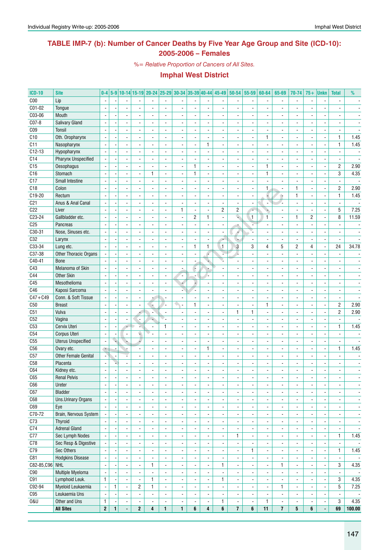# **TABLE IMP-7 (b): Number of Cancer Deaths by Five Year Age Group and Site (ICD-10): 2005-2006 – Females**

*%= Relative Proportion of Cancers of All Sites.*

| <b>ICD-10</b>   | <b>Site</b>                 | $0-4$                    |                          |                          |                          |                          |                          |                          |                                                      |                                                      | 5-9 10-14 15-19 20-24 25-29 30-34 35-39 40-44 45-49 50-54 |                          | 55-59                                                | 60-64                    | 65-69                    | 70-74                    | $75+$                    | Unkn                     | <b>Total</b>                                         | $\%$                     |
|-----------------|-----------------------------|--------------------------|--------------------------|--------------------------|--------------------------|--------------------------|--------------------------|--------------------------|------------------------------------------------------|------------------------------------------------------|-----------------------------------------------------------|--------------------------|------------------------------------------------------|--------------------------|--------------------------|--------------------------|--------------------------|--------------------------|------------------------------------------------------|--------------------------|
| C <sub>00</sub> | Lip                         |                          |                          |                          |                          |                          |                          |                          |                                                      |                                                      |                                                           |                          |                                                      |                          |                          |                          |                          |                          |                                                      |                          |
| C01-02          | Tongue                      |                          |                          |                          |                          |                          |                          |                          |                                                      | $\overline{a}$                                       |                                                           |                          |                                                      |                          |                          | ÷,                       |                          |                          | $\blacksquare$                                       |                          |
| C03-06          | Mouth                       |                          |                          |                          |                          |                          |                          |                          |                                                      | $\overline{\phantom{a}}$                             |                                                           |                          |                                                      |                          |                          |                          |                          |                          | $\overline{\phantom{a}}$                             |                          |
| C07-8           | Salivary Gland              | $\overline{\phantom{a}}$ |                          | $\blacksquare$           |                          |                          |                          |                          |                                                      | $\overline{\phantom{a}}$                             |                                                           |                          | ä,                                                   |                          |                          | ÷,                       |                          |                          | $\overline{a}$                                       |                          |
| CO <sub>9</sub> | Tonsil                      | $\sim$                   |                          | $\overline{a}$           |                          | $\blacksquare$           | $\overline{a}$           | $\overline{\phantom{a}}$ | $\overline{\phantom{a}}$                             | $\blacksquare$                                       | $\blacksquare$                                            |                          | $\overline{\phantom{a}}$                             | $\blacksquare$           | $\overline{a}$           | $\overline{\phantom{a}}$ | ٠                        | $\overline{\phantom{a}}$ | $\blacksquare$                                       |                          |
| C10             | Oth. Oropharynx             | $\blacksquare$           |                          | $\overline{\phantom{a}}$ |                          | $\overline{\phantom{0}}$ |                          | $\overline{\phantom{a}}$ | $\overline{a}$                                       | $\blacksquare$                                       | $\overline{a}$                                            |                          | $\overline{\phantom{a}}$                             | $\mathbf{1}$             |                          | $\overline{\phantom{a}}$ | ä,                       | $\blacksquare$           | 1                                                    | 1.45                     |
| C11             | Nasopharynx                 |                          |                          | $\blacksquare$           |                          | -                        |                          | $\blacksquare$           | $\overline{\phantom{a}}$                             | 1                                                    | $\blacksquare$                                            |                          | $\overline{\phantom{a}}$                             | $\overline{\phantom{a}}$ |                          | $\overline{\phantom{a}}$ | ä,                       | $\overline{\phantom{a}}$ | 1                                                    | 1.45                     |
| $C12-13$        | Hypopharynx                 | $\sim$                   |                          |                          |                          |                          |                          | $\overline{\phantom{a}}$ |                                                      | $\blacksquare$                                       |                                                           |                          | $\blacksquare$                                       |                          |                          | $\overline{\phantom{a}}$ |                          |                          | $\blacksquare$                                       |                          |
| C14             | <b>Pharynx Unspecified</b>  |                          |                          | $\blacksquare$           |                          | $\overline{a}$           |                          | $\overline{\phantom{a}}$ |                                                      | $\overline{\phantom{a}}$                             | $\overline{\phantom{a}}$                                  |                          | $\blacksquare$                                       |                          | $\overline{a}$           | $\blacksquare$           | $\blacksquare$           | $\overline{\phantom{a}}$ | $\blacksquare$                                       |                          |
| C15             | Oesophagus                  |                          |                          |                          |                          |                          |                          |                          | 1                                                    | $\blacksquare$                                       |                                                           |                          | $\overline{\phantom{a}}$                             | $\mathbf{1}$             |                          | $\overline{\phantom{a}}$ |                          |                          | $\overline{c}$                                       | 2.90                     |
| C16             | Stomach                     |                          |                          |                          |                          | $\mathbf{1}$             |                          |                          | $\mathbf{1}$                                         |                                                      |                                                           |                          | ä,                                                   | $\mathbf{1}$             |                          | $\overline{\phantom{a}}$ |                          |                          | 3                                                    | 4.35                     |
| C17             |                             | $\overline{\phantom{a}}$ |                          |                          |                          |                          | $\overline{a}$           | $\overline{\phantom{a}}$ | ÷.                                                   | $\blacksquare$<br>$\frac{1}{2}$                      |                                                           |                          |                                                      | $\overline{a}$           | $\overline{a}$           |                          | $\overline{a}$           |                          | $\frac{1}{2}$                                        |                          |
|                 | Small Intestine             |                          |                          | $\overline{\phantom{a}}$ |                          | $\blacksquare$           |                          |                          |                                                      |                                                      | $\blacksquare$                                            |                          | $\overline{\phantom{a}}$                             |                          |                          | $\blacksquare$           |                          | $\overline{\phantom{a}}$ |                                                      | $\overline{\phantom{a}}$ |
| C18             | Colon                       | $\blacksquare$           |                          | $\overline{\phantom{a}}$ |                          | $\blacksquare$           | $\overline{a}$           | $\overline{\phantom{a}}$ | $\overline{\phantom{a}}$                             | $\blacksquare$                                       | $\overline{\phantom{a}}$                                  |                          | $\overline{\phantom{a}}$                             | $\mathbf{1}$             |                          | 1                        | $\overline{\phantom{a}}$ | $\blacksquare$           | $\overline{c}$                                       | 2.90                     |
| C19-20          | Rectum                      |                          |                          | $\blacksquare$           |                          | ۰                        |                          | $\blacksquare$           | $\overline{\phantom{a}}$                             | $\overline{\phantom{a}}$                             | $\blacksquare$                                            |                          | $\overline{\phantom{a}}$                             |                          | û.                       | $\mathbf{1}$             | $\overline{\phantom{0}}$ | $\overline{\phantom{a}}$ | 1                                                    | 1.45                     |
| C <sub>21</sub> | Anus & Anal Canal           | $\sim$                   |                          |                          |                          |                          |                          | $\overline{\phantom{a}}$ |                                                      | $\overline{\phantom{a}}$                             |                                                           |                          | $\blacksquare$                                       | ä,                       |                          | $\overline{\phantom{a}}$ |                          |                          | $\blacksquare$                                       |                          |
| C22             | Liver                       |                          |                          | $\overline{\phantom{a}}$ |                          | $\overline{a}$           | $\overline{a}$           | $\mathbf{1}$             | $\overline{a}$                                       | $\blacksquare$                                       | $\overline{2}$                                            | $\overline{2}$           | G                                                    |                          | $\blacksquare$           | $\blacksquare$           | $\blacksquare$           | $\overline{\phantom{a}}$ | 5                                                    | 7.25                     |
| C23-24          | Gallbladder etc.            |                          |                          |                          |                          |                          |                          |                          | $\overline{c}$                                       | $\mathbf{1}$                                         |                                                           | ٠                        | $\mathbf{1}$                                         | $\mathbf{1}$             |                          | $\mathbf{1}$             | $\overline{c}$           |                          | 8                                                    | 11.59                    |
| C <sub>25</sub> | Pancreas                    |                          |                          |                          |                          |                          |                          |                          |                                                      | $\overline{\phantom{a}}$                             |                                                           |                          | ١.                                                   |                          |                          | $\overline{a}$           |                          |                          |                                                      |                          |
| C30-31          | Nose, Sinuses etc.          |                          |                          | $\overline{\phantom{a}}$ |                          | $\blacksquare$           |                          | $\overline{\phantom{a}}$ |                                                      | $\overline{\phantom{a}}$                             |                                                           | è,                       | Y.                                                   | $\overline{a}$           |                          | $\overline{\phantom{a}}$ |                          |                          | $\blacksquare$                                       |                          |
| C32             | Larynx                      | $\Box$                   |                          | $\blacksquare$           |                          | $\blacksquare$           | ÷,                       | $\overline{\phantom{a}}$ | $\blacksquare$                                       | $\overline{\phantom{a}}$                             | ÷                                                         |                          | $\overline{\phantom{a}}$                             | $\blacksquare$           | ÷,                       | $\blacksquare$           | $\blacksquare$           | $\overline{\phantom{a}}$ | $\blacksquare$                                       |                          |
| C33-34          | Lung etc.                   |                          |                          | $\blacksquare$           |                          |                          |                          | $\blacksquare$           | 1                                                    | 1                                                    | $\mathbf{1}$                                              | 3                        | 3                                                    | $\overline{4}$           | 5                        | $\overline{c}$           | 4                        | $\overline{\phantom{a}}$ | 24                                                   | 34.78                    |
| C37-38          | Other Thoracic Organs       |                          |                          |                          |                          |                          |                          | $\overline{a}$           |                                                      | F                                                    |                                                           |                          |                                                      |                          |                          | $\overline{a}$           |                          |                          |                                                      |                          |
| C40-41          | <b>Bone</b>                 |                          |                          | $\overline{\phantom{a}}$ |                          | $\blacksquare$           | $\overline{a}$           | $\overline{\phantom{a}}$ |                                                      | ۷                                                    |                                                           |                          | $\overline{\phantom{a}}$                             | $\overline{\phantom{a}}$ |                          | $\overline{\phantom{a}}$ | ٠                        | ÷                        | $\blacksquare$                                       |                          |
| C43             | Melanoma of Skin            |                          |                          |                          |                          |                          |                          |                          |                                                      | ı.                                                   |                                                           |                          | $\overline{\phantom{a}}$                             |                          |                          | $\overline{\phantom{a}}$ |                          |                          | $\overline{\phantom{a}}$                             |                          |
| C44             | <b>Other Skin</b>           |                          |                          |                          |                          |                          |                          |                          |                                                      | J.                                                   |                                                           |                          | $\overline{\phantom{a}}$                             |                          |                          | $\overline{a}$           |                          |                          | $\overline{\phantom{a}}$                             |                          |
| C45             | Mesothelioma                |                          |                          | $\overline{a}$           |                          | ÷.                       | $\overline{a}$           | ۷                        |                                                      | $\blacksquare$                                       |                                                           |                          | $\overline{\phantom{a}}$                             |                          |                          | $\overline{\phantom{a}}$ |                          |                          | $\overline{\phantom{a}}$                             |                          |
| C46             | Kaposi Sarcoma              | $\overline{\phantom{a}}$ |                          | $\blacksquare$           |                          | ÷.                       | ÷,                       | à.                       |                                                      | $\blacksquare$                                       | $\overline{a}$                                            |                          | $\overline{\phantom{a}}$                             | $\overline{\phantom{a}}$ |                          | $\overline{\phantom{a}}$ | $\overline{\phantom{a}}$ | $\blacksquare$           | $\blacksquare$                                       | $\blacksquare$           |
| $C47 + C49$     | Conn. & Soft Tissue         |                          |                          | $\blacksquare$           |                          |                          |                          | $\blacksquare$           |                                                      | $\overline{\phantom{a}}$                             | $\blacksquare$                                            |                          | $\overline{\phantom{a}}$                             | $\overline{\phantom{a}}$ |                          | $\blacksquare$           | ä,                       | $\overline{\phantom{a}}$ | $\overline{\phantom{a}}$                             | $\overline{\phantom{a}}$ |
| C50             | <b>Breast</b>               |                          |                          |                          |                          |                          |                          | ÷,                       | $\mathbf{1}$                                         | ÷,                                                   |                                                           |                          | ä,                                                   | $\mathbf{1}$             |                          |                          |                          |                          | $\overline{c}$                                       | 2.90                     |
| C51             | Vulva                       | $\sim$                   |                          | $\overline{\phantom{a}}$ |                          | ٠                        | $\overline{a}$           | $\overline{\phantom{a}}$ | $\blacksquare$                                       | $\blacksquare$                                       | $\blacksquare$                                            | 1                        | $\mathbf{1}$                                         | $\overline{a}$           | $\overline{a}$           | $\overline{\phantom{a}}$ | $\blacksquare$           | $\overline{\phantom{a}}$ | $\overline{c}$                                       | 2.90                     |
| C52             | Vagina                      |                          |                          |                          |                          | ÷.                       |                          |                          |                                                      | $\overline{a}$                                       |                                                           |                          |                                                      |                          |                          | $\overline{\phantom{a}}$ |                          |                          | $\overline{\phantom{a}}$                             |                          |
| C53             | Cervix Uteri                |                          |                          | Φ                        |                          |                          | $\mathbf{1}$             |                          |                                                      | $\overline{\phantom{a}}$                             |                                                           |                          | $\overline{\phantom{a}}$                             |                          |                          | $\overline{\phantom{a}}$ |                          |                          | 1                                                    | 1.45                     |
| C54             | Corpus Uteri                | $\overline{\phantom{a}}$ |                          | $\overline{\phantom{a}}$ | ۸                        | $\blacksquare$           |                          | $\overline{\phantom{a}}$ |                                                      | $\blacksquare$                                       |                                                           |                          | $\blacksquare$                                       |                          |                          | $\overline{\phantom{a}}$ |                          |                          | $\blacksquare$                                       |                          |
| C55             | <b>Uterus Unspecified</b>   |                          |                          |                          | 4                        | $\overline{\phantom{a}}$ | $\overline{a}$           | $\overline{\phantom{a}}$ | $\blacksquare$                                       | $\blacksquare$                                       | $\blacksquare$                                            |                          | $\overline{\phantom{a}}$                             | $\overline{\phantom{a}}$ |                          | $\overline{\phantom{a}}$ | $\blacksquare$           | $\overline{\phantom{a}}$ | $\blacksquare$                                       | $\overline{\phantom{a}}$ |
| C <sub>56</sub> | Ovary etc.                  | ÷                        |                          |                          |                          |                          |                          | $\overline{\phantom{a}}$ | $\overline{\phantom{a}}$                             | 1                                                    | $\blacksquare$                                            |                          | $\overline{\phantom{a}}$                             | $\frac{1}{2}$            |                          | $\blacksquare$           | $\overline{\phantom{0}}$ | $\overline{\phantom{a}}$ | 1                                                    | 1.45                     |
| C57             | <b>Other Female Genital</b> |                          |                          |                          |                          |                          |                          | $\overline{a}$           |                                                      | ÷,                                                   |                                                           |                          |                                                      |                          |                          |                          |                          |                          |                                                      |                          |
| C <sub>58</sub> | Placenta                    |                          |                          | $\blacksquare$           |                          | $\blacksquare$           | $\overline{a}$           | $\overline{\phantom{a}}$ |                                                      | $\overline{\phantom{a}}$                             | $\blacksquare$                                            |                          | $\blacksquare$                                       | $\overline{\phantom{a}}$ |                          | $\overline{\phantom{a}}$ | $\blacksquare$           | $\overline{\phantom{a}}$ | $\blacksquare$                                       |                          |
| C64             | Kidney etc.                 |                          |                          | $\overline{a}$           |                          |                          |                          |                          |                                                      | ä,                                                   |                                                           |                          | $\overline{a}$                                       |                          |                          | $\overline{\phantom{a}}$ | $\blacksquare$           |                          | $\frac{1}{2}$                                        |                          |
| C65             | <b>Renal Pelvis</b>         |                          |                          |                          |                          |                          |                          |                          |                                                      |                                                      |                                                           |                          |                                                      |                          |                          |                          |                          |                          |                                                      |                          |
| C66             | Ureter                      | $\overline{\phantom{a}}$ |                          | $\overline{\phantom{a}}$ |                          | $\overline{\phantom{a}}$ | $\overline{\phantom{a}}$ |                          | $\overline{\phantom{a}}$                             | $\overline{\phantom{a}}$                             | $\blacksquare$                                            | $\overline{\phantom{a}}$ | $\overline{\phantom{a}}$                             | $\frac{1}{2}$            | $\overline{\phantom{a}}$ | $\overline{\phantom{a}}$ | $\blacksquare$           | $\overline{\phantom{a}}$ | $\overline{\phantom{a}}$                             | $\overline{\phantom{a}}$ |
| C67             | Bladder                     | $\blacksquare$           | $\overline{\phantom{a}}$ | $\overline{\phantom{a}}$ | $\blacksquare$           | $\overline{\phantom{a}}$ | $\blacksquare$           | $\overline{\phantom{a}}$ | $\overline{\phantom{a}}$                             | $\overline{\phantom{a}}$                             | $\blacksquare$                                            | $\blacksquare$           | $\overline{\phantom{a}}$                             | $\frac{1}{2}$            | $\blacksquare$           | $\overline{\phantom{a}}$ | $\overline{\phantom{0}}$ | $\overline{\phantom{a}}$ | $\overline{\phantom{a}}$                             | $\overline{\phantom{a}}$ |
| C68             | <b>Uns.Urinary Organs</b>   | $\blacksquare$           |                          | $\overline{\phantom{a}}$ | $\overline{\phantom{a}}$ | $\overline{\phantom{a}}$ | $\overline{\phantom{a}}$ | $\overline{\phantom{a}}$ | $\overline{\phantom{a}}$                             | $\overline{\phantom{a}}$                             | $\overline{\phantom{a}}$                                  | $\overline{\phantom{a}}$ | ٠                                                    | $\overline{\phantom{a}}$ | $\overline{\phantom{a}}$ | $\overline{\phantom{a}}$ | $\blacksquare$           | $\overline{\phantom{a}}$ | $\overline{\phantom{a}}$                             | $\overline{\phantom{a}}$ |
| C69             | Eye                         | $\blacksquare$           |                          | $\overline{a}$           |                          | $\blacksquare$           | ä,                       | ä,                       |                                                      |                                                      | $\overline{a}$                                            | $\overline{\phantom{a}}$ |                                                      | $\overline{\phantom{a}}$ | $\blacksquare$           | $\overline{\phantom{a}}$ | ä,                       |                          |                                                      |                          |
| C70-72          | Brain, Nervous System       | $\Box$                   |                          | $\blacksquare$           | $\blacksquare$           |                          | $\blacksquare$           | $\overline{\phantom{a}}$ | $\overline{\phantom{a}}$<br>$\overline{\phantom{a}}$ | $\overline{\phantom{a}}$<br>$\overline{\phantom{a}}$ | $\blacksquare$                                            | $\blacksquare$           | $\overline{\phantom{a}}$<br>$\overline{\phantom{a}}$ |                          | $\blacksquare$           | $\overline{\phantom{a}}$ | $\blacksquare$           |                          | $\overline{\phantom{a}}$<br>$\overline{\phantom{a}}$ | $\overline{\phantom{a}}$ |
|                 |                             |                          |                          |                          |                          | $\overline{\phantom{a}}$ |                          |                          |                                                      |                                                      |                                                           |                          |                                                      | $\overline{\phantom{a}}$ |                          |                          |                          | $\overline{\phantom{a}}$ |                                                      | $\overline{\phantom{a}}$ |
| C73             | <b>Thyroid</b>              |                          |                          | $\overline{\phantom{a}}$ |                          | $\blacksquare$           | $\overline{a}$           | $\overline{\phantom{a}}$ |                                                      | $\overline{\phantom{a}}$                             | $\blacksquare$                                            | $\blacksquare$           | $\blacksquare$                                       | $\overline{\phantom{a}}$ | $\blacksquare$           | $\overline{\phantom{a}}$ | $\blacksquare$           | $\overline{\phantom{a}}$ | $\overline{\phantom{a}}$                             | $\overline{\phantom{a}}$ |
| C74             | <b>Adrenal Gland</b>        |                          |                          | $\overline{\phantom{a}}$ |                          | $\overline{\phantom{a}}$ | $\blacksquare$           |                          |                                                      | $\overline{\phantom{a}}$                             |                                                           | $\blacksquare$           | $\overline{\phantom{a}}$                             | $\frac{1}{2}$            | $\overline{\phantom{a}}$ | $\overline{\phantom{a}}$ |                          | $\overline{\phantom{a}}$ | ۰                                                    | $\overline{\phantom{a}}$ |
| C77             | Sec Lymph Nodes             | $\overline{\phantom{a}}$ |                          | $\blacksquare$           | $\blacksquare$           | $\overline{\phantom{a}}$ | $\blacksquare$           | $\overline{\phantom{a}}$ | $\blacksquare$                                       | $\blacksquare$                                       | $\overline{\phantom{a}}$                                  | 1                        | $\overline{\phantom{a}}$                             | $\overline{\phantom{a}}$ | $\overline{\phantom{a}}$ | $\overline{\phantom{a}}$ | $\overline{\phantom{a}}$ | $\blacksquare$           | 1                                                    | 1.45                     |
| C78             | Sec Resp & Digestive        | $\blacksquare$           |                          | $\overline{\phantom{a}}$ | $\blacksquare$           | $\overline{\phantom{a}}$ | $\blacksquare$           | $\overline{\phantom{a}}$ | $\overline{\phantom{a}}$                             | $\overline{\phantom{a}}$                             | $\blacksquare$                                            | $\overline{\phantom{a}}$ | $\overline{\phantom{a}}$                             | $\overline{\phantom{a}}$ | $\overline{\phantom{a}}$ | $\overline{\phantom{a}}$ | $\blacksquare$           | $\overline{\phantom{a}}$ | $\blacksquare$                                       | $\overline{\phantom{a}}$ |
| C79             | Sec Others                  |                          |                          | $\blacksquare$           | $\overline{\phantom{a}}$ | $\overline{\phantom{a}}$ | $\blacksquare$           | $\overline{\phantom{a}}$ | $\overline{\phantom{a}}$                             | $\overline{\phantom{a}}$                             | $\overline{\phantom{a}}$                                  | $\overline{\phantom{a}}$ | 1                                                    | $\overline{\phantom{a}}$ | $\overline{\phantom{a}}$ | $\overline{\phantom{a}}$ | $\blacksquare$           | $\overline{\phantom{a}}$ | 1                                                    | 1.45                     |
| C81             | <b>Hodgkins Disease</b>     | $\overline{\phantom{a}}$ |                          | $\overline{\phantom{a}}$ | $\overline{\phantom{a}}$ | -                        | $\overline{\phantom{a}}$ | $\overline{\phantom{a}}$ | ٠                                                    | -                                                    |                                                           | $\blacksquare$           | $\overline{\phantom{a}}$                             | $\overline{\phantom{a}}$ |                          | $\overline{\phantom{a}}$ | $\overline{\phantom{a}}$ | $\overline{a}$           | $\overline{\phantom{a}}$                             |                          |
| C82-85, C96 NHL |                             | $\overline{\phantom{a}}$ |                          | $\blacksquare$           | $\blacksquare$           | $\mathbf{1}$             | $\blacksquare$           | $\blacksquare$           | $\overline{\phantom{a}}$                             | $\blacksquare$                                       | $\mathbf{1}$                                              | $\blacksquare$           | $\overline{\phantom{a}}$                             | $\overline{\phantom{a}}$ | $\mathbf{1}$             | $\overline{\phantom{a}}$ | $\blacksquare$           | $\overline{\phantom{a}}$ | 3                                                    | 4.35                     |
| C90             | Multiple Myeloma            | $\overline{\phantom{a}}$ |                          | $\blacksquare$           | $\blacksquare$           |                          | $\blacksquare$           | $\overline{\phantom{a}}$ |                                                      | $\blacksquare$                                       |                                                           | $\blacksquare$           | $\overline{\phantom{a}}$                             | $\overline{\phantom{a}}$ | $\blacksquare$           | $\overline{\phantom{a}}$ | $\blacksquare$           | $\blacksquare$           | $\blacksquare$                                       | $\overline{\phantom{a}}$ |
| C91             | Lymphoid Leuk.              | $\mathbf{1}$             |                          | $\overline{\phantom{a}}$ | $\overline{\phantom{a}}$ | 1                        | $\overline{\phantom{a}}$ | $\blacksquare$           |                                                      | $\overline{\phantom{a}}$                             | $\mathbf{1}$                                              | $\overline{\phantom{a}}$ | $\overline{\phantom{a}}$                             | $\frac{1}{2}$            | $\blacksquare$           | $\overline{\phantom{a}}$ |                          | $\overline{\phantom{a}}$ | 3                                                    | 4.35                     |
| C92-94          | Myeloid Leukaemia           | $\Box$                   | $\mathbf{1}$             | $\Box$                   | $\overline{c}$           | 1                        | $\overline{\phantom{a}}$ | $\overline{\phantom{a}}$ | ÷,                                                   | $\blacksquare$                                       |                                                           | $\blacksquare$           | $\overline{\phantom{a}}$                             | $\blacksquare$           | 1                        | $\overline{\phantom{a}}$ | $\overline{\phantom{a}}$ | ä,                       | 5                                                    | 7.25                     |
| C95             | Leukaemia Uns               | $\overline{\phantom{a}}$ |                          | $\overline{\phantom{a}}$ | $\overline{\phantom{a}}$ | $\overline{\phantom{a}}$ | $\overline{\phantom{a}}$ | $\overline{\phantom{a}}$ | $\overline{\phantom{a}}$                             | $\overline{\phantom{a}}$                             | $\blacksquare$                                            | $\overline{\phantom{a}}$ | $\overline{\phantom{a}}$                             | $\overline{\phantom{a}}$ | $\overline{\phantom{a}}$ | $\overline{\phantom{a}}$ | $\overline{\phantom{a}}$ | $\overline{\phantom{a}}$ | $\overline{\phantom{a}}$                             | $\overline{\phantom{a}}$ |
| <b>0&amp;U</b>  | Other and Uns               | $\mathbf{1}$             |                          | $\overline{\phantom{a}}$ | $\overline{\phantom{a}}$ | $\overline{\phantom{a}}$ | $\overline{\phantom{a}}$ | $\overline{\phantom{a}}$ | $\overline{\phantom{a}}$                             | $\overline{\phantom{a}}$                             | $\mathbf{1}$                                              | $\overline{\phantom{a}}$ | $\overline{\phantom{a}}$                             | $\mathbf{1}$             | $\overline{\phantom{a}}$ | $\overline{\phantom{a}}$ |                          | $\overline{\phantom{a}}$ | 3                                                    | 4.35                     |
|                 | <b>All Sites</b>            | $\boldsymbol{2}$         | 1                        | $\blacksquare$           | $\boldsymbol{2}$         | 4                        | $\mathbf{1}$             | $\mathbf{1}$             | 6                                                    | 4                                                    | 6                                                         | $\overline{\mathbf{r}}$  | 6                                                    | 11                       | $\overline{7}$           | 5                        | 6                        | $\blacksquare$           | 69                                                   | 100.00                   |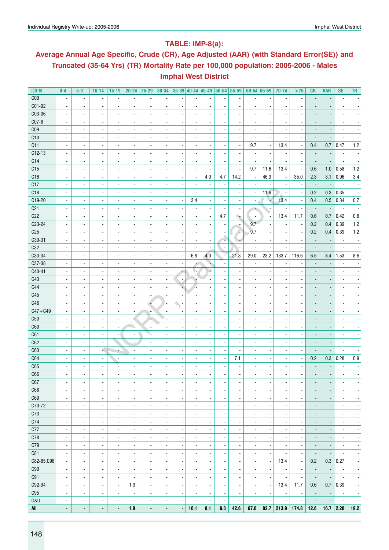### **Table: IMP-8(a):**

# **Average Annual Age Specific, Crude (CR), Age Adjusted (AAR) (with Standard Error(SE)) and Truncated (35-64 Yrs) (TR) Mortality Rate per 100,000 population: 2005-2006 - Males Imphal West District**

| <b>ICD-10</b>   | $0-4$                    | $5-9$                    | $10 - 14$                | $15-19$                  | $20 - 24$                | $25 - 29$                    | $30-34$                  |                          |                          |                          |                          | 35-39 40-44 45-49 50-54 55-59 |                          | $60 - 64$ 65-69          | 70-74                    | $>75$                                                | CR                       | <b>AAR</b>               | <b>SE</b>                | TR                       |
|-----------------|--------------------------|--------------------------|--------------------------|--------------------------|--------------------------|------------------------------|--------------------------|--------------------------|--------------------------|--------------------------|--------------------------|-------------------------------|--------------------------|--------------------------|--------------------------|------------------------------------------------------|--------------------------|--------------------------|--------------------------|--------------------------|
| C <sub>00</sub> | $\overline{\phantom{a}}$ | $\overline{\phantom{a}}$ | $\overline{\phantom{a}}$ | $\overline{\phantom{a}}$ | $\blacksquare$           | $\overline{\phantom{a}}$     | $\overline{\phantom{a}}$ | $\overline{\phantom{a}}$ |                          | $\overline{\phantom{a}}$ | $\overline{a}$           | $\blacksquare$                |                          | $\blacksquare$           | $\overline{\phantom{a}}$ | $\overline{\phantom{a}}$                             |                          |                          | $\overline{\phantom{a}}$ |                          |
| C01-02          | $\overline{\phantom{a}}$ | $\overline{\phantom{a}}$ | $\blacksquare$           | $\overline{\phantom{a}}$ | $\blacksquare$           | ÷,                           |                          | $\overline{\phantom{a}}$ |                          |                          |                          |                               |                          | $\overline{\phantom{a}}$ |                          |                                                      |                          |                          |                          |                          |
| C03-06          | $\overline{\phantom{a}}$ | $\overline{\phantom{a}}$ | $\blacksquare$           | $\blacksquare$           | $\overline{\phantom{a}}$ | $\overline{\phantom{a}}$     |                          | $\overline{\phantom{a}}$ |                          |                          |                          |                               |                          |                          |                          |                                                      |                          |                          |                          |                          |
| $CO7-8$         | $\overline{\phantom{a}}$ | $\overline{\phantom{a}}$ | ٠                        | $\blacksquare$           | $\blacksquare$           | $\overline{\phantom{a}}$     |                          | $\overline{\phantom{a}}$ |                          |                          |                          |                               |                          |                          |                          |                                                      |                          |                          |                          |                          |
| C <sub>09</sub> | $\blacksquare$           | $\overline{\phantom{a}}$ | $\overline{\phantom{a}}$ | $\blacksquare$           | $\blacksquare$           | $\overline{\phantom{a}}$     |                          | $\overline{\phantom{a}}$ |                          | $\blacksquare$           | $\overline{\phantom{a}}$ | $\blacksquare$                |                          |                          |                          |                                                      |                          |                          |                          |                          |
| C10             | $\blacksquare$           | $\overline{\phantom{a}}$ | $\overline{\phantom{a}}$ | $\blacksquare$           | $\blacksquare$           | $\overline{\phantom{a}}$     |                          | $\overline{\phantom{a}}$ |                          | $\blacksquare$           | $\overline{\phantom{a}}$ | $\blacksquare$                |                          | $\blacksquare$           |                          | $\overline{\phantom{a}}$                             |                          |                          |                          |                          |
| C11             | $\blacksquare$           | $\blacksquare$           | $\blacksquare$           | $\overline{a}$           | $\blacksquare$           | $\blacksquare$               |                          | $\overline{\phantom{a}}$ |                          | $\blacksquare$           | $\overline{\phantom{a}}$ | $\blacksquare$                | 9.7                      | $\overline{\phantom{a}}$ | 13.4                     | $\blacksquare$                                       | 0.4                      | 0.7                      | 0.47                     | $1.2$                    |
| $C12-13$        | $\overline{\phantom{a}}$ | $\blacksquare$           | $\blacksquare$           | $\overline{a}$           | $\overline{a}$           | $\blacksquare$               |                          | $\blacksquare$           |                          | $\blacksquare$           |                          | $\overline{\phantom{a}}$      |                          |                          |                          | $\overline{\phantom{a}}$                             |                          |                          |                          |                          |
| C14             | $\blacksquare$           | $\blacksquare$           | $\blacksquare$           | $\overline{a}$           | $\overline{a}$           | $\blacksquare$               |                          | $\overline{a}$           | $\overline{\phantom{a}}$ | $\blacksquare$           | $\overline{\phantom{a}}$ | $\overline{a}$                |                          | ÷,                       |                          | $\frac{1}{2}$                                        |                          |                          |                          |                          |
| C15             | $\blacksquare$           | $\blacksquare$           | $\overline{\phantom{a}}$ | $\blacksquare$           | $\overline{\phantom{a}}$ | ä,                           |                          | $\overline{\phantom{a}}$ | $\overline{a}$           | $\blacksquare$           |                          | $\Box$                        | 9.7                      | 11.6                     | 13.4                     | $\blacksquare$                                       | 0.6                      | $1.0\,$                  | 0.58                     | $1.2$                    |
| C16             | $\blacksquare$           | $\blacksquare$           | $\frac{1}{2}$            | $\blacksquare$           | $\overline{\phantom{a}}$ | $\blacksquare$               |                          | $\overline{\phantom{a}}$ | $\overline{\phantom{a}}$ | 4.0                      | 4.7                      | 14.2                          |                          | 46.3                     | $\blacksquare$           | 35.0                                                 | 2.3                      | 3.1                      | 0.96                     | $3.4\,$                  |
| C17             | $\blacksquare$           | $\blacksquare$           | $\frac{1}{2}$            | $\overline{\phantom{a}}$ | $\blacksquare$           | ÷,                           |                          | $\overline{a}$           |                          | $\blacksquare$           |                          | $\overline{\phantom{a}}$      |                          |                          |                          | $\overline{\phantom{a}}$                             |                          |                          |                          | $\overline{\phantom{a}}$ |
| C18             | $\overline{\phantom{a}}$ | $\blacksquare$           | $\overline{a}$           | $\overline{\phantom{a}}$ | $\blacksquare$           | ÷,                           |                          | $\overline{\phantom{a}}$ |                          |                          |                          | $\blacksquare$                |                          | 11.6                     |                          | $\overline{\phantom{a}}$                             | 0.2                      | 0.3                      | 0.35                     | $\blacksquare$           |
| C19-20          | $\overline{a}$           | $\blacksquare$           | $\overline{a}$           | $\overline{\phantom{a}}$ | $\blacksquare$           | ÷,                           |                          | $\blacksquare$           | 3.4                      | $\blacksquare$           |                          | $\blacksquare$                |                          | u                        | 13.4                     | $\blacksquare$                                       | 0.4                      | 0.5                      | 0.34                     | $0.7\,$                  |
| C <sub>21</sub> | $\overline{\phantom{a}}$ | $\overline{\phantom{a}}$ | $\blacksquare$           | $\overline{\phantom{a}}$ | $\blacksquare$           |                              |                          | $\overline{\phantom{a}}$ |                          | $\blacksquare$           |                          | $\overline{\phantom{a}}$      |                          |                          |                          | $\overline{\phantom{a}}$                             |                          |                          |                          |                          |
| C <sub>22</sub> | ÷,                       |                          |                          | $\overline{a}$           | $\blacksquare$           |                              |                          | $\overline{\phantom{a}}$ |                          | $\blacksquare$           | 4.7                      | ۰                             |                          |                          | 13.4                     | 11.7                                                 | 0.6                      | 0.7                      | 0.42                     | $0.8\,$                  |
| C23-24          | ÷,                       |                          |                          | $\blacksquare$           | $\blacksquare$           |                              |                          | $\overline{a}$           |                          | $\blacksquare$           |                          |                               | 9.7                      |                          |                          | $\overline{\phantom{a}}$                             | 0.2                      | 0.4                      | 0.39                     | $1.2$                    |
| C <sub>25</sub> | ÷,                       | $\blacksquare$           | ٠                        | $\blacksquare$           | $\blacksquare$           |                              |                          | $\overline{\phantom{a}}$ |                          | $\blacksquare$           |                          | 4                             | 9.7                      |                          |                          | $\blacksquare$                                       | 0.2                      | 0.4                      | 0.39                     | $1.2\,$                  |
| C30-31          |                          |                          |                          |                          |                          |                              |                          |                          |                          |                          |                          |                               |                          |                          |                          |                                                      |                          |                          |                          |                          |
|                 | ÷,                       | $\blacksquare$           | $\overline{a}$           | $\blacksquare$           | $\blacksquare$           |                              |                          | $\overline{\phantom{a}}$ |                          | $\overline{\phantom{a}}$ | ÷,                       | u)                            |                          |                          |                          | $\blacksquare$                                       |                          |                          |                          |                          |
| C32             | ÷,                       | $\blacksquare$           | $\overline{a}$           | $\overline{a}$           | $\blacksquare$           | ÷,                           |                          | $\overline{a}$           |                          | $\blacksquare$           | $\overline{a}$           |                               |                          |                          |                          | $\overline{\phantom{a}}$                             |                          |                          |                          | $\blacksquare$           |
| C33-34          | ÷,                       | $\blacksquare$           | $\overline{a}$           | $\overline{a}$           | $\blacksquare$           | ÷,                           |                          | $\blacksquare$           | 6.8                      | 4.0                      |                          | 21.3                          | 29.0                     | 23.2                     | 133.7                    | 116.6                                                | 6.5                      | 8.4                      | 1.53                     | 8.6                      |
| C37-38          | $\overline{a}$           | $\overline{\phantom{a}}$ | $\overline{a}$           | $\overline{\phantom{a}}$ | ä,                       | ÷,                           |                          | $\overline{a}$           | ۸                        | ۷                        |                          | $\overline{a}$                |                          | $\blacksquare$           |                          | $\overline{\phantom{a}}$                             |                          |                          |                          |                          |
| C40-41          | $\overline{a}$           | $\overline{\phantom{a}}$ | ٠                        | $\overline{\phantom{a}}$ | $\blacksquare$           | ÷,                           |                          | Ξ                        | v.                       | υ                        |                          |                               |                          |                          |                          |                                                      |                          |                          |                          |                          |
| C43             | $\overline{a}$           | $\overline{\phantom{a}}$ | $\overline{a}$           | $\overline{\phantom{a}}$ | $\blacksquare$           | ÷,                           | $\overline{\phantom{a}}$ | ÷,                       |                          |                          |                          | $\overline{\phantom{a}}$      |                          | $\overline{\phantom{a}}$ |                          |                                                      |                          |                          |                          |                          |
| C44             | $\overline{a}$           | $\overline{\phantom{a}}$ |                          | $\overline{a}$           | $\blacksquare$           |                              |                          | u                        |                          |                          |                          |                               |                          |                          |                          |                                                      |                          |                          |                          |                          |
| C45             | $\overline{\phantom{a}}$ | $\blacksquare$           | ٠                        | $\overline{\phantom{a}}$ | $\overline{\phantom{a}}$ | ٠                            |                          | ٠                        |                          |                          |                          | ٠                             |                          | $\blacksquare$           |                          |                                                      |                          |                          |                          |                          |
| C46             | ٠                        | $\overline{\phantom{a}}$ | ٠                        | $\overline{\phantom{a}}$ | $\overline{\phantom{a}}$ |                              |                          | $\overline{\phantom{a}}$ |                          | $\overline{\phantom{a}}$ |                          | ٠                             |                          | ٠                        | $\overline{\phantom{a}}$ |                                                      |                          |                          |                          |                          |
| $C47 + C49$     | $\overline{a}$           | $\overline{\phantom{a}}$ | ٠                        | $\overline{\phantom{a}}$ | ۰                        | -                            |                          | -                        |                          |                          |                          |                               |                          | ٠                        | $\overline{\phantom{a}}$ |                                                      |                          |                          |                          |                          |
| C50             | $\overline{\phantom{a}}$ | $\overline{\phantom{a}}$ | $\overline{a}$           | $\overline{\phantom{a}}$ | 4                        | ÷.                           |                          | $\frac{1}{2}$            | $\overline{\phantom{a}}$ |                          |                          |                               |                          | $\overline{\phantom{a}}$ | $\overline{\phantom{a}}$ |                                                      |                          |                          |                          |                          |
| C60             | $\overline{\phantom{a}}$ | $\overline{\phantom{a}}$ | $\overline{a}$           | $\blacksquare$           | υŻ.                      | $\overline{\phantom{a}}$     |                          | $\frac{1}{2}$            | $\overline{\phantom{a}}$ |                          |                          |                               |                          | $\overline{\phantom{a}}$ | $\overline{\phantom{a}}$ |                                                      |                          |                          |                          |                          |
| C61             | $\overline{\phantom{a}}$ | $\overline{\phantom{a}}$ | ۰                        | $\overline{\phantom{a}}$ | $\overline{\phantom{a}}$ |                              |                          | $\frac{1}{2}$            | $\overline{\phantom{a}}$ |                          |                          |                               |                          |                          | $\overline{\phantom{a}}$ |                                                      |                          |                          |                          |                          |
| C62             | $\overline{\phantom{a}}$ | $\overline{\phantom{a}}$ | ۰                        | ÷                        |                          | $\blacksquare$               |                          | $\overline{\phantom{m}}$ | $\overline{\phantom{a}}$ | $\overline{\phantom{a}}$ |                          | -                             |                          | $\overline{\phantom{a}}$ | $\overline{\phantom{a}}$ | $\overline{\phantom{a}}$                             |                          |                          | $\overline{\phantom{a}}$ |                          |
| C63             | $\overline{\phantom{a}}$ | $\overline{\phantom{a}}$ | 4                        | ٠                        | $\overline{\phantom{a}}$ | $\overline{\phantom{a}}$     |                          | $\overline{\phantom{a}}$ | $\overline{\phantom{a}}$ | $\overline{\phantom{a}}$ | $\overline{a}$           | $\overline{a}$                |                          | $\overline{\phantom{a}}$ | $\overline{\phantom{a}}$ | $\overline{\phantom{a}}$                             | $\overline{\phantom{a}}$ | $\overline{\phantom{a}}$ | $\overline{\phantom{a}}$ | $\blacksquare$           |
| C64             | $\overline{\phantom{a}}$ | $\overline{\phantom{a}}$ | $\overline{\phantom{a}}$ | $\overline{\phantom{a}}$ | $\overline{\phantom{a}}$ | $\overline{\phantom{a}}$     |                          | $\overline{\phantom{a}}$ | $\overline{\phantom{a}}$ | $\overline{\phantom{a}}$ | $\overline{\phantom{a}}$ | 7.1                           |                          | $\overline{\phantom{a}}$ | $\overline{\phantom{a}}$ | $\overline{\phantom{a}}$                             | 0.2                      | 0.3                      | 0.28                     | 0.9                      |
| C65             | $\overline{\phantom{a}}$ | $\overline{\phantom{a}}$ | $\overline{\phantom{a}}$ | ÷.                       | $\overline{\phantom{a}}$ | $\qquad \qquad \blacksquare$ |                          | $\overline{\phantom{a}}$ | $\overline{\phantom{a}}$ |                          |                          | $\overline{a}$                |                          | $\overline{\phantom{a}}$ | $\blacksquare$           | $\overline{\phantom{a}}$                             |                          |                          |                          |                          |
| C66             | $\blacksquare$           | $\blacksquare$           | $\frac{1}{2}$            | $\blacksquare$           |                          | $\blacksquare$               |                          | $\overline{\phantom{a}}$ | ÷,                       |                          | $\overline{\phantom{a}}$ | ٠                             |                          | $\overline{\phantom{a}}$ | $\overline{\phantom{a}}$ | $\overline{\phantom{a}}$                             |                          |                          |                          |                          |
| C67             | $\overline{\phantom{a}}$ | $\overline{\phantom{a}}$ | $\overline{\phantom{a}}$ | $\overline{\phantom{a}}$ | ٠                        | ٠                            | $\overline{\phantom{a}}$ | $\overline{\phantom{a}}$ | $\overline{\phantom{a}}$ | ٠                        | $\overline{\phantom{a}}$ | $\overline{\phantom{a}}$      | $\overline{\phantom{a}}$ | ٠                        | ٠                        | $\overline{\phantom{a}}$                             | ۰                        | $\overline{\phantom{a}}$ | $\overline{\phantom{a}}$ | ٠                        |
| C68             | $\overline{\phantom{a}}$ | $\overline{\phantom{a}}$ | $\overline{\phantom{a}}$ | $\blacksquare$           | $\overline{\phantom{a}}$ | $\overline{\phantom{a}}$     | $\overline{\phantom{a}}$ | $\overline{\phantom{a}}$ | $\overline{\phantom{a}}$ | $\overline{\phantom{a}}$ | $\overline{\phantom{a}}$ | $\overline{\phantom{a}}$      | $\overline{\phantom{a}}$ | $\overline{\phantom{a}}$ | $\overline{\phantom{a}}$ | $\overline{\phantom{a}}$                             | $\overline{\phantom{a}}$ | $\overline{\phantom{a}}$ | $\overline{\phantom{a}}$ | $\overline{\phantom{a}}$ |
| C69             | $\overline{\phantom{a}}$ | $\overline{\phantom{a}}$ | $\overline{\phantom{a}}$ | $\overline{\phantom{a}}$ | $\overline{\phantom{a}}$ | $\overline{\phantom{a}}$     | $\overline{\phantom{a}}$ | $\overline{\phantom{a}}$ | $\blacksquare$           | $\overline{\phantom{a}}$ | $\overline{\phantom{a}}$ | $\blacksquare$                | ٠                        | $\overline{\phantom{a}}$ | $\overline{\phantom{a}}$ | $\overline{\phantom{a}}$                             | $\overline{a}$           | $\overline{\phantom{a}}$ | $\overline{\phantom{a}}$ | $\overline{\phantom{a}}$ |
| C70-72          | $\overline{\phantom{a}}$ | $\overline{\phantom{a}}$ | $\overline{\phantom{a}}$ | $\overline{\phantom{a}}$ | $\overline{\phantom{a}}$ | $\overline{\phantom{a}}$     | $\overline{\phantom{a}}$ | $\overline{\phantom{a}}$ | $\blacksquare$           | $\overline{\phantom{a}}$ | $\overline{\phantom{a}}$ | $\blacksquare$                | ٠                        | $\overline{\phantom{a}}$ | $\overline{\phantom{a}}$ | $\overline{\phantom{a}}$                             | $\overline{\phantom{a}}$ | $\overline{\phantom{a}}$ | $\overline{\phantom{a}}$ | $\overline{\phantom{a}}$ |
| C73             | $\overline{\phantom{a}}$ | $\overline{\phantom{a}}$ | $\overline{\phantom{a}}$ | $\overline{\phantom{a}}$ | $\blacksquare$           | $\overline{\phantom{a}}$     | $\overline{\phantom{a}}$ | $\overline{\phantom{a}}$ | $\blacksquare$           | $\overline{\phantom{a}}$ | $\blacksquare$           | $\blacksquare$                | $\overline{\phantom{a}}$ | $\overline{\phantom{a}}$ | $\overline{\phantom{a}}$ | $\overline{\phantom{a}}$                             | $\overline{a}$           | $\overline{\phantom{0}}$ | $\overline{\phantom{a}}$ | $\overline{\phantom{a}}$ |
| C74             | $\overline{\phantom{a}}$ | $\overline{\phantom{a}}$ | $\overline{\phantom{a}}$ | $\overline{\phantom{a}}$ | $\overline{\phantom{a}}$ | $\overline{\phantom{a}}$     | $\overline{\phantom{a}}$ | $\overline{\phantom{a}}$ | $\blacksquare$           | $\overline{\phantom{a}}$ | $\blacksquare$           | $\overline{\phantom{a}}$      |                          | $\blacksquare$           | $\blacksquare$           | $\overline{\phantom{a}}$                             |                          |                          | $\blacksquare$           | $\overline{\phantom{a}}$ |
| C77             | $\overline{\phantom{a}}$ | $\overline{\phantom{a}}$ | $\overline{\phantom{a}}$ | $\overline{\phantom{a}}$ | $\overline{\phantom{a}}$ | $\overline{\phantom{a}}$     | $\overline{\phantom{a}}$ | $\overline{\phantom{a}}$ | $\overline{\phantom{a}}$ | $\overline{\phantom{a}}$ | $\blacksquare$           | $\overline{\phantom{a}}$      | ٠                        | $\blacksquare$           | $\blacksquare$           | $\overline{\phantom{a}}$                             | $\overline{\phantom{0}}$ |                          | $\blacksquare$           | $\overline{\phantom{a}}$ |
| C78             | $\overline{\phantom{a}}$ | $\overline{\phantom{a}}$ | $\overline{\phantom{a}}$ | $\overline{\phantom{a}}$ | $\overline{\phantom{a}}$ | $\overline{\phantom{a}}$     | $\overline{\phantom{a}}$ | $\overline{\phantom{a}}$ | $\blacksquare$           | $\overline{\phantom{a}}$ | $\blacksquare$           | $\overline{\phantom{a}}$      | ٠                        | $\blacksquare$           | $\blacksquare$           | $\overline{\phantom{a}}$                             | $\overline{a}$           |                          | $\blacksquare$           | $\overline{\phantom{a}}$ |
| C79             | $\overline{\phantom{a}}$ | $\overline{\phantom{a}}$ | $\overline{\phantom{a}}$ | $\overline{\phantom{a}}$ | $\overline{\phantom{a}}$ | $\blacksquare$               | $\overline{\phantom{a}}$ | $\overline{\phantom{a}}$ | $\overline{\phantom{a}}$ | $\overline{\phantom{a}}$ | $\blacksquare$           | $\overline{\phantom{a}}$      |                          | $\blacksquare$           | $\blacksquare$           | $\overline{\phantom{a}}$                             | $\overline{\phantom{a}}$ |                          | $\blacksquare$           | $\overline{\phantom{a}}$ |
| C81             | $\blacksquare$           | $\overline{\phantom{a}}$ | $\overline{\phantom{a}}$ | $\blacksquare$           | $\blacksquare$           | $\overline{\phantom{a}}$     | $\overline{\phantom{a}}$ | $\overline{\phantom{a}}$ | $\overline{a}$           | $\blacksquare$           | $\overline{a}$           | $\overline{\phantom{a}}$      |                          | $\overline{\phantom{a}}$ | $\overline{\phantom{a}}$ | $\overline{\phantom{a}}$                             | $\overline{\phantom{a}}$ | $\overline{\phantom{a}}$ | $\blacksquare$           | $\overline{\phantom{a}}$ |
| C82-85, C96     | $\overline{\phantom{a}}$ | $\overline{\phantom{a}}$ | $\overline{\phantom{a}}$ | $\blacksquare$           | $\blacksquare$           | $\overline{\phantom{a}}$     | $\overline{\phantom{a}}$ | $\overline{\phantom{a}}$ | $\overline{a}$           | $\overline{\phantom{a}}$ | $\overline{\phantom{a}}$ | $\overline{\phantom{a}}$      |                          | $\blacksquare$           | 13.4                     | $\blacksquare$                                       | 0.2                      | 0.3                      | 0.27                     | $\overline{\phantom{a}}$ |
| C90             | $\overline{\phantom{a}}$ | $\overline{\phantom{a}}$ | $\overline{\phantom{a}}$ | $\blacksquare$           | $\overline{\phantom{a}}$ | $\overline{\phantom{a}}$     | $\overline{\phantom{a}}$ | $\overline{\phantom{a}}$ | $\overline{a}$           | $\overline{\phantom{a}}$ | $\overline{\phantom{a}}$ | $\overline{\phantom{a}}$      |                          | $\overline{\phantom{a}}$ |                          | $\overline{\phantom{a}}$                             |                          |                          |                          | $\overline{\phantom{a}}$ |
| C91             | $\blacksquare$           | $\overline{\phantom{a}}$ | $\blacksquare$           | $\blacksquare$           | ä,                       | $\blacksquare$               | $\overline{\phantom{a}}$ | $\overline{\phantom{a}}$ | $\overline{\phantom{a}}$ | $\overline{\phantom{a}}$ | $\overline{a}$           | $\blacksquare$                |                          | $\overline{\phantom{a}}$ | $\blacksquare$           | $\overline{\phantom{a}}$                             | $\overline{\phantom{a}}$ |                          | $\overline{\phantom{a}}$ | $\overline{\phantom{a}}$ |
| C92-94          | $\overline{\phantom{a}}$ | $\overline{\phantom{a}}$ | $\blacksquare$           | $\blacksquare$           | 1.9                      | $\blacksquare$               | $\overline{\phantom{a}}$ | $\overline{\phantom{a}}$ | $\overline{\phantom{a}}$ | $\blacksquare$           | $\overline{a}$           | $\blacksquare$                |                          | $\overline{\phantom{a}}$ | 13.4                     | 11.7                                                 | 0.6                      | 0.7                      | 0.39                     | $\overline{\phantom{a}}$ |
| C95             | $\blacksquare$           | $\overline{\phantom{a}}$ | $\overline{\phantom{a}}$ | $\overline{\phantom{a}}$ | $\blacksquare$           |                              |                          |                          |                          | $\blacksquare$           | $\overline{\phantom{a}}$ | $\blacksquare$                |                          | $\blacksquare$           | $\overline{\phantom{a}}$ |                                                      |                          |                          | $\overline{\phantom{a}}$ | $\overline{\phantom{a}}$ |
| <b>0&amp;U</b>  |                          | $\overline{\phantom{a}}$ |                          |                          | $\blacksquare$           | $\overline{\phantom{a}}$     | $\overline{\phantom{a}}$ | $\overline{\phantom{a}}$ |                          |                          | $\overline{a}$           |                               |                          | $\blacksquare$           |                          | $\overline{\phantom{a}}$<br>$\overline{\phantom{a}}$ |                          | $\overline{\phantom{a}}$ |                          | $\blacksquare$           |
|                 | $\blacksquare$           |                          | $\overline{\phantom{a}}$ | $\overline{\phantom{a}}$ |                          | $\overline{\phantom{a}}$     | $\overline{\phantom{a}}$ | $\overline{\phantom{a}}$ |                          | $\blacksquare$           |                          | $\overline{\phantom{a}}$      |                          |                          |                          |                                                      |                          |                          |                          |                          |
| All             |                          | $\blacksquare$           | ۰                        | $\blacksquare$           | 1.9                      | ٠                            | ٠                        | $\overline{\phantom{a}}$ | 10.1                     | 8.1                      | 9.3                      | 42.6                          | 67.6                     | 92.7                     | 213.9                    | 174.8                                                | 12.6                     | 16.7                     | 2.20                     | $19.2$                   |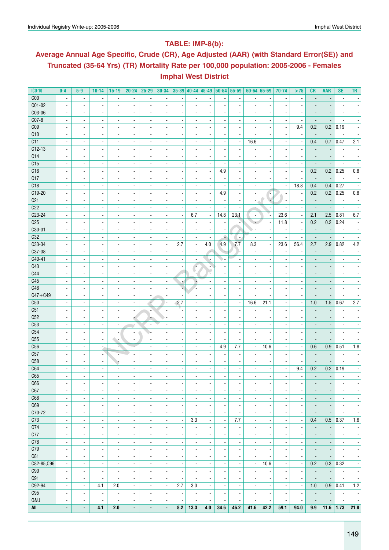## **Table: IMP-8(b):**

# **Average Annual Age Specific, Crude (CR), Age Adjusted (AAR) (with Standard Error(SE)) and Truncated (35-64 Yrs) (TR) Mortality Rate per 100,000 population: 2005-2006 - Females Imphal West District**

| <b>ICD-10</b>   | $0-4$                    | $5-9$                    | $10-14$                  | $15-19$                  | $20 - 24$                | $25 - 29$                    |                              |                          |                          |                          |                          | $30-34$   35-39 40-44 45-49 50-54 55-59 |                          | $60 - 64$ 65-69          | 70-74                    | $>75$                    | <b>CR</b>                | <b>AAR</b>               | <b>SE</b>                | <b>TR</b>                |
|-----------------|--------------------------|--------------------------|--------------------------|--------------------------|--------------------------|------------------------------|------------------------------|--------------------------|--------------------------|--------------------------|--------------------------|-----------------------------------------|--------------------------|--------------------------|--------------------------|--------------------------|--------------------------|--------------------------|--------------------------|--------------------------|
| C <sub>00</sub> | $\overline{\phantom{a}}$ | $\overline{\phantom{a}}$ | $\overline{\phantom{a}}$ | $\overline{\phantom{a}}$ | $\overline{\phantom{a}}$ | ٠                            |                              | $\overline{\phantom{a}}$ |                          |                          |                          |                                         |                          | $\overline{\phantom{a}}$ |                          |                          |                          |                          |                          |                          |
| C01-02          | $\overline{\phantom{a}}$ | $\overline{\phantom{a}}$ | $\overline{a}$           | $\blacksquare$           | $\overline{\phantom{a}}$ | $\overline{\phantom{a}}$     | $\blacksquare$               | $\overline{a}$           |                          |                          | $\overline{\phantom{a}}$ | $\overline{\phantom{a}}$                |                          |                          |                          |                          |                          |                          |                          |                          |
| C03-06          | $\overline{\phantom{a}}$ | $\overline{\phantom{a}}$ | $\overline{\phantom{a}}$ | $\blacksquare$           | $\overline{\phantom{a}}$ | $\overline{\phantom{a}}$     | $\blacksquare$               | $\overline{\phantom{a}}$ | $\overline{\phantom{a}}$ | $\overline{\phantom{a}}$ | $\blacksquare$           | $\blacksquare$                          |                          | $\overline{\phantom{a}}$ | $\overline{\phantom{a}}$ | $\overline{\phantom{a}}$ |                          |                          | $\overline{\phantom{a}}$ |                          |
| C07-8           | $\overline{\phantom{a}}$ | $\overline{\phantom{a}}$ | $\overline{\phantom{a}}$ | $\overline{\phantom{a}}$ | $\overline{\phantom{a}}$ | $\blacksquare$               |                              | $\overline{\phantom{a}}$ | $\overline{\phantom{a}}$ | $\blacksquare$           |                          | $\overline{\phantom{a}}$                |                          | $\overline{\phantom{a}}$ | $\blacksquare$           | $\overline{\phantom{a}}$ |                          |                          |                          |                          |
| C <sub>09</sub> | $\overline{\phantom{a}}$ | $\overline{\phantom{a}}$ | $\overline{\phantom{a}}$ | $\overline{\phantom{a}}$ | $\overline{\phantom{a}}$ | ٠                            |                              | $\overline{\phantom{m}}$ | $\overline{\phantom{a}}$ | $\overline{\phantom{a}}$ |                          | $\overline{a}$                          |                          | ٠                        | $\overline{\phantom{a}}$ | 9.4                      | 0.2                      | 0.2                      | 0.19                     |                          |
| C10             | $\blacksquare$           | $\blacksquare$           | $\overline{\phantom{a}}$ | $\blacksquare$           | $\blacksquare$           | ÷,                           |                              | $\overline{\phantom{a}}$ |                          |                          |                          | $\blacksquare$                          |                          |                          |                          | $\overline{\phantom{a}}$ |                          |                          |                          |                          |
|                 |                          |                          |                          |                          |                          |                              |                              |                          |                          |                          |                          |                                         |                          |                          |                          |                          |                          |                          |                          |                          |
| C11             | $\blacksquare$           | $\blacksquare$           | $\overline{\phantom{a}}$ | $\blacksquare$           | $\blacksquare$           | $\overline{\phantom{a}}$     | $\blacksquare$               | $\overline{\phantom{a}}$ | $\overline{\phantom{a}}$ | $\overline{\phantom{a}}$ | $\blacksquare$           | $\overline{\phantom{a}}$                | 16.6                     | $\blacksquare$           | $\overline{\phantom{a}}$ | $\frac{1}{2}$            | 0.4                      | 0.7                      | 0.47                     | 2.1                      |
| $C12-13$        | $\overline{\phantom{a}}$ | $\blacksquare$           | $\overline{\phantom{a}}$ | $\overline{\phantom{a}}$ | $\overline{\phantom{a}}$ | ٠                            |                              | ٠                        |                          | $\overline{\phantom{a}}$ |                          | $\overline{\phantom{a}}$                |                          | $\overline{\phantom{a}}$ | $\blacksquare$           | $\overline{\phantom{a}}$ |                          |                          |                          |                          |
| C14             | $\overline{\phantom{a}}$ | $\overline{\phantom{a}}$ | $\overline{a}$           | $\overline{\phantom{a}}$ | $\overline{\phantom{a}}$ | $\overline{\phantom{a}}$     | $\overline{\phantom{a}}$     | ٠                        |                          | $\overline{\phantom{a}}$ |                          | $\overline{\phantom{a}}$                |                          | $\overline{\phantom{a}}$ | $\overline{\phantom{a}}$ | $\overline{\phantom{a}}$ |                          |                          |                          |                          |
| C15             | $\overline{\phantom{a}}$ | $\blacksquare$           | $\overline{\phantom{a}}$ | $\overline{\phantom{a}}$ | $\overline{\phantom{a}}$ | $\blacksquare$               | $\blacksquare$               | $\overline{\phantom{a}}$ | $\overline{\phantom{a}}$ | $\overline{\phantom{a}}$ | $\overline{\phantom{a}}$ | $\blacksquare$                          |                          | $\blacksquare$           | $\blacksquare$           | $\overline{\phantom{a}}$ | $\overline{\phantom{a}}$ | $\overline{\phantom{a}}$ | $\blacksquare$           | $\overline{\phantom{a}}$ |
| C16             | $\blacksquare$           | $\overline{\phantom{a}}$ | $\blacksquare$           | $\overline{\phantom{a}}$ | $\overline{\phantom{a}}$ | $\blacksquare$               | $\blacksquare$               | $\overline{\phantom{a}}$ | $\overline{\phantom{a}}$ | $\overline{\phantom{a}}$ | 4.9                      | $\blacksquare$                          |                          | $\blacksquare$           | $\overline{\phantom{a}}$ | $\overline{\phantom{a}}$ | 0.2                      | 0.2                      | 0.25                     | 0.8                      |
| C17             | $\overline{a}$           | $\overline{\phantom{a}}$ | $\overline{\phantom{a}}$ | $\overline{\phantom{a}}$ | $\overline{\phantom{a}}$ | $\overline{\phantom{a}}$     |                              | $\overline{\phantom{m}}$ | $\overline{\phantom{a}}$ | $\overline{\phantom{a}}$ |                          | $\overline{a}$                          |                          | $\overline{\phantom{a}}$ | $\overline{\phantom{a}}$ | $\overline{\phantom{a}}$ |                          |                          |                          |                          |
| C18             | $\overline{a}$           | $\overline{\phantom{a}}$ | ä,                       | $\overline{a}$           | $\overline{a}$           | $\overline{a}$               |                              | ä,                       | $\overline{a}$           | $\overline{a}$           | $\overline{\phantom{a}}$ |                                         |                          | ÷,                       | $\overline{\phantom{a}}$ | 18.8                     | 0.4                      | 0.4                      | 0.27                     | $\overline{\phantom{a}}$ |
| C19-20          | $\overline{\phantom{a}}$ | $\blacksquare$           | $\overline{\phantom{a}}$ | $\blacksquare$           | $\blacksquare$           | $\overline{\phantom{a}}$     |                              | $\overline{\phantom{a}}$ |                          | $\blacksquare$           | 4.9                      | $\blacksquare$                          |                          | ×                        | $\overline{\phantom{a}}$ | $\overline{\phantom{a}}$ | 0.2                      | 0.2                      | 0.25                     | 0.8                      |
| C <sub>21</sub> | $\blacksquare$           | $\blacksquare$           | $\overline{\phantom{a}}$ | $\overline{\phantom{a}}$ | $\blacksquare$           | $\blacksquare$               |                              | $\overline{\phantom{a}}$ |                          | $\blacksquare$           |                          | $\blacksquare$                          |                          | ÷                        |                          | $\overline{\phantom{a}}$ | $\overline{\phantom{a}}$ |                          |                          |                          |
| C <sub>22</sub> | $\overline{\phantom{a}}$ | $\blacksquare$           | $\overline{a}$           | $\overline{\phantom{a}}$ | $\overline{\phantom{a}}$ | $\overline{a}$               |                              | $\overline{a}$           |                          |                          |                          | $\overline{\phantom{a}}$                |                          | $\overline{\phantom{a}}$ |                          | $\blacksquare$           |                          |                          |                          |                          |
| C23-24          | $\overline{\phantom{a}}$ | $\overline{\phantom{a}}$ | ä,                       | $\overline{\phantom{a}}$ | $\overline{\phantom{a}}$ | $\overline{a}$               |                              | $\blacksquare$           | 6.7                      | $\overline{\phantom{a}}$ | 14.8                     | 23.1                                    | $\overline{\phantom{a}}$ |                          | 23.6                     | $\overline{\phantom{a}}$ | 2.1                      | 2.5                      | 0.81                     | 6.7                      |
| C <sub>25</sub> | $\overline{\phantom{a}}$ | $\overline{\phantom{a}}$ | $\overline{\phantom{a}}$ | $\overline{\phantom{a}}$ | $\overline{\phantom{a}}$ | $\overline{\phantom{a}}$     | $\blacksquare$               | $\overline{\phantom{a}}$ | $\overline{\phantom{a}}$ | $\blacksquare$           | $\overline{\phantom{a}}$ | ٠                                       |                          | $\blacksquare$           | 11.8                     | $\overline{\phantom{a}}$ | 0.2                      | 0.2                      | 0.24                     |                          |
| C30-31          | $\overline{\phantom{a}}$ | $\overline{\phantom{a}}$ | $\overline{\phantom{a}}$ | $\overline{\phantom{a}}$ | $\overline{\phantom{a}}$ | $\blacksquare$               | $\overline{\phantom{a}}$     | $\overline{\phantom{a}}$ | $\overline{\phantom{a}}$ | $\blacksquare$           | $\overline{\phantom{a}}$ | ж                                       |                          | $\overline{\phantom{a}}$ | $\blacksquare$           | $\overline{\phantom{a}}$ |                          |                          | $\overline{\phantom{a}}$ |                          |
| C32             | $\overline{\phantom{a}}$ | $\overline{\phantom{a}}$ | $\overline{\phantom{a}}$ | $\overline{\phantom{a}}$ | $\overline{\phantom{a}}$ | $\qquad \qquad \blacksquare$ | $\qquad \qquad \blacksquare$ | $\overline{\phantom{m}}$ | $\overline{\phantom{a}}$ | $\overline{\phantom{a}}$ | ٠                        | ÷,                                      |                          | $\overline{\phantom{m}}$ |                          | $\overline{\phantom{a}}$ |                          |                          |                          |                          |
| C33-34          | $\blacksquare$           | $\blacksquare$           | $\overline{\phantom{a}}$ | $\blacksquare$           | $\blacksquare$           | $\blacksquare$               | $\overline{\phantom{a}}$     | 2.7                      | $\overline{\phantom{a}}$ | 4.0                      | 4.9                      | 7.7                                     | 8.3                      | $\overline{a}$           | 23.6                     | 56.4                     | 2.7                      | 2.9                      | 0.82                     | 4.2                      |
| C37-38          | $\blacksquare$           | $\blacksquare$           | $\blacksquare$           | $\blacksquare$           | $\blacksquare$           | $\blacksquare$               | $\blacksquare$               | $\overline{\phantom{a}}$ | $\overline{\phantom{a}}$ | 4                        | ٠                        | <b>.</b>                                |                          | $\blacksquare$           | $\blacksquare$           | $\overline{\phantom{a}}$ | $\overline{\phantom{a}}$ |                          |                          | $\blacksquare$           |
| $C40-41$        |                          |                          |                          |                          |                          |                              |                              |                          |                          |                          |                          |                                         |                          |                          |                          |                          |                          |                          |                          |                          |
|                 | $\overline{\phantom{a}}$ | $\overline{\phantom{a}}$ | $\overline{\phantom{a}}$ | $\overline{\phantom{a}}$ | $\overline{\phantom{a}}$ | $\overline{\phantom{a}}$     |                              | $\overline{\phantom{a}}$ |                          | ÷                        |                          |                                         |                          | $\overline{\phantom{a}}$ |                          |                          |                          |                          |                          |                          |
| C43             | $\blacksquare$           | $\blacksquare$           | $\overline{a}$           | $\blacksquare$           | $\blacksquare$           | $\overline{\phantom{a}}$     | $\overline{\phantom{a}}$     | $\overline{a}$           | ÷                        | ٠                        |                          |                                         |                          | $\overline{\phantom{a}}$ | $\overline{\phantom{a}}$ |                          |                          |                          |                          |                          |
| C44             | $\blacksquare$           | $\blacksquare$           | $\overline{\phantom{a}}$ | $\overline{\phantom{a}}$ | $\blacksquare$           | $\overline{a}$               | $\blacksquare$               | l,                       |                          | ÷,                       | $\blacksquare$           | $\overline{\phantom{a}}$                |                          | $\overline{\phantom{a}}$ | $\blacksquare$           |                          |                          |                          |                          | $\overline{\phantom{a}}$ |
| C45             | $\overline{\phantom{a}}$ | $\overline{\phantom{a}}$ | $\overline{\phantom{a}}$ | $\overline{\phantom{a}}$ | $\overline{\phantom{a}}$ | $\overline{\phantom{a}}$     | $\overline{\phantom{a}}$     | ÷                        | ÷                        | $\overline{\phantom{a}}$ | $\overline{\phantom{a}}$ | $\blacksquare$                          |                          | $\overline{\phantom{a}}$ | $\overline{\phantom{a}}$ | $\overline{\phantom{a}}$ |                          | $\overline{\phantom{a}}$ | $\overline{\phantom{a}}$ | $\blacksquare$           |
| C46             | $\overline{\phantom{a}}$ | $\overline{\phantom{a}}$ | $\overline{\phantom{a}}$ | $\overline{\phantom{a}}$ | $\overline{\phantom{a}}$ | $\blacksquare$               | $\overline{\phantom{a}}$     | u,                       |                          | $\overline{\phantom{a}}$ | $\overline{\phantom{a}}$ | $\overline{\phantom{a}}$                |                          | $\overline{\phantom{a}}$ | $\overline{\phantom{a}}$ | $\overline{\phantom{a}}$ |                          | $\overline{\phantom{a}}$ | $\overline{\phantom{a}}$ |                          |
| $C47 + C49$     | $\overline{a}$           | $\overline{\phantom{a}}$ | $\blacksquare$           | $\overline{a}$           | $\overline{a}$           | ä,                           | ÷,                           | $\overline{\phantom{a}}$ |                          |                          |                          | $\blacksquare$                          |                          |                          | ä,                       | $\overline{a}$           |                          |                          |                          |                          |
| C50             | $\overline{\phantom{a}}$ | $\blacksquare$           | $\overline{\phantom{a}}$ | $\blacksquare$           | $\overline{\phantom{a}}$ | ٠                            | $\blacksquare$               | 2.7                      | $\overline{\phantom{a}}$ | $\overline{\phantom{a}}$ | $\overline{\phantom{a}}$ | $\overline{\phantom{a}}$                | 16.6                     | 21.1                     | $\blacksquare$           | $\blacksquare$           | 1.0                      | 1.5                      | 0.67                     | 2.7                      |
| C51             | $\blacksquare$           | $\overline{\phantom{a}}$ | $\overline{\phantom{a}}$ | $\overline{\phantom{a}}$ | $\blacksquare$           | $\overline{\phantom{a}}$     | $\blacksquare$               | $\overline{\phantom{a}}$ |                          | $\blacksquare$           | $\overline{\phantom{a}}$ | $\overline{\phantom{a}}$                |                          | $\blacksquare$           | $\blacksquare$           | $\overline{\phantom{a}}$ |                          |                          |                          |                          |
| C52             | $\overline{\phantom{a}}$ | $\overline{\phantom{a}}$ | $\overline{a}$           | $\overline{\phantom{a}}$ | e.                       | ٠                            |                              | $\overline{\phantom{a}}$ |                          |                          |                          |                                         |                          | ٠                        |                          |                          |                          |                          |                          |                          |
| C <sub>53</sub> | $\overline{\phantom{a}}$ | $\blacksquare$           | $\overline{a}$           | $\overline{\phantom{a}}$ |                          | ÷,                           |                              | $\overline{\phantom{a}}$ |                          |                          |                          |                                         |                          | $\blacksquare$           | $\blacksquare$           |                          |                          |                          |                          |                          |
| C54             | $\overline{\phantom{a}}$ | $\blacksquare$           | $\overline{\phantom{a}}$ | $\overline{\phantom{a}}$ | $\overline{\phantom{a}}$ |                              |                              | $\overline{\phantom{a}}$ | $\overline{\phantom{a}}$ | $\blacksquare$           | $\overline{\phantom{a}}$ | $\blacksquare$                          |                          | $\blacksquare$           | $\blacksquare$           | $\overline{\phantom{a}}$ |                          | $\overline{\phantom{a}}$ | $\overline{\phantom{a}}$ | $\overline{\phantom{a}}$ |
| C55             | $\blacksquare$           | $\overline{\phantom{a}}$ | $\blacksquare$           | ٠.                       | $\overline{\phantom{a}}$ | $\overline{\phantom{a}}$     | $\overline{\phantom{a}}$     | $\overline{\phantom{a}}$ | $\overline{\phantom{a}}$ | $\overline{\phantom{a}}$ | $\overline{\phantom{a}}$ | $\blacksquare$                          |                          | $\overline{\phantom{a}}$ | $\blacksquare$           | $\overline{\phantom{a}}$ |                          | $\overline{\phantom{a}}$ | $\overline{\phantom{a}}$ | $\overline{\phantom{a}}$ |
| C56             | $\overline{\phantom{a}}$ | $\overline{\phantom{a}}$ | ÷,                       | ¥,                       |                          | $\qquad \qquad \blacksquare$ | -                            | $\overline{\phantom{m}}$ | $\overline{\phantom{a}}$ | $\overline{\phantom{a}}$ | 4.9                      | 7.7                                     |                          | 10.6                     | $\overline{\phantom{a}}$ |                          | 0.6                      | 0.9                      | 0.51                     | 1.8                      |
| C57             | $\blacksquare$           | $\overline{\phantom{a}}$ | $\overline{\phantom{a}}$ | ÷                        |                          | ÷,                           |                              | $\overline{a}$           |                          | $\blacksquare$           |                          | $\overline{\phantom{a}}$                |                          |                          | $\blacksquare$           | $\overline{\phantom{a}}$ |                          |                          |                          |                          |
| C <sub>58</sub> | $\overline{\phantom{a}}$ | $\blacksquare$           | $\overline{\phantom{a}}$ | ٠                        | $\blacksquare$           | $\overline{\phantom{a}}$     | $\blacksquare$               | $\overline{\phantom{a}}$ | $\overline{\phantom{a}}$ | $\blacksquare$           | $\blacksquare$           | $\overline{\phantom{a}}$                |                          | $\blacksquare$           | $\blacksquare$           | $\blacksquare$           |                          |                          |                          |                          |
| C64             | $\overline{\phantom{a}}$ | $\overline{\phantom{a}}$ | $\overline{\phantom{a}}$ | $\overline{\phantom{a}}$ | $\overline{\phantom{a}}$ | $\overline{\phantom{a}}$     |                              | ٠                        |                          |                          |                          | $\overline{\phantom{a}}$                |                          | $\overline{\phantom{a}}$ | $\blacksquare$           | 9.4                      | 0.2                      | 0.2                      | 0.19                     |                          |
| C65             |                          |                          |                          | $\blacksquare$           | $\blacksquare$           |                              |                              |                          |                          |                          | $\overline{a}$           | ä,                                      |                          | $\overline{\phantom{a}}$ |                          | $\overline{\phantom{a}}$ | ٠                        | $\overline{\phantom{a}}$ |                          |                          |
| C66             | $\overline{\phantom{a}}$ | $\overline{\phantom{a}}$ | $\overline{\phantom{a}}$ | $\overline{\phantom{a}}$ | $\overline{\phantom{a}}$ | $\overline{\phantom{a}}$     | $\blacksquare$               | $\overline{\phantom{a}}$ | $\overline{\phantom{a}}$ | $\overline{\phantom{a}}$ | $\overline{\phantom{a}}$ | $\overline{\phantom{a}}$                | $\overline{\phantom{a}}$ | $\overline{\phantom{a}}$ | $\blacksquare$           | $\overline{\phantom{a}}$ |                          | $\overline{\phantom{m}}$ | $\overline{\phantom{a}}$ | $\overline{\phantom{a}}$ |
| C67             |                          |                          |                          |                          |                          |                              |                              |                          |                          |                          |                          |                                         |                          |                          |                          |                          | -                        |                          |                          |                          |
| C68             | $\overline{\phantom{a}}$ | $\overline{\phantom{a}}$ | $\overline{\phantom{a}}$ | $\blacksquare$           | $\overline{\phantom{a}}$ | $\overline{\phantom{a}}$     | $\overline{\phantom{a}}$     | $\overline{\phantom{a}}$ | $\overline{\phantom{a}}$ | $\overline{\phantom{a}}$ | $\overline{\phantom{a}}$ | $\overline{\phantom{a}}$                | $\overline{\phantom{a}}$ | $\overline{\phantom{a}}$ | $\overline{\phantom{a}}$ | $\overline{\phantom{a}}$ | $\overline{\phantom{a}}$ | $\overline{\phantom{a}}$ | $\overline{\phantom{a}}$ | $\blacksquare$           |
|                 | $\overline{\phantom{a}}$ | $\overline{\phantom{a}}$ | $\overline{\phantom{a}}$ | $\overline{\phantom{a}}$ | $\overline{\phantom{a}}$ | $\overline{\phantom{a}}$     | $\overline{\phantom{a}}$     | $\overline{\phantom{a}}$ | $\overline{\phantom{a}}$ | $\overline{\phantom{a}}$ | $\overline{\phantom{a}}$ | $\overline{\phantom{a}}$                | $\overline{\phantom{a}}$ | $\overline{\phantom{a}}$ | $\overline{\phantom{a}}$ | $\overline{\phantom{a}}$ |                          | $\overline{\phantom{a}}$ | $\overline{\phantom{a}}$ | $\overline{\phantom{a}}$ |
| C69             | $\overline{\phantom{a}}$ | $\blacksquare$           | $\blacksquare$           | $\overline{\phantom{a}}$ | $\blacksquare$           | $\overline{\phantom{a}}$     | $\overline{\phantom{a}}$     | $\overline{\phantom{a}}$ | $\overline{\phantom{a}}$ | $\overline{\phantom{a}}$ | $\overline{\phantom{a}}$ | $\overline{\phantom{a}}$                | ٠                        | $\blacksquare$           | $\overline{\phantom{a}}$ | $\overline{\phantom{a}}$ | -                        | $\overline{\phantom{a}}$ | $\overline{\phantom{a}}$ | $\overline{\phantom{a}}$ |
| C70-72          | $\overline{\phantom{a}}$ | $\overline{\phantom{a}}$ | $\overline{\phantom{a}}$ | $\overline{\phantom{a}}$ | $\overline{\phantom{a}}$ | $\overline{\phantom{a}}$     | $\overline{\phantom{a}}$     | $\overline{\phantom{a}}$ | $\overline{\phantom{a}}$ | $\overline{\phantom{a}}$ | $\overline{\phantom{a}}$ | $\overline{\phantom{a}}$                | $\overline{\phantom{a}}$ | $\blacksquare$           | $\overline{\phantom{a}}$ | $\overline{\phantom{a}}$ | $\overline{\phantom{a}}$ | $\overline{\phantom{a}}$ | $\overline{\phantom{a}}$ | $\overline{\phantom{a}}$ |
| C73             | $\blacksquare$           | $\blacksquare$           | $\blacksquare$           | $\blacksquare$           | $\blacksquare$           | $\overline{\phantom{a}}$     | $\blacksquare$               | $\blacksquare$           | 3.3                      | $\overline{\phantom{a}}$ | ä,                       | 7.7                                     | $\overline{\phantom{a}}$ | $\overline{\phantom{a}}$ | $\blacksquare$           | $\blacksquare$           | 0.4                      | 0.5                      | 0.37                     | 1.6                      |
| C74             | $\overline{\phantom{a}}$ | $\overline{\phantom{a}}$ | $\overline{\phantom{a}}$ | $\overline{\phantom{a}}$ | $\overline{\phantom{a}}$ | $\overline{\phantom{a}}$     | $\qquad \qquad \blacksquare$ | $\overline{\phantom{a}}$ |                          | $\overline{\phantom{a}}$ | $\overline{\phantom{a}}$ | $\overline{\phantom{a}}$                |                          | $\overline{\phantom{a}}$ | $\overline{\phantom{a}}$ | $\overline{\phantom{a}}$ | $\overline{\phantom{a}}$ |                          | $\overline{\phantom{a}}$ | $\overline{\phantom{a}}$ |
| C77             | $\blacksquare$           | $\overline{\phantom{a}}$ | $\blacksquare$           | $\overline{\phantom{a}}$ | $\blacksquare$           | $\blacksquare$               | $\overline{\phantom{a}}$     | $\overline{\phantom{a}}$ | $\blacksquare$           | $\overline{\phantom{a}}$ | $\overline{\phantom{a}}$ | $\overline{\phantom{a}}$                |                          | $\overline{\phantom{a}}$ | $\blacksquare$           | $\blacksquare$           | $\overline{\phantom{a}}$ | $\overline{\phantom{a}}$ | $\overline{\phantom{a}}$ | $\overline{\phantom{a}}$ |
| C78             | $\overline{\phantom{a}}$ | $\overline{\phantom{a}}$ | $\overline{\phantom{a}}$ | $\overline{\phantom{a}}$ | $\overline{\phantom{a}}$ | $\overline{\phantom{a}}$     | $\overline{\phantom{a}}$     | $\overline{\phantom{a}}$ | $\overline{\phantom{a}}$ | $\overline{\phantom{a}}$ | $\overline{\phantom{a}}$ | $\overline{\phantom{a}}$                | $\overline{\phantom{a}}$ | $\overline{\phantom{a}}$ | $\overline{\phantom{a}}$ | $\overline{\phantom{a}}$ | $\blacksquare$           | $\overline{\phantom{a}}$ | $\overline{\phantom{a}}$ | $\overline{\phantom{a}}$ |
| C79             | $\overline{\phantom{a}}$ | $\blacksquare$           | $\blacksquare$           | $\overline{\phantom{a}}$ | $\blacksquare$           | $\overline{\phantom{a}}$     | $\overline{\phantom{a}}$     | $\overline{\phantom{a}}$ | $\blacksquare$           | $\overline{\phantom{a}}$ | $\overline{\phantom{a}}$ | $\blacksquare$                          | $\overline{\phantom{a}}$ | $\overline{\phantom{a}}$ | $\overline{\phantom{a}}$ | $\overline{\phantom{a}}$ | $\overline{\phantom{a}}$ | $\overline{\phantom{a}}$ | $\overline{\phantom{a}}$ | $\overline{\phantom{a}}$ |
| C81             | $\overline{\phantom{a}}$ | $\overline{\phantom{a}}$ | ۰                        | $\overline{\phantom{a}}$ | $\overline{\phantom{a}}$ | $\overline{\phantom{a}}$     | $\overline{\phantom{a}}$     | $\overline{\phantom{a}}$ | $\overline{\phantom{a}}$ | $\overline{\phantom{a}}$ | $\overline{\phantom{a}}$ | $\overline{\phantom{a}}$                | $\overline{\phantom{a}}$ | $\overline{\phantom{a}}$ | $\overline{\phantom{a}}$ | $\overline{\phantom{a}}$ | $\overline{\phantom{a}}$ | $\overline{\phantom{a}}$ | $\overline{\phantom{a}}$ | $\overline{\phantom{a}}$ |
| C82-85, C96     | $\overline{\phantom{a}}$ | $\overline{\phantom{a}}$ | $\blacksquare$           | $\overline{\phantom{a}}$ | $\overline{\phantom{a}}$ | $\blacksquare$               | $\blacksquare$               | $\overline{\phantom{a}}$ | $\overline{\phantom{a}}$ | $\overline{\phantom{a}}$ | $\overline{\phantom{a}}$ | $\overline{\phantom{a}}$                | $\overline{\phantom{a}}$ | 10.6                     | $\overline{\phantom{a}}$ | $\blacksquare$           | 0.2                      | 0.3                      | 0.32                     | $\overline{\phantom{a}}$ |
| C90             | $\overline{\phantom{a}}$ | $\overline{\phantom{a}}$ | $\overline{\phantom{a}}$ | $\blacksquare$           | $\overline{\phantom{a}}$ | $\overline{\phantom{a}}$     | $\overline{\phantom{a}}$     | $\overline{\phantom{a}}$ | $\overline{\phantom{a}}$ | $\overline{\phantom{a}}$ | $\blacksquare$           | $\blacksquare$                          |                          | $\blacksquare$           | $\overline{\phantom{a}}$ | $\overline{\phantom{a}}$ | $\overline{\phantom{a}}$ | $\overline{\phantom{a}}$ | $\overline{\phantom{a}}$ | $\overline{\phantom{a}}$ |
| C91             | $\overline{\phantom{a}}$ | $\overline{\phantom{a}}$ | $\overline{\phantom{a}}$ | $\overline{\phantom{a}}$ | $\overline{\phantom{a}}$ | $\blacksquare$               | $\overline{\phantom{a}}$     | $\overline{\phantom{a}}$ |                          | $\overline{\phantom{a}}$ | $\overline{\phantom{a}}$ | $\overline{\phantom{a}}$                |                          | $\overline{\phantom{a}}$ | $\overline{\phantom{a}}$ | $\overline{\phantom{a}}$ | $\overline{\phantom{a}}$ |                          | $\blacksquare$           | $\overline{\phantom{a}}$ |
| C92-94          | $\overline{\phantom{a}}$ | $\blacksquare$           | 4.1                      | 2.0                      | $\overline{\phantom{a}}$ | $\overline{\phantom{a}}$     | $\overline{\phantom{a}}$     | 2.7                      | 3.3                      | $\overline{\phantom{a}}$ | $\overline{\phantom{a}}$ | $\overline{\phantom{a}}$                |                          | $\overline{\phantom{a}}$ | $\overline{\phantom{a}}$ | $\overline{\phantom{a}}$ | 1.0                      | 0.9                      | 0.41                     | 1.2                      |
| C95             | $\overline{\phantom{a}}$ | $\overline{\phantom{a}}$ | $\blacksquare$           | $\overline{\phantom{a}}$ | $\overline{\phantom{a}}$ | $\blacksquare$               | $\overline{\phantom{a}}$     | $\overline{\phantom{a}}$ | $\overline{\phantom{a}}$ | $\overline{\phantom{a}}$ | $\overline{\phantom{a}}$ | $\overline{\phantom{a}}$                |                          | $\overline{\phantom{a}}$ | $\overline{\phantom{a}}$ | $\overline{\phantom{a}}$ | $\overline{\phantom{a}}$ | $\overline{\phantom{a}}$ | $\overline{\phantom{a}}$ | $\overline{\phantom{a}}$ |
| <b>0&amp;U</b>  | $\overline{\phantom{a}}$ | $\overline{\phantom{a}}$ | $\overline{\phantom{a}}$ | $\overline{\phantom{a}}$ | $\overline{\phantom{a}}$ | $\overline{\phantom{a}}$     | ٠                            | $\overline{\phantom{a}}$ | $\overline{\phantom{a}}$ | $\overline{\phantom{a}}$ | $\overline{\phantom{a}}$ | $\blacksquare$                          | $\overline{\phantom{a}}$ | $\blacksquare$           | $\blacksquare$           | $\overline{\phantom{a}}$ | $\overline{\phantom{a}}$ | $\overline{\phantom{a}}$ | $\overline{\phantom{a}}$ | $\overline{\phantom{a}}$ |
| All             | ٠                        | $\blacksquare$           | 4.1                      | 2.0                      | $\blacksquare$           | ٠                            | $\overline{\phantom{a}}$     | 8.2                      | 13.3                     | 4.0                      | 34.6                     | 46.2                                    | 41.6                     | 42.2                     | 59.1                     | 94.0                     | 9.9                      | 11.6                     | 1.73                     | 21.8                     |
|                 |                          |                          |                          |                          |                          |                              |                              |                          |                          |                          |                          |                                         |                          |                          |                          |                          |                          |                          |                          |                          |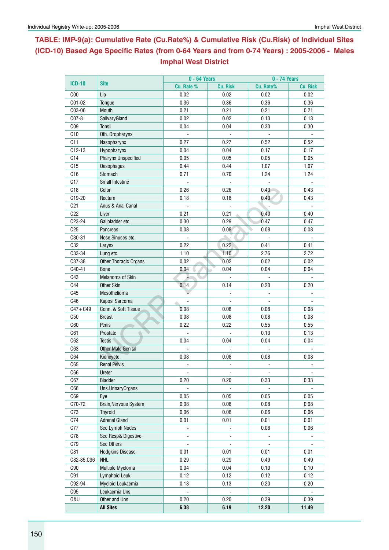# **Table: IMP-9(a): Cumulative Rate (Cu.Rate%) & Cumulative Risk (Cu.Risk) of Individual Sites (ICD-10) Based Age Specific Rates (from 0-64 Years and from 0-74 Years) : 2005-2006 - Males Imphal West District**

|                 |                            | $0 - 64$ Years           |                 | <b>0 - 74 Years</b> |                 |  |  |  |
|-----------------|----------------------------|--------------------------|-----------------|---------------------|-----------------|--|--|--|
| <b>ICD-10</b>   | <b>Site</b>                | Cu. Rate %               | <b>Cu. Risk</b> | Cu. Rate%           | <b>Cu. Risk</b> |  |  |  |
| C <sub>00</sub> | Lip                        | 0.02                     | 0.02            | 0.02                | 0.02            |  |  |  |
| C01-02          | Tongue                     | 0.36                     | 0.36            | 0.36                | 0.36            |  |  |  |
| C03-06          | Mouth                      | 0.21                     | 0.21            | 0.21                | 0.21            |  |  |  |
| $C07-8$         | SalivaryGland              | 0.02                     | 0.02            | 0.13                | 0.13            |  |  |  |
| CO9             | Tonsil                     | 0.04                     | 0.04            | 0.30                | 0.30            |  |  |  |
| C10             | Oth. Oropharynx            |                          |                 |                     |                 |  |  |  |
| C11             | Nasopharynx                | 0.27                     | 0.27            | 0.52                | 0.52            |  |  |  |
| $C12-13$        | Hypopharynx                | 0.04                     | 0.04            | 0.17                | 0.17            |  |  |  |
| C14             | <b>Pharynx Unspecified</b> | 0.05                     | 0.05            | 0.05                | 0.05            |  |  |  |
| C15             | <b>Oesophagus</b>          | 0.44                     | 0.44            | 1.07                | 1.07            |  |  |  |
| C16             | Stomach                    | 0.71                     | 0.70            | 1.24                | 1.24            |  |  |  |
| C17             | <b>Small Intestine</b>     |                          |                 |                     |                 |  |  |  |
| C18             | Colon                      | 0.26                     | 0.26            | 0.43                | 0.43            |  |  |  |
| C19-20          | Rectum                     | 0.18                     | 0.18            | 0.43                | 0.43            |  |  |  |
| C <sub>21</sub> | Anus & Anal Canal          |                          |                 |                     |                 |  |  |  |
| C22             | Liver                      | 0.21                     | 0.21            | 0.40                | 0.40            |  |  |  |
| C23-24          | Gallbladder etc.           | 0.30                     | 0.29            | 0.47                | 0.47            |  |  |  |
| C <sub>25</sub> | Pancreas                   | 0.08                     | 0.08            | 0.08                | 0.08            |  |  |  |
| C30-31          | Nose, Sinuses etc.         |                          |                 |                     |                 |  |  |  |
| C32             | Larynx                     | 0.22                     | 0.22            | 0.41                | 0.41            |  |  |  |
| C33-34          | Lung etc.                  | 1.10                     | 1.10            | 2.76                | 2.72            |  |  |  |
| C37-38          | Other Thoracic Organs      | 0.02                     | 0.02            | 0.02                | 0.02            |  |  |  |
| C40-41          | <b>Bone</b>                | 0.04                     | 0.04            | 0.04                | 0.04            |  |  |  |
| C43             | Melanoma of Skin           |                          |                 | $\mathbf{r}$        |                 |  |  |  |
| C44             | <b>Other Skin</b>          | 0.14                     | 0.14            | 0.20                | 0.20            |  |  |  |
| C45             | Mesothelioma               |                          |                 |                     |                 |  |  |  |
| C46             | Kaposi Sarcoma             |                          |                 |                     |                 |  |  |  |
| $C47 + C49$     | Conn. & Soft Tissue        | 0.08                     | 0.08            | 0.08                | 0.08            |  |  |  |
| C50             | <b>Breast</b>              | 0.08                     | 0.08            | 0.08                | 0.08            |  |  |  |
| C60             | Penis                      | 0.22                     | 0.22            | 0.55                | 0.55            |  |  |  |
| C61             | Prostate                   |                          |                 | 0.13                | 0.13            |  |  |  |
| C62             | Testis                     | 0.04                     | 0.04            | 0.04                | 0.04            |  |  |  |
| C63             | <b>Other Male Genital</b>  |                          |                 |                     |                 |  |  |  |
| C64             | Kidneyetc.                 | 0.08                     | 0.08            | 0.08                | 0.08            |  |  |  |
| C65             | <b>Renal Pelvis</b>        | L.                       | $\blacksquare$  | $\overline{a}$      |                 |  |  |  |
| C66             | Ureter                     | $\blacksquare$           |                 | $\blacksquare$      | $\blacksquare$  |  |  |  |
| C67             | <b>Bladder</b>             | 0.20                     | 0.20            | 0.33                | 0.33            |  |  |  |
| C68             | Uns.UrinaryOrgans          |                          |                 |                     |                 |  |  |  |
| C69             | Eye                        | 0.05                     | 0.05            | 0.05                | 0.05            |  |  |  |
| C70-72          | Brain, Nervous System      | 0.08                     | 0.08            | 0.08                | 0.08            |  |  |  |
| C73             | <b>Thyroid</b>             | 0.06                     | 0.06            | 0.06                | 0.06            |  |  |  |
| C74             | <b>Adrenal Gland</b>       | 0.01                     | 0.01            | 0.01                | 0.01            |  |  |  |
| C77             | Sec Lymph Nodes            | $\blacksquare$           |                 | 0.06                | 0.06            |  |  |  |
| C78             | Sec Resp& Digestive        | $\overline{\phantom{a}}$ |                 |                     |                 |  |  |  |
| C79             | Sec Others                 |                          |                 | ÷,                  |                 |  |  |  |
| C81             | <b>Hodgkins Disease</b>    | 0.01                     | 0.01            | 0.01                | 0.01            |  |  |  |
| C82-85,C96      | <b>NHL</b>                 | 0.29                     | 0.29            | 0.49                | 0.49            |  |  |  |
| C90             | Multiple Myeloma           | 0.04                     | 0.04            | 0.10                | 0.10            |  |  |  |
| C91             | Lymphoid Leuk.             | 0.12                     | 0.12            | 0.12                | 0.12            |  |  |  |
| C92-94          | Myeloid Leukaemia          | 0.13                     | 0.13            | 0.20                | 0.20            |  |  |  |
| C95             | Leukaemia Uns              |                          |                 |                     |                 |  |  |  |
| <b>0&amp;U</b>  | Other and Uns              | 0.20                     | 0.20            | 0.39                | 0.39            |  |  |  |
|                 | <b>All Sites</b>           | 6.38                     | 6.19            | 12.20               | 11.49           |  |  |  |